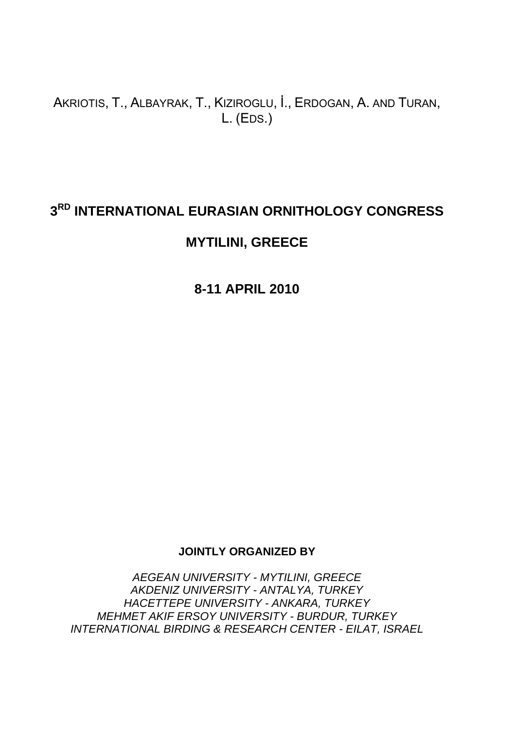# AKRIOTIS, T., ALBAYRAK, T., KIZIROGLU, İ., ERDOGAN, A. AND TURAN, L. (EDS.)

# **3RD INTERNATIONAL EURASIAN ORNITHOLOGY CONGRESS**

# **MYTILINI, GREECE**

**8-11 APRIL 2010** 

## **JOINTLY ORGANIZED BY**

*AEGEAN UNIVERSITY - MYTILINI, GREECE AKDENIZ UNIVERSITY - ANTALYA, TURKEY HACETTEPE UNIVERSITY - ANKARA, TURKEY MEHMET AKIF ERSOY UNIVERSITY - BURDUR, TURKEY INTERNATIONAL BIRDING & RESEARCH CENTER - EILAT, ISRAEL*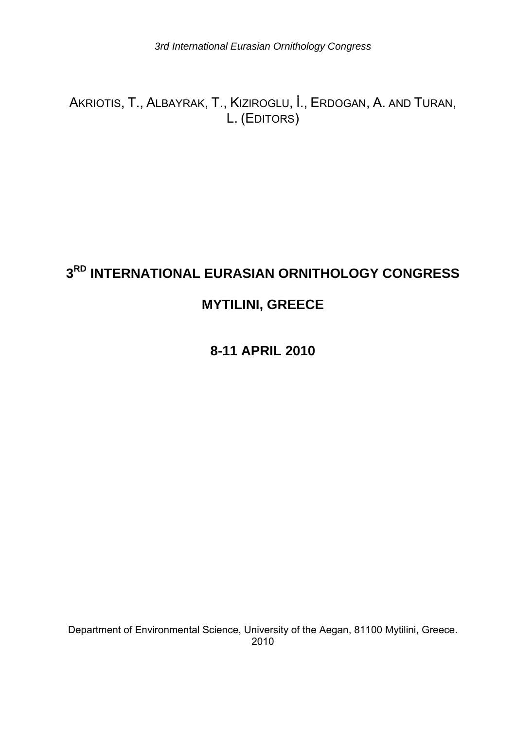AKRIOTIS, T., ALBAYRAK, T., KIZIROGLU, İ., ERDOGAN, A. AND TURAN, L. (EDITORS)

# **3RD INTERNATIONAL EURASIAN ORNITHOLOGY CONGRESS**

# **MYTILINI, GREECE**

**8-11 APRIL 2010** 

Department of Environmental Science, University of the Aegan, 81100 Mytilini, Greece. 2010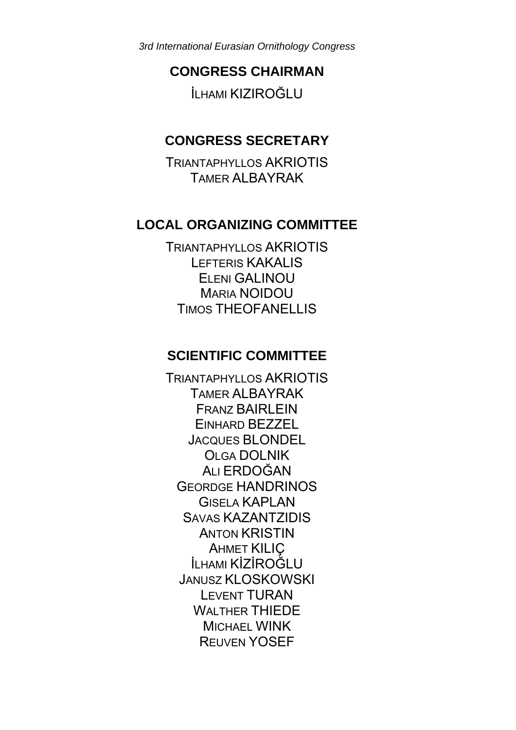# **CONGRESS CHAIRMAN**

İLHAMI KIZIROĞLU

# **CONGRESS SECRETARY**

TRIANTAPHYLLOS AKRIOTIS TAMER ALBAYRAK

# **LOCAL ORGANIZING COMMITTEE**

TRIANTAPHYLLOS AKRIOTIS LEFTERIS KAKALIS ELENI GALINOU MARIA NOIDOU TIMOS THEOFANELLIS

# **SCIENTIFIC COMMITTEE**

TRIANTAPHYLLOS AKRIOTIS TAMER ALBAYRAK FRANZ BAIRLEIN EINHARD BEZZEL JACQUES BLONDEL OLGA DOLNIK ALI ERDOĞAN GEORDGE HANDRINOS GISELA KAPLAN SAVAS KAZANTZIDIS ANTON KRISTIN AHMET KILIÇ İLHAMI KİZİROĞLU JANUSZ KLOSKOWSKI LEVENT TURAN WAI THER THIEDE MICHAEL WINK REUVEN YOSEF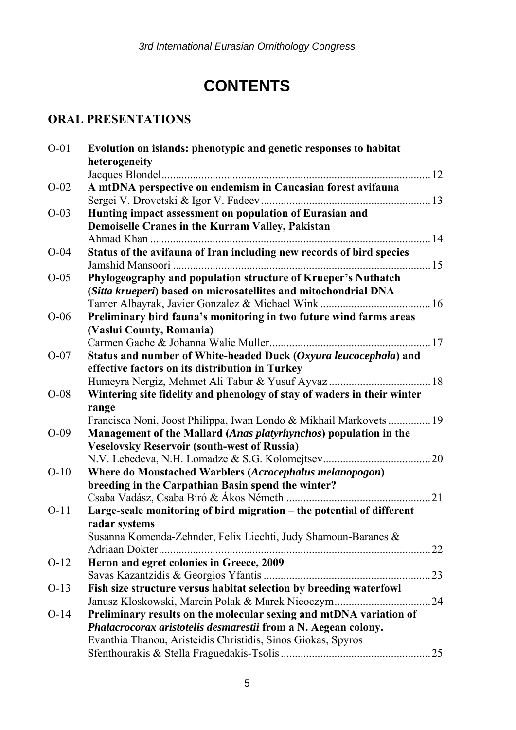# **CONTENTS**

# **ORAL PRESENTATIONS**

| $O-01$ | Evolution on islands: phenotypic and genetic responses to habitat       |  |
|--------|-------------------------------------------------------------------------|--|
|        | heterogeneity                                                           |  |
|        |                                                                         |  |
| $O-02$ | A mtDNA perspective on endemism in Caucasian forest avifauna            |  |
|        |                                                                         |  |
| $O-03$ | Hunting impact assessment on population of Eurasian and                 |  |
|        | Demoiselle Cranes in the Kurram Valley, Pakistan                        |  |
|        |                                                                         |  |
| $O-04$ | Status of the avifauna of Iran including new records of bird species    |  |
|        |                                                                         |  |
| $O-05$ | Phylogeography and population structure of Krueper's Nuthatch           |  |
|        | (Sitta krueperi) based on microsatellites and mitochondrial DNA         |  |
|        |                                                                         |  |
| $O-06$ | Preliminary bird fauna's monitoring in two future wind farms areas      |  |
|        | (Vaslui County, Romania)                                                |  |
|        |                                                                         |  |
| $O-07$ | Status and number of White-headed Duck (Oxyura leucocephala) and        |  |
|        | effective factors on its distribution in Turkey                         |  |
|        |                                                                         |  |
| $O-08$ | Wintering site fidelity and phenology of stay of waders in their winter |  |
|        | range                                                                   |  |
|        | Francisca Noni, Joost Philippa, Iwan Londo & Mikhail Markovets  19      |  |
| $O-09$ | Management of the Mallard (Anas platyrhynchos) population in the        |  |
|        | <b>Veselovsky Reservoir (south-west of Russia)</b>                      |  |
|        |                                                                         |  |
| $O-10$ | Where do Moustached Warblers (Acrocephalus melanopogon)                 |  |
|        | breeding in the Carpathian Basin spend the winter?                      |  |
|        |                                                                         |  |
| $O-11$ | Large-scale monitoring of bird migration - the potential of different   |  |
|        | radar systems                                                           |  |
|        | Susanna Komenda-Zehnder, Felix Liechti, Judy Shamoun-Baranes &          |  |
|        |                                                                         |  |
| $O-12$ | Heron and egret colonies in Greece, 2009                                |  |
|        |                                                                         |  |
| $O-13$ | Fish size structure versus habitat selection by breeding waterfowl      |  |
|        |                                                                         |  |
| $O-14$ | Preliminary results on the molecular sexing and mtDNA variation of      |  |
|        | Phalacrocorax aristotelis desmarestii from a N. Aegean colony.          |  |
|        | Evanthia Thanou, Aristeidis Christidis, Sinos Giokas, Spyros            |  |
|        |                                                                         |  |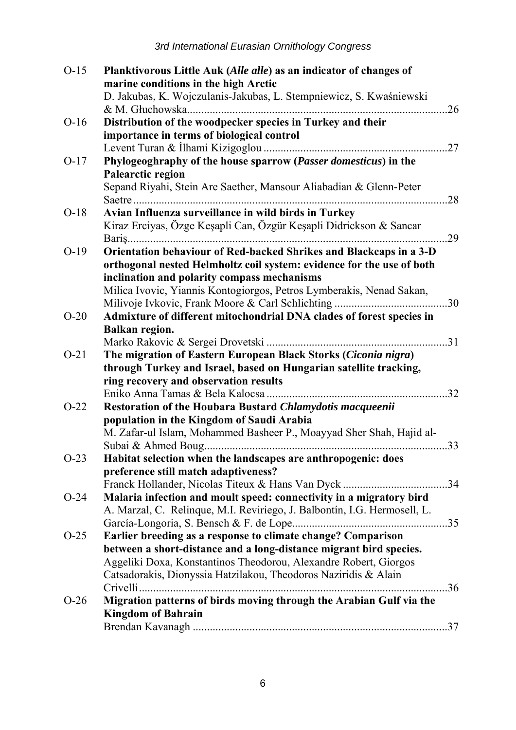| $O-15$ | Planktivorous Little Auk (Alle alle) as an indicator of changes of       |  |
|--------|--------------------------------------------------------------------------|--|
|        | marine conditions in the high Arctic                                     |  |
|        | D. Jakubas, K. Wojczulanis-Jakubas, L. Stempniewicz, S. Kwaśniewski      |  |
|        |                                                                          |  |
| $O-16$ | Distribution of the woodpecker species in Turkey and their               |  |
|        | importance in terms of biological control                                |  |
| $O-17$ | Phylogeoghraphy of the house sparrow (Passer domesticus) in the          |  |
|        | Palearctic region                                                        |  |
|        | Sepand Riyahi, Stein Are Saether, Mansour Aliabadian & Glenn-Peter       |  |
|        |                                                                          |  |
| $O-18$ | Avian Influenza surveillance in wild birds in Turkey                     |  |
|        | Kiraz Erciyas, Özge Keşapli Can, Özgür Keşapli Didrickson & Sancar       |  |
|        |                                                                          |  |
| $O-19$ | Orientation behaviour of Red-backed Shrikes and Blackcaps in a 3-D       |  |
|        | orthogonal nested Helmholtz coil system: evidence for the use of both    |  |
|        | inclination and polarity compass mechanisms                              |  |
|        | Milica Ivovic, Yiannis Kontogiorgos, Petros Lymberakis, Nenad Sakan,     |  |
|        |                                                                          |  |
| $O-20$ | Admixture of different mitochondrial DNA clades of forest species in     |  |
|        | <b>Balkan region.</b>                                                    |  |
|        |                                                                          |  |
| $O-21$ | The migration of Eastern European Black Storks (Ciconia nigra)           |  |
|        | through Turkey and Israel, based on Hungarian satellite tracking,        |  |
|        | ring recovery and observation results                                    |  |
|        |                                                                          |  |
| $O-22$ | Restoration of the Houbara Bustard Chlamydotis macqueenii                |  |
|        | population in the Kingdom of Saudi Arabia                                |  |
|        | M. Zafar-ul Islam, Mohammed Basheer P., Moayyad Sher Shah, Hajid al-     |  |
|        |                                                                          |  |
| $O-23$ | Habitat selection when the landscapes are anthropogenic: does            |  |
|        | preference still match adaptiveness?                                     |  |
|        |                                                                          |  |
| $O-24$ | Malaria infection and moult speed: connectivity in a migratory bird      |  |
|        | A. Marzal, C. Relinque, M.I. Reviriego, J. Balbontín, I.G. Hermosell, L. |  |
|        |                                                                          |  |
| $O-25$ | Earlier breeding as a response to climate change? Comparison             |  |
|        | between a short-distance and a long-distance migrant bird species.       |  |
|        | Aggeliki Doxa, Konstantinos Theodorou, Alexandre Robert, Giorgos         |  |
|        | Catsadorakis, Dionyssia Hatzilakou, Theodoros Naziridis & Alain          |  |
|        |                                                                          |  |
| $O-26$ | Migration patterns of birds moving through the Arabian Gulf via the      |  |
|        | <b>Kingdom of Bahrain</b>                                                |  |
|        |                                                                          |  |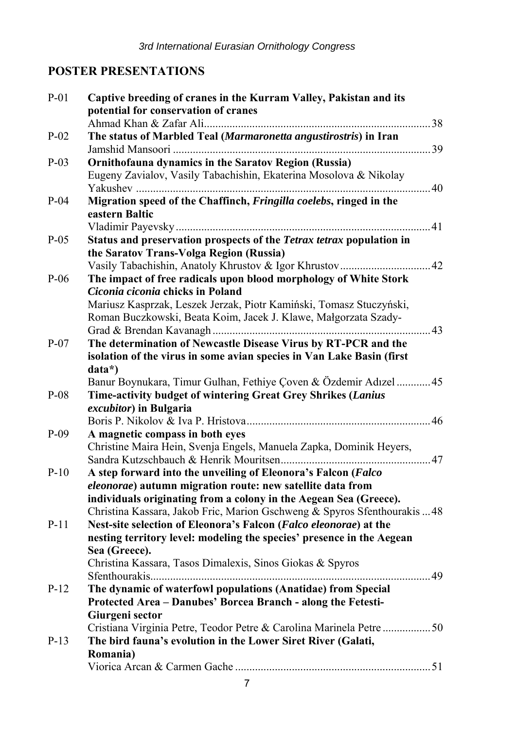# **POSTER PRESENTATIONS**

| $P-01$ | Captive breeding of cranes in the Kurram Valley, Pakistan and its<br>potential for conservation of cranes |
|--------|-----------------------------------------------------------------------------------------------------------|
|        |                                                                                                           |
| $P-02$ | The status of Marbled Teal (Marmaronetta angustirostris) in Iran                                          |
| $P-03$ | Ornithofauna dynamics in the Saratov Region (Russia)                                                      |
|        | Eugeny Zavialov, Vasily Tabachishin, Ekaterina Mosolova & Nikolay                                         |
| $P-04$ | Migration speed of the Chaffinch, Fringilla coelebs, ringed in the                                        |
|        | eastern Baltic                                                                                            |
|        |                                                                                                           |
| $P-05$ | Status and preservation prospects of the Tetrax tetrax population in                                      |
|        | the Saratov Trans-Volga Region (Russia)                                                                   |
| $P-06$ | The impact of free radicals upon blood morphology of White Stork                                          |
|        | Ciconia ciconia chicks in Poland                                                                          |
|        | Mariusz Kasprzak, Leszek Jerzak, Piotr Kamiński, Tomasz Stuczyński,                                       |
|        | Roman Buczkowski, Beata Koim, Jacek J. Klawe, Małgorzata Szady-                                           |
|        |                                                                                                           |
| $P-07$ | The determination of Newcastle Disease Virus by RT-PCR and the                                            |
|        | isolation of the virus in some avian species in Van Lake Basin (first                                     |
|        | data*)                                                                                                    |
|        | Banur Boynukara, Timur Gulhan, Fethiye Çoven & Özdemir Adızel  45                                         |
| $P-08$ | Time-activity budget of wintering Great Grey Shrikes (Lanius                                              |
|        | excubitor) in Bulgaria                                                                                    |
|        |                                                                                                           |
| $P-09$ | A magnetic compass in both eyes                                                                           |
|        | Christine Maira Hein, Svenja Engels, Manuela Zapka, Dominik Heyers,                                       |
|        |                                                                                                           |
| $P-10$ | A step forward into the unveiling of Eleonora's Falcon (Falco                                             |
|        | eleonorae) autumn migration route: new satellite data from                                                |
|        | individuals originating from a colony in the Aegean Sea (Greece).                                         |
|        | Christina Kassara, Jakob Fric, Marion Gschweng & Spyros Sfenthourakis  48                                 |
| $P-11$ | Nest-site selection of Eleonora's Falcon (Falco eleonorae) at the                                         |
|        | nesting territory level: modeling the species' presence in the Aegean                                     |
|        | Sea (Greece).<br>Christina Kassara, Tasos Dimalexis, Sinos Giokas & Spyros                                |
|        |                                                                                                           |
| $P-12$ | The dynamic of waterfowl populations (Anatidae) from Special                                              |
|        | Protected Area - Danubes' Borcea Branch - along the Fetesti-                                              |
|        | Giurgeni sector                                                                                           |
|        | Cristiana Virginia Petre, Teodor Petre & Carolina Marinela Petre 50                                       |
| $P-13$ | The bird fauna's evolution in the Lower Siret River (Galati,                                              |
|        | Romania)                                                                                                  |
|        |                                                                                                           |
|        |                                                                                                           |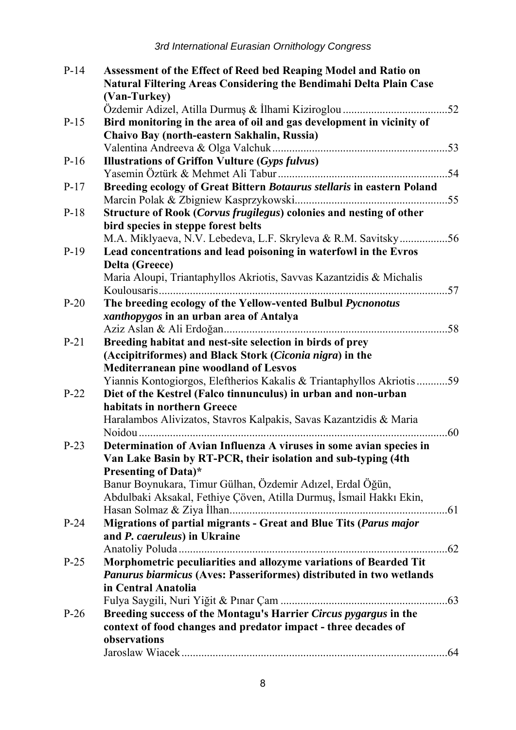| $P-14$ | Assessment of the Effect of Reed bed Reaping Model and Ratio on        |  |
|--------|------------------------------------------------------------------------|--|
|        | Natural Filtering Areas Considering the Bendimahi Delta Plain Case     |  |
|        | (Van-Turkey)                                                           |  |
|        |                                                                        |  |
| $P-15$ | Bird monitoring in the area of oil and gas development in vicinity of  |  |
|        | Chaivo Bay (north-eastern Sakhalin, Russia)                            |  |
|        |                                                                        |  |
| $P-16$ | <b>Illustrations of Griffon Vulture (Gyps fulvus)</b>                  |  |
|        |                                                                        |  |
| $P-17$ | Breeding ecology of Great Bittern Botaurus stellaris in eastern Poland |  |
|        |                                                                        |  |
| $P-18$ | Structure of Rook (Corvus frugilegus) colonies and nesting of other    |  |
|        | bird species in steppe forest belts                                    |  |
|        | M.A. Miklyaeva, N.V. Lebedeva, L.F. Skryleva & R.M. Savitsky56         |  |
| $P-19$ | Lead concentrations and lead poisoning in waterfowl in the Evros       |  |
|        | <b>Delta (Greece)</b>                                                  |  |
|        | Maria Aloupi, Triantaphyllos Akriotis, Savvas Kazantzidis & Michalis   |  |
|        |                                                                        |  |
| $P-20$ | The breeding ecology of the Yellow-vented Bulbul Pycnonotus            |  |
|        | xanthopygos in an urban area of Antalya                                |  |
|        |                                                                        |  |
| $P-21$ | Breeding habitat and nest-site selection in birds of prey              |  |
|        | (Accipitriformes) and Black Stork (Ciconia nigra) in the               |  |
|        | <b>Mediterranean pine woodland of Lesvos</b>                           |  |
|        | Yiannis Kontogiorgos, Eleftherios Kakalis & Triantaphyllos Akriotis59  |  |
| $P-22$ | Diet of the Kestrel (Falco tinnunculus) in urban and non-urban         |  |
|        | habitats in northern Greece                                            |  |
|        | Haralambos Alivizatos, Stavros Kalpakis, Savas Kazantzidis & Maria     |  |
|        |                                                                        |  |
| $P-23$ | Determination of Avian Influenza A viruses in some avian species in    |  |
|        | Van Lake Basin by RT-PCR, their isolation and sub-typing (4th          |  |
|        | <b>Presenting of Data)*</b>                                            |  |
|        | Banur Boynukara, Timur Gülhan, Özdemir Adızel, Erdal Öğün,             |  |
|        | Abdulbaki Aksakal, Fethiye Çöven, Atilla Durmuş, İsmail Hakkı Ekin,    |  |
|        |                                                                        |  |
| $P-24$ | Migrations of partial migrants - Great and Blue Tits (Parus major      |  |
|        | and P. caeruleus) in Ukraine                                           |  |
| $P-25$ | Morphometric peculiarities and allozyme variations of Bearded Tit      |  |
|        |                                                                        |  |
|        | Panurus biarmicus (Aves: Passeriformes) distributed in two wetlands    |  |
|        | in Central Anatolia                                                    |  |
| $P-26$ | Breeding success of the Montagu's Harrier Circus pygargus in the       |  |
|        | context of food changes and predator impact - three decades of         |  |
|        | observations                                                           |  |
|        |                                                                        |  |
|        |                                                                        |  |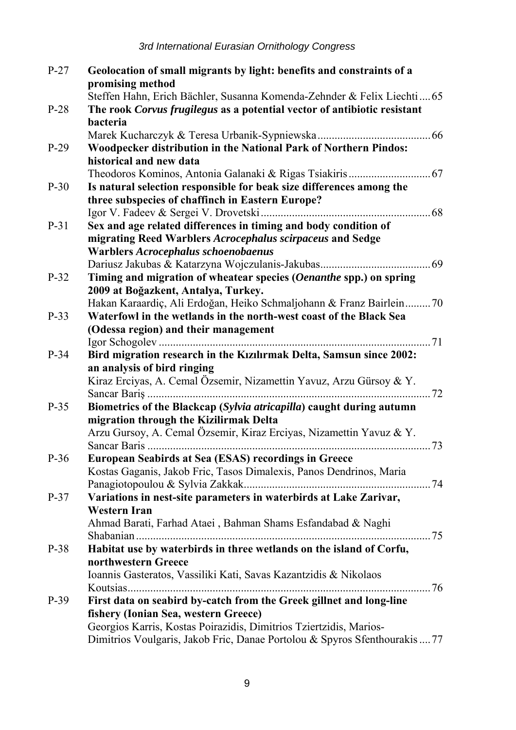| $P-27$ | Geolocation of small migrants by light: benefits and constraints of a                      |
|--------|--------------------------------------------------------------------------------------------|
|        | promising method                                                                           |
|        | Steffen Hahn, Erich Bächler, Susanna Komenda-Zehnder & Felix Liechti 65                    |
| $P-28$ | The rook Corvus frugilegus as a potential vector of antibiotic resistant                   |
|        | bacteria                                                                                   |
|        |                                                                                            |
| $P-29$ | Woodpecker distribution in the National Park of Northern Pindos:                           |
|        | historical and new data                                                                    |
|        |                                                                                            |
| $P-30$ | Is natural selection responsible for beak size differences among the                       |
|        | three subspecies of chaffinch in Eastern Europe?                                           |
|        |                                                                                            |
| P-31   | Sex and age related differences in timing and body condition of                            |
|        | migrating Reed Warblers Acrocephalus scirpaceus and Sedge                                  |
|        | Warblers Acrocephalus schoenobaenus                                                        |
|        |                                                                                            |
| $P-32$ | Timing and migration of wheatear species (Oenanthe spp.) on spring                         |
|        | 2009 at Boğazkent, Antalya, Turkey.                                                        |
|        | Hakan Karaardiç, Ali Erdoğan, Heiko Schmaljohann & Franz Bairlein 70                       |
| $P-33$ | Waterfowl in the wetlands in the north-west coast of the Black Sea                         |
|        | (Odessa region) and their management                                                       |
|        |                                                                                            |
| $P-34$ | Bird migration research in the Kızılırmak Delta, Samsun since 2002:                        |
|        | an analysis of bird ringing                                                                |
|        | Kiraz Erciyas, A. Cemal Özsemir, Nizamettin Yavuz, Arzu Gürsoy & Y.                        |
|        |                                                                                            |
| $P-35$ | Biometrics of the Blackcap (Sylvia atricapilla) caught during autumn                       |
|        | migration through the Kizilirmak Delta                                                     |
|        | Arzu Gursoy, A. Cemal Özsemir, Kiraz Erciyas, Nizamettin Yavuz & Y.                        |
|        |                                                                                            |
| $P-36$ | <b>European Seabirds at Sea (ESAS) recordings in Greece</b>                                |
|        | Kostas Gaganis, Jakob Fric, Tasos Dimalexis, Panos Dendrinos, Maria                        |
|        |                                                                                            |
| $P-37$ | Variations in nest-site parameters in waterbirds at Lake Zarivar,                          |
|        | Western Iran                                                                               |
|        | Ahmad Barati, Farhad Ataei, Bahman Shams Esfandabad & Naghi                                |
| P-38   |                                                                                            |
|        | Habitat use by waterbirds in three wetlands on the island of Corfu,<br>northwestern Greece |
|        | Ioannis Gasteratos, Vassiliki Kati, Savas Kazantzidis & Nikolaos                           |
|        |                                                                                            |
| $P-39$ | First data on seabird by-catch from the Greek gillnet and long-line                        |
|        | fishery (Ionian Sea, western Greece)                                                       |
|        | Georgios Karris, Kostas Poirazidis, Dimitrios Tziertzidis, Marios-                         |
|        | Dimitrios Voulgaris, Jakob Fric, Danae Portolou & Spyros Sfenthourakis  77                 |
|        |                                                                                            |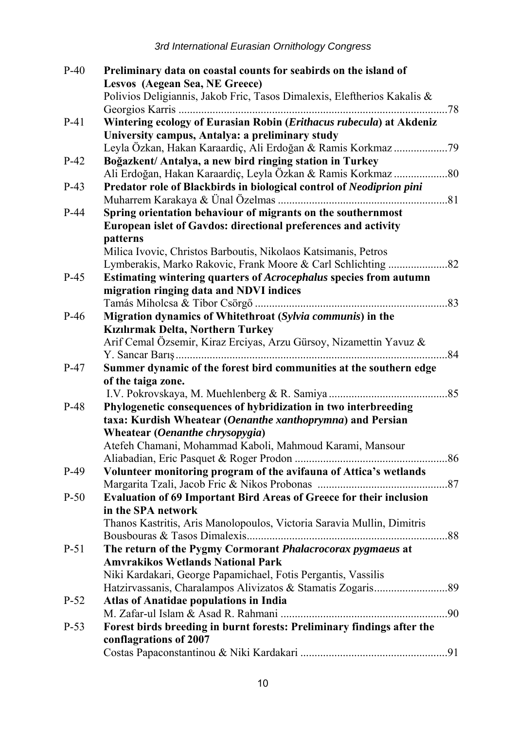| $P-40$ | Preliminary data on coastal counts for seabirds on the island of         |  |
|--------|--------------------------------------------------------------------------|--|
|        | Lesvos (Aegean Sea, NE Greece)                                           |  |
|        | Polivios Deligiannis, Jakob Fric, Tasos Dimalexis, Eleftherios Kakalis & |  |
|        |                                                                          |  |
| $P-41$ | Wintering ecology of Eurasian Robin (Erithacus rubecula) at Akdeniz      |  |
|        | University campus, Antalya: a preliminary study                          |  |
|        |                                                                          |  |
| $P-42$ | Boğazkent/ Antalya, a new bird ringing station in Turkey                 |  |
|        |                                                                          |  |
| $P-43$ | Predator role of Blackbirds in biological control of Neodiprion pini     |  |
|        |                                                                          |  |
| $P-44$ | Spring orientation behaviour of migrants on the southernmost             |  |
|        | European islet of Gavdos: directional preferences and activity           |  |
|        | patterns                                                                 |  |
|        | Milica Ivovic, Christos Barboutis, Nikolaos Katsimanis, Petros           |  |
|        |                                                                          |  |
| $P-45$ | Estimating wintering quarters of Acrocephalus species from autumn        |  |
|        | migration ringing data and NDVI indices                                  |  |
|        |                                                                          |  |
| $P-46$ | Migration dynamics of Whitethroat (Sylvia communis) in the               |  |
|        | Kızılırmak Delta, Northern Turkey                                        |  |
|        | Arif Cemal Özsemir, Kiraz Erciyas, Arzu Gürsoy, Nizamettin Yavuz &       |  |
|        |                                                                          |  |
| $P-47$ | Summer dynamic of the forest bird communities at the southern edge       |  |
|        | of the taiga zone.                                                       |  |
|        |                                                                          |  |
| $P-48$ | Phylogenetic consequences of hybridization in two interbreeding          |  |
|        | taxa: Kurdish Wheatear (Oenanthe xanthoprymna) and Persian               |  |
|        | Wheatear (Oenanthe chrysopygia)                                          |  |
|        | Atefeh Chamani, Mohammad Kaboli, Mahmoud Karami, Mansour                 |  |
|        |                                                                          |  |
| $P-49$ | Volunteer monitoring program of the avifauna of Attica's wetlands        |  |
|        |                                                                          |  |
| $P-50$ | Evaluation of 69 Important Bird Areas of Greece for their inclusion      |  |
|        | in the SPA network                                                       |  |
|        | Thanos Kastritis, Aris Manolopoulos, Victoria Saravia Mullin, Dimitris   |  |
|        |                                                                          |  |
| $P-51$ | The return of the Pygmy Cormorant Phalacrocorax pygmaeus at              |  |
|        | <b>Amvrakikos Wetlands National Park</b>                                 |  |
|        | Niki Kardakari, George Papamichael, Fotis Pergantis, Vassilis            |  |
|        |                                                                          |  |
| $P-52$ | Atlas of Anatidae populations in India                                   |  |
|        |                                                                          |  |
| $P-53$ | Forest birds breeding in burnt forests: Preliminary findings after the   |  |
|        | conflagrations of 2007                                                   |  |
|        |                                                                          |  |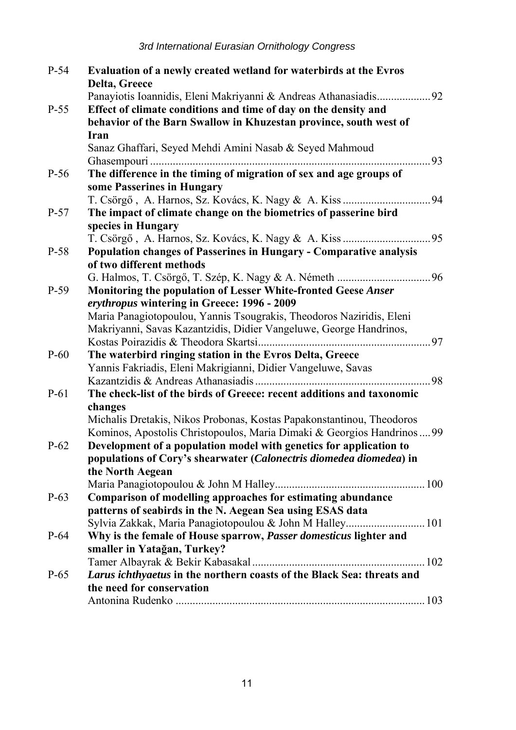| P-54   | Evaluation of a newly created wetland for waterbirds at the Evros       |     |
|--------|-------------------------------------------------------------------------|-----|
|        | Delta, Greece                                                           |     |
|        | Panayiotis Ioannidis, Eleni Makriyanni & Andreas Athanasiadis92         |     |
| $P-55$ | Effect of climate conditions and time of day on the density and         |     |
|        | behavior of the Barn Swallow in Khuzestan province, south west of       |     |
|        | Iran                                                                    |     |
|        | Sanaz Ghaffari, Seyed Mehdi Amini Nasab & Seyed Mahmoud                 |     |
|        |                                                                         | .93 |
| P-56   | The difference in the timing of migration of sex and age groups of      |     |
|        | some Passerines in Hungary                                              |     |
|        |                                                                         |     |
| $P-57$ | The impact of climate change on the biometrics of passerine bird        |     |
|        | species in Hungary                                                      |     |
|        |                                                                         |     |
| P-58   | Population changes of Passerines in Hungary - Comparative analysis      |     |
|        | of two different methods                                                |     |
|        |                                                                         |     |
| $P-59$ | Monitoring the population of Lesser White-fronted Geese Anser           |     |
|        | erythropus wintering in Greece: 1996 - 2009                             |     |
|        | Maria Panagiotopoulou, Yannis Tsougrakis, Theodoros Naziridis, Eleni    |     |
|        | Makriyanni, Savas Kazantzidis, Didier Vangeluwe, George Handrinos,      |     |
|        |                                                                         |     |
| $P-60$ | The waterbird ringing station in the Evros Delta, Greece                |     |
|        | Yannis Fakriadis, Eleni Makrigianni, Didier Vangeluwe, Savas            |     |
|        |                                                                         |     |
| $P-61$ | The check-list of the birds of Greece: recent additions and taxonomic   |     |
|        | changes                                                                 |     |
|        | Michalis Dretakis, Nikos Probonas, Kostas Papakonstantinou, Theodoros   |     |
|        | Kominos, Apostolis Christopoulos, Maria Dimaki & Georgios Handrinos  99 |     |
| $P-62$ | Development of a population model with genetics for application to      |     |
|        | populations of Cory's shearwater (Calonectris diomedea diomedea) in     |     |
|        | the North Aegean                                                        |     |
|        |                                                                         |     |
| P-63   | Comparison of modelling approaches for estimating abundance             |     |
|        | patterns of seabirds in the N. Aegean Sea using ESAS data               |     |
|        | Sylvia Zakkak, Maria Panagiotopoulou & John M Halley 101                |     |
| $P-64$ | Why is the female of House sparrow, Passer domesticus lighter and       |     |
|        | smaller in Yatağan, Turkey?                                             |     |
|        |                                                                         |     |
| $P-65$ | Larus ichthyaetus in the northern coasts of the Black Sea: threats and  |     |
|        | the need for conservation                                               |     |
|        |                                                                         |     |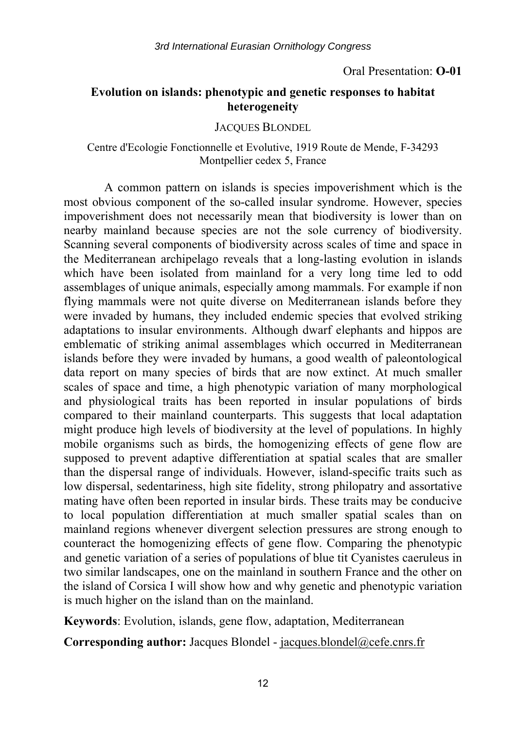#### Oral Presentation: **O-01**

#### **Evolution on islands: phenotypic and genetic responses to habitat heterogeneity**

#### JACQUES BLONDEL

#### Centre d'Ecologie Fonctionnelle et Evolutive, 1919 Route de Mende, F-34293 Montpellier cedex 5, France

A common pattern on islands is species impoverishment which is the most obvious component of the so-called insular syndrome. However, species impoverishment does not necessarily mean that biodiversity is lower than on nearby mainland because species are not the sole currency of biodiversity. Scanning several components of biodiversity across scales of time and space in the Mediterranean archipelago reveals that a long-lasting evolution in islands which have been isolated from mainland for a very long time led to odd assemblages of unique animals, especially among mammals. For example if non flying mammals were not quite diverse on Mediterranean islands before they were invaded by humans, they included endemic species that evolved striking adaptations to insular environments. Although dwarf elephants and hippos are emblematic of striking animal assemblages which occurred in Mediterranean islands before they were invaded by humans, a good wealth of paleontological data report on many species of birds that are now extinct. At much smaller scales of space and time, a high phenotypic variation of many morphological and physiological traits has been reported in insular populations of birds compared to their mainland counterparts. This suggests that local adaptation might produce high levels of biodiversity at the level of populations. In highly mobile organisms such as birds, the homogenizing effects of gene flow are supposed to prevent adaptive differentiation at spatial scales that are smaller than the dispersal range of individuals. However, island-specific traits such as low dispersal, sedentariness, high site fidelity, strong philopatry and assortative mating have often been reported in insular birds. These traits may be conducive to local population differentiation at much smaller spatial scales than on mainland regions whenever divergent selection pressures are strong enough to counteract the homogenizing effects of gene flow. Comparing the phenotypic and genetic variation of a series of populations of blue tit Cyanistes caeruleus in two similar landscapes, one on the mainland in southern France and the other on the island of Corsica I will show how and why genetic and phenotypic variation is much higher on the island than on the mainland.

**Keywords**: Evolution, islands, gene flow, adaptation, Mediterranean

**Corresponding author:** Jacques Blondel - <u>jacques.blondel@cefe.cnrs.fr</u>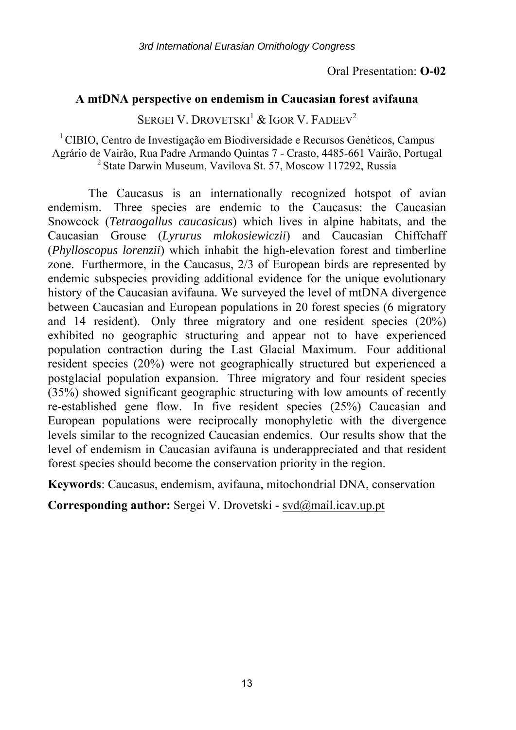#### **A mtDNA perspective on endemism in Caucasian forest avifauna**

SERGEI V. DROVETSKI<sup>1</sup> & IGOR V. FADEEV<sup>2</sup>

1 CIBIO, Centro de Investigação em Biodiversidade e Recursos Genéticos, Campus Agrário de Vairão, Rua Padre Armando Quintas 7 - Crasto, 4485-661 Vairão, Portugal 2 State Darwin Museum, Vavilova St. 57, Moscow 117292, Russia

The Caucasus is an internationally recognized hotspot of avian endemism. Three species are endemic to the Caucasus: the Caucasian Snowcock (*Tetraogallus caucasicus*) which lives in alpine habitats, and the Caucasian Grouse (*Lyrurus mlokosiewiczii*) and Caucasian Chiffchaff (*Phylloscopus lorenzii*) which inhabit the high-elevation forest and timberline zone. Furthermore, in the Caucasus, 2/3 of European birds are represented by endemic subspecies providing additional evidence for the unique evolutionary history of the Caucasian avifauna. We surveyed the level of mtDNA divergence between Caucasian and European populations in 20 forest species (6 migratory and 14 resident). Only three migratory and one resident species (20%) exhibited no geographic structuring and appear not to have experienced population contraction during the Last Glacial Maximum. Four additional resident species (20%) were not geographically structured but experienced a postglacial population expansion. Three migratory and four resident species (35%) showed significant geographic structuring with low amounts of recently re-established gene flow. In five resident species (25%) Caucasian and European populations were reciprocally monophyletic with the divergence levels similar to the recognized Caucasian endemics. Our results show that the level of endemism in Caucasian avifauna is underappreciated and that resident forest species should become the conservation priority in the region.

**Keywords**: Caucasus, endemism, avifauna, mitochondrial DNA, conservation

**Corresponding author:** Sergei V. Drovetski - svd@mail.icav.up.pt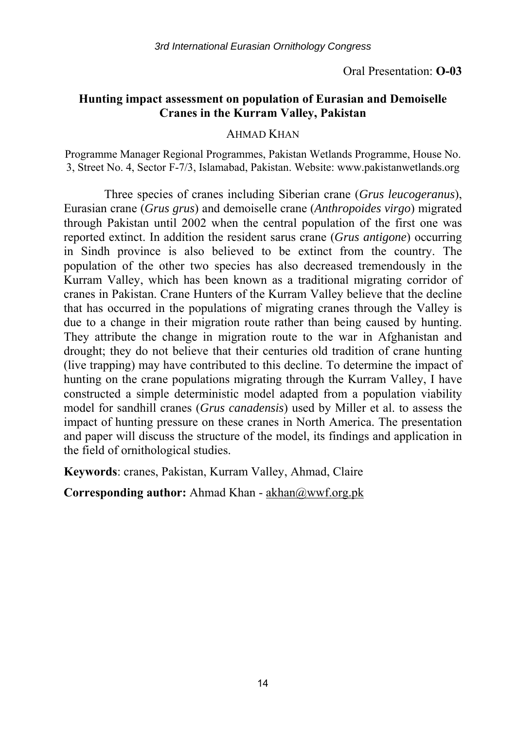#### **Hunting impact assessment on population of Eurasian and Demoiselle Cranes in the Kurram Valley, Pakistan**

#### AHMAD KHAN

Programme Manager Regional Programmes, Pakistan Wetlands Programme, House No. 3, Street No. 4, Sector F-7/3, Islamabad, Pakistan. Website: www.pakistanwetlands.org

Three species of cranes including Siberian crane (*Grus leucogeranus*), Eurasian crane (*Grus grus*) and demoiselle crane (*Anthropoides virgo*) migrated through Pakistan until 2002 when the central population of the first one was reported extinct. In addition the resident sarus crane (*Grus antigone*) occurring in Sindh province is also believed to be extinct from the country. The population of the other two species has also decreased tremendously in the Kurram Valley, which has been known as a traditional migrating corridor of cranes in Pakistan. Crane Hunters of the Kurram Valley believe that the decline that has occurred in the populations of migrating cranes through the Valley is due to a change in their migration route rather than being caused by hunting. They attribute the change in migration route to the war in Afghanistan and drought; they do not believe that their centuries old tradition of crane hunting (live trapping) may have contributed to this decline. To determine the impact of hunting on the crane populations migrating through the Kurram Valley, I have constructed a simple deterministic model adapted from a population viability model for sandhill cranes (*Grus canadensis*) used by Miller et al. to assess the impact of hunting pressure on these cranes in North America. The presentation and paper will discuss the structure of the model, its findings and application in the field of ornithological studies.

**Keywords**: cranes, Pakistan, Kurram Valley, Ahmad, Claire

Corresponding author: Ahmad Khan - akhan@wwf.org.pk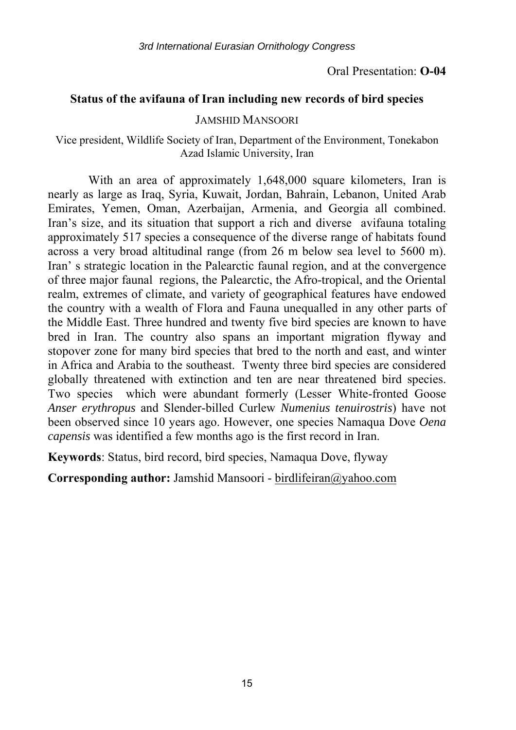#### Oral Presentation: **O-04**

#### **Status of the avifauna of Iran including new records of bird species**

#### JAMSHID MANSOORI

#### Vice president, Wildlife Society of Iran, Department of the Environment, Tonekabon Azad Islamic University, Iran

With an area of approximately 1,648,000 square kilometers, Iran is nearly as large as Iraq, Syria, Kuwait, Jordan, Bahrain, Lebanon, United Arab Emirates, Yemen, Oman, Azerbaijan, Armenia, and Georgia all combined. Iran's size, and its situation that support a rich and diverse avifauna totaling approximately 517 species a consequence of the diverse range of habitats found across a very broad altitudinal range (from 26 m below sea level to 5600 m). Iran' s strategic location in the Palearctic faunal region, and at the convergence of three major faunal regions, the Palearctic, the Afro-tropical, and the Oriental realm, extremes of climate, and variety of geographical features have endowed the country with a wealth of Flora and Fauna unequalled in any other parts of the Middle East. Three hundred and twenty five bird species are known to have bred in Iran. The country also spans an important migration flyway and stopover zone for many bird species that bred to the north and east, and winter in Africa and Arabia to the southeast. Twenty three bird species are considered globally threatened with extinction and ten are near threatened bird species. Two species which were abundant formerly (Lesser White-fronted Goose *Anser erythropus* and Slender-billed Curlew *Numenius tenuirostris*) have not been observed since 10 years ago. However, one species Namaqua Dove *Oena capensis* was identified a few months ago is the first record in Iran.

**Keywords**: Status, bird record, bird species, Namaqua Dove, flyway

**Corresponding author:** Jamshid Mansoori - birdlifeiran@yahoo.com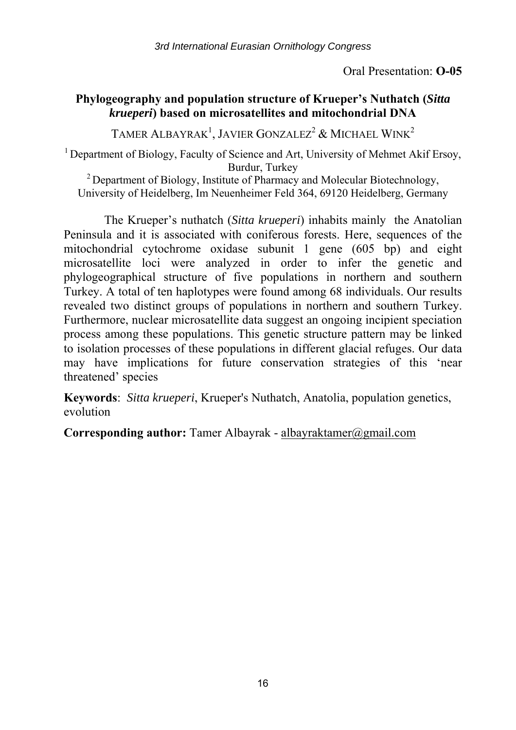#### Oral Presentation: **O-05**

## **Phylogeography and population structure of Krueper's Nuthatch (***Sitta krueperi***) based on microsatellites and mitochondrial DNA**

TAMER ALBAYRAK<sup>1</sup>, JAVIER GONZALEZ<sup>2</sup> & MICHAEL WINK<sup>2</sup>

<sup>1</sup> Department of Biology, Faculty of Science and Art, University of Mehmet Akif Ersoy, Burdur, Turkey<br><sup>2</sup> Department of Biology, Institute of Pharmacy and Molecular Biotechnology,

University of Heidelberg, Im Neuenheimer Feld 364, 69120 Heidelberg, Germany

The Krueper's nuthatch (*Sitta krueperi*) inhabits mainly the Anatolian Peninsula and it is associated with coniferous forests. Here, sequences of the mitochondrial cytochrome oxidase subunit 1 gene (605 bp) and eight microsatellite loci were analyzed in order to infer the genetic and phylogeographical structure of five populations in northern and southern Turkey. A total of ten haplotypes were found among 68 individuals. Our results revealed two distinct groups of populations in northern and southern Turkey. Furthermore, nuclear microsatellite data suggest an ongoing incipient speciation process among these populations. This genetic structure pattern may be linked to isolation processes of these populations in different glacial refuges. Our data may have implications for future conservation strategies of this 'near threatened' species

**Keywords**: *Sitta krueperi*, Krueper's Nuthatch, Anatolia, population genetics, evolution

**Corresponding author:** Tamer Albayrak - albayraktamer@gmail.com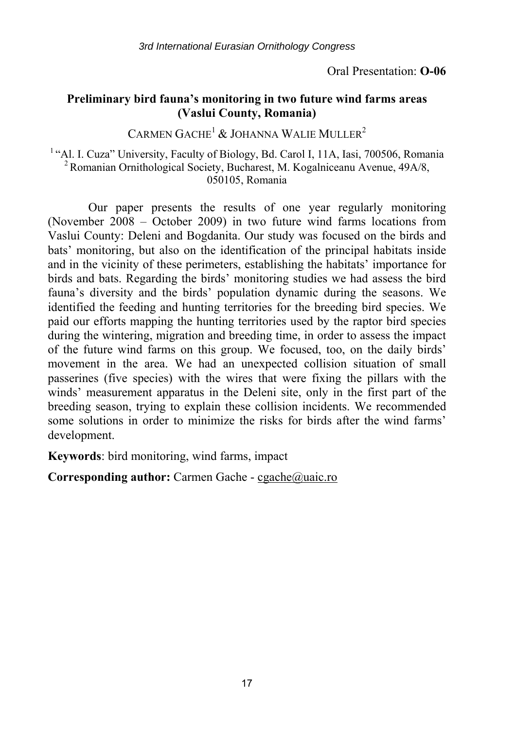Oral Presentation: **O-06** 

## **Preliminary bird fauna's monitoring in two future wind farms areas (Vaslui County, Romania)**

CARMEN  $GACHE<sup>1</sup>$  & JOHANNA WALIE MULLER<sup>2</sup>

<sup>1</sup> "Al. I. Cuza" University, Faculty of Biology, Bd. Carol I, 11A, Iasi, 700506, Romania<sup>2</sup> Romanian Ornithological Society, Bucharest, M. Kogalniceanu Avenue, 49A/8, 050105, Romania

Our paper presents the results of one year regularly monitoring (November 2008 – October 2009) in two future wind farms locations from Vaslui County: Deleni and Bogdanita. Our study was focused on the birds and bats' monitoring, but also on the identification of the principal habitats inside and in the vicinity of these perimeters, establishing the habitats' importance for birds and bats. Regarding the birds' monitoring studies we had assess the bird fauna's diversity and the birds' population dynamic during the seasons. We identified the feeding and hunting territories for the breeding bird species. We paid our efforts mapping the hunting territories used by the raptor bird species during the wintering, migration and breeding time, in order to assess the impact of the future wind farms on this group. We focused, too, on the daily birds' movement in the area. We had an unexpected collision situation of small passerines (five species) with the wires that were fixing the pillars with the winds' measurement apparatus in the Deleni site, only in the first part of the breeding season, trying to explain these collision incidents. We recommended some solutions in order to minimize the risks for birds after the wind farms' development.

**Keywords**: bird monitoring, wind farms, impact

**Corresponding author:** Carmen Gache - cgache@uaic.ro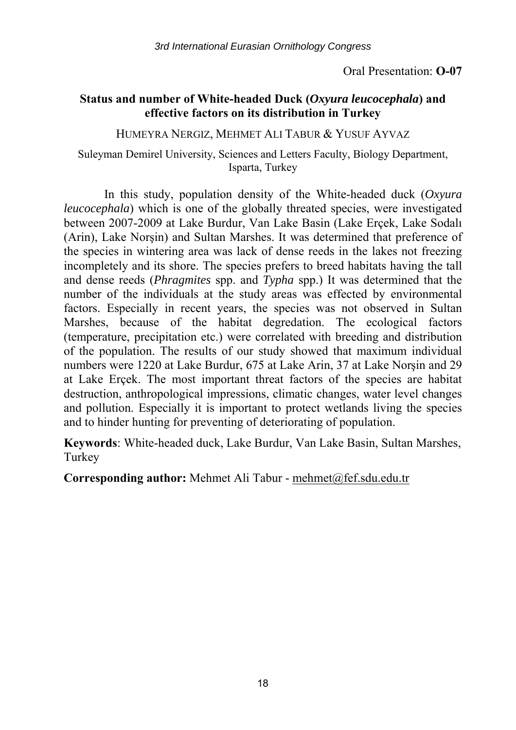Oral Presentation: **O-07** 

## **Status and number of White-headed Duck (***Oxyura leucocephala***) and effective factors on its distribution in Turkey**

HUMEYRA NERGIZ, MEHMET ALI TABUR & YUSUF AYVAZ

Suleyman Demirel University, Sciences and Letters Faculty, Biology Department, Isparta, Turkey

In this study, population density of the White-headed duck (*Oxyura leucocephala*) which is one of the globally threated species, were investigated between 2007-2009 at Lake Burdur, Van Lake Basin (Lake Erçek, Lake Sodalı (Arin), Lake Norşin) and Sultan Marshes. It was determined that preference of the species in wintering area was lack of dense reeds in the lakes not freezing incompletely and its shore. The species prefers to breed habitats having the tall and dense reeds (*Phragmites* spp. and *Typha* spp.) It was determined that the number of the individuals at the study areas was effected by environmental factors. Especially in recent years, the species was not observed in Sultan Marshes, because of the habitat degredation. The ecological factors (temperature, precipitation etc.) were correlated with breeding and distribution of the population. The results of our study showed that maximum individual numbers were 1220 at Lake Burdur, 675 at Lake Arin, 37 at Lake Norşin and 29 at Lake Erçek. The most important threat factors of the species are habitat destruction, anthropological impressions, climatic changes, water level changes and pollution. Especially it is important to protect wetlands living the species and to hinder hunting for preventing of deteriorating of population.

**Keywords**: White-headed duck, Lake Burdur, Van Lake Basin, Sultan Marshes, Turkey

**Corresponding author:** Mehmet Ali Tabur - mehmet@fef.sdu.edu.tr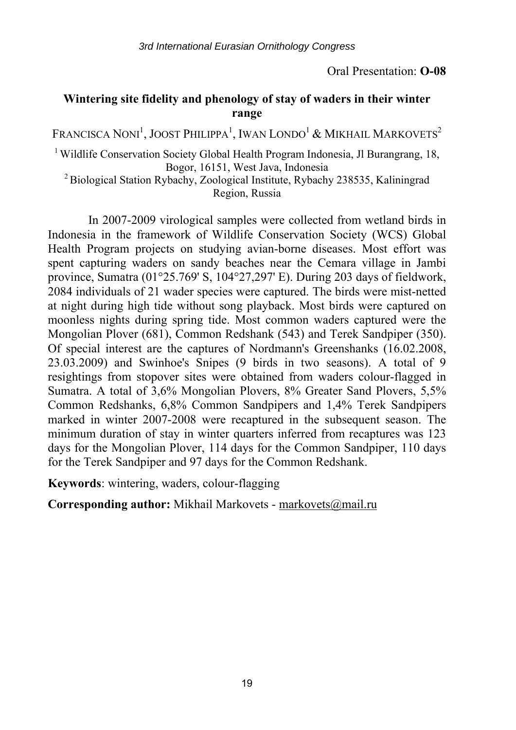## **Wintering site fidelity and phenology of stay of waders in their winter range**

Francisca Noni<sup>1</sup>, Joost Philippa<sup>1</sup>, Iwan Londo<sup>1</sup> & Mikhail Markovets<sup>2</sup>

<sup>1</sup> Wildlife Conservation Society Global Health Program Indonesia, Jl Burangrang, 18, Bogor, 16151, West Java, Indonesia 2 Biological Station Rybachy, Zoological Institute, Rybachy 238535, Kaliningrad

Region, Russia

In 2007-2009 virological samples were collected from wetland birds in Indonesia in the framework of Wildlife Conservation Society (WCS) Global Health Program projects on studying avian-borne diseases. Most effort was spent capturing waders on sandy beaches near the Cemara village in Jambi province, Sumatra (01°25.769' S, 104°27,297' E). During 203 days of fieldwork, 2084 individuals of 21 wader species were captured. The birds were mist-netted at night during high tide without song playback. Most birds were captured on moonless nights during spring tide. Most common waders captured were the Mongolian Plover (681), Common Redshank (543) and Terek Sandpiper (350). Of special interest are the captures of Nordmann's Greenshanks (16.02.2008, 23.03.2009) and Swinhoe's Snipes (9 birds in two seasons). A total of 9 resightings from stopover sites were obtained from waders colour-flagged in Sumatra. A total of 3,6% Mongolian Plovers, 8% Greater Sand Plovers, 5,5% Common Redshanks, 6,8% Common Sandpipers and 1,4% Terek Sandpipers marked in winter 2007-2008 were recaptured in the subsequent season. The minimum duration of stay in winter quarters inferred from recaptures was 123 days for the Mongolian Plover, 114 days for the Common Sandpiper, 110 days for the Terek Sandpiper and 97 days for the Common Redshank.

**Keywords**: wintering, waders, colour-flagging

**Corresponding author:** Mikhail Markovets - markovets@mail.ru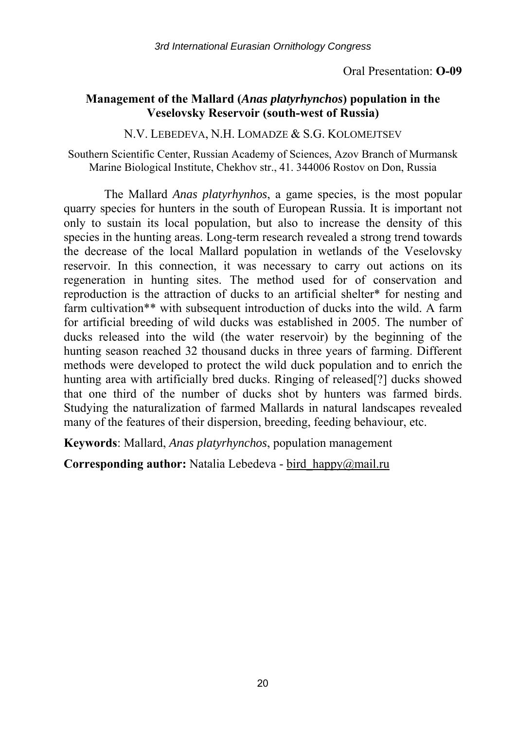## **Management of the Mallard (***Anas platyrhynchos***) population in the Veselovsky Reservoir (south-west of Russia)**

N.V. LEBEDEVA, N.H. LOMADZE & S.G. KOLOMEJTSEV

Southern Scientific Center, Russian Academy of Sciences, Azov Branch of Murmansk Marine Biological Institute, Chekhov str., 41. 344006 Rostov on Don, Russia

The Mallard *Anas platyrhynhos*, a game species, is the most popular quarry species for hunters in the south of European Russia. It is important not only to sustain its local population, but also to increase the density of this species in the hunting areas. Long-term research revealed a strong trend towards the decrease of the local Mallard population in wetlands of the Veselovsky reservoir. In this connection, it was necessary to carry out actions on its regeneration in hunting sites. The method used for of conservation and reproduction is the attraction of ducks to an artificial shelter\* for nesting and farm cultivation\*\* with subsequent introduction of ducks into the wild. A farm for artificial breeding of wild ducks was established in 2005. The number of ducks released into the wild (the water reservoir) by the beginning of the hunting season reached 32 thousand ducks in three years of farming. Different methods were developed to protect the wild duck population and to enrich the hunting area with artificially bred ducks. Ringing of released[?] ducks showed that one third of the number of ducks shot by hunters was farmed birds. Studying the naturalization of farmed Mallards in natural landscapes revealed many of the features of their dispersion, breeding, feeding behaviour, etc.

**Keywords**: Mallard, *Anas platyrhynchos*, population management

**Corresponding author:** Natalia Lebedeva - bird\_happy@mail.ru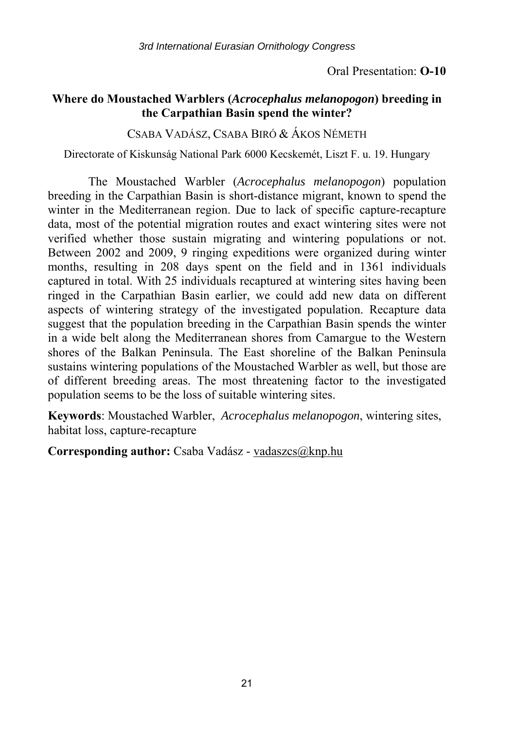## **Where do Moustached Warblers (***Acrocephalus melanopogon***) breeding in the Carpathian Basin spend the winter?**

#### CSABA VADÁSZ, CSABA BIRÓ & ÁKOS NÉMETH

Directorate of Kiskunság National Park 6000 Kecskemét, Liszt F. u. 19. Hungary

The Moustached Warbler (*Acrocephalus melanopogon*) population breeding in the Carpathian Basin is short-distance migrant, known to spend the winter in the Mediterranean region. Due to lack of specific capture-recapture data, most of the potential migration routes and exact wintering sites were not verified whether those sustain migrating and wintering populations or not. Between 2002 and 2009, 9 ringing expeditions were organized during winter months, resulting in 208 days spent on the field and in 1361 individuals captured in total. With 25 individuals recaptured at wintering sites having been ringed in the Carpathian Basin earlier, we could add new data on different aspects of wintering strategy of the investigated population. Recapture data suggest that the population breeding in the Carpathian Basin spends the winter in a wide belt along the Mediterranean shores from Camargue to the Western shores of the Balkan Peninsula. The East shoreline of the Balkan Peninsula sustains wintering populations of the Moustached Warbler as well, but those are of different breeding areas. The most threatening factor to the investigated population seems to be the loss of suitable wintering sites.

**Keywords**: Moustached Warbler, *Acrocephalus melanopogon*, wintering sites, habitat loss, capture-recapture

**Corresponding author:** Csaba Vadász - vadaszcs@knp.hu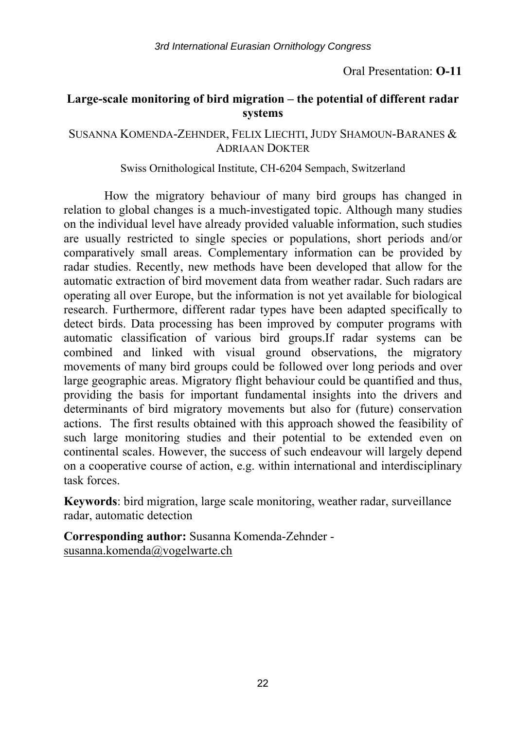## Oral Presentation: **O-11**

## **Large-scale monitoring of bird migration – the potential of different radar systems**

#### SUSANNA KOMENDA-ZEHNDER, FELIX LIECHTI, JUDY SHAMOUN-BARANES & ADRIAAN DOKTER

#### Swiss Ornithological Institute, CH-6204 Sempach, Switzerland

How the migratory behaviour of many bird groups has changed in relation to global changes is a much-investigated topic. Although many studies on the individual level have already provided valuable information, such studies are usually restricted to single species or populations, short periods and/or comparatively small areas. Complementary information can be provided by radar studies. Recently, new methods have been developed that allow for the automatic extraction of bird movement data from weather radar. Such radars are operating all over Europe, but the information is not yet available for biological research. Furthermore, different radar types have been adapted specifically to detect birds. Data processing has been improved by computer programs with automatic classification of various bird groups.If radar systems can be combined and linked with visual ground observations, the migratory movements of many bird groups could be followed over long periods and over large geographic areas. Migratory flight behaviour could be quantified and thus, providing the basis for important fundamental insights into the drivers and determinants of bird migratory movements but also for (future) conservation actions. The first results obtained with this approach showed the feasibility of such large monitoring studies and their potential to be extended even on continental scales. However, the success of such endeavour will largely depend on a cooperative course of action, e.g. within international and interdisciplinary task forces.

**Keywords**: bird migration, large scale monitoring, weather radar, surveillance radar, automatic detection

**Corresponding author:** Susanna Komenda-Zehnder susanna.komenda@vogelwarte.ch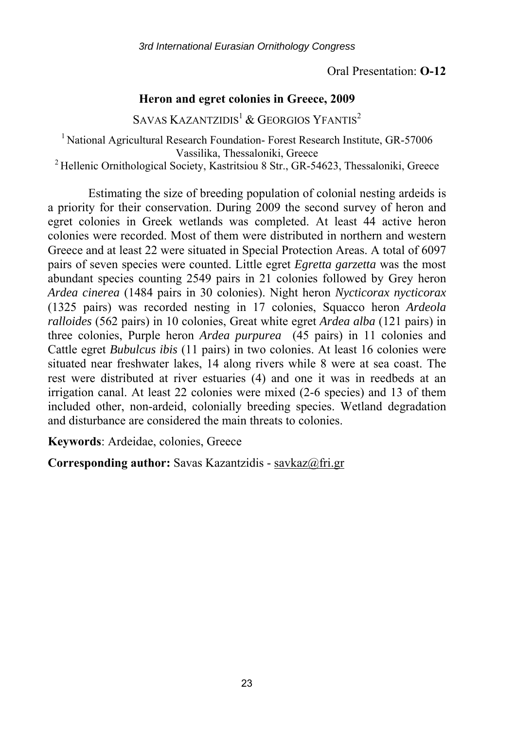Oral Presentation: **O-12** 

#### **Heron and egret colonies in Greece, 2009**

SAVAS KAZANTZIDIS<sup>1</sup> & GEORGIOS YFANTIS<sup>2</sup>

<sup>1</sup> National Agricultural Research Foundation- Forest Research Institute, GR-57006 Vassilika, Thessaloniki, Greece<br><sup>2</sup> Hellenic Ornithological Society, Kastritsiou 8 Str., GR-54623, Thessaloniki, Greece

Estimating the size of breeding population of colonial nesting ardeids is a priority for their conservation. During 2009 the second survey of heron and egret colonies in Greek wetlands was completed. At least 44 active heron colonies were recorded. Most of them were distributed in northern and western Greece and at least 22 were situated in Special Protection Areas. A total of 6097 pairs of seven species were counted. Little egret *Egretta garzetta* was the most abundant species counting 2549 pairs in 21 colonies followed by Grey heron *Ardea cinerea* (1484 pairs in 30 colonies). Night heron *Nycticorax nycticorax* (1325 pairs) was recorded nesting in 17 colonies, Squacco heron *Ardeola ralloides* (562 pairs) in 10 colonies, Great white egret *Ardea alba* (121 pairs) in three colonies, Purple heron *Ardea purpurea* (45 pairs) in 11 colonies and Cattle egret *Bubulcus ibis* (11 pairs) in two colonies. At least 16 colonies were situated near freshwater lakes, 14 along rivers while 8 were at sea coast. The rest were distributed at river estuaries (4) and one it was in reedbeds at an irrigation canal. At least 22 colonies were mixed (2-6 species) and 13 of them included other, non-ardeid, colonially breeding species. Wetland degradation and disturbance are considered the main threats to colonies.

**Keywords**: Ardeidae, colonies, Greece

**Corresponding author:** Savas Kazantzidis - savkaz@fri.gr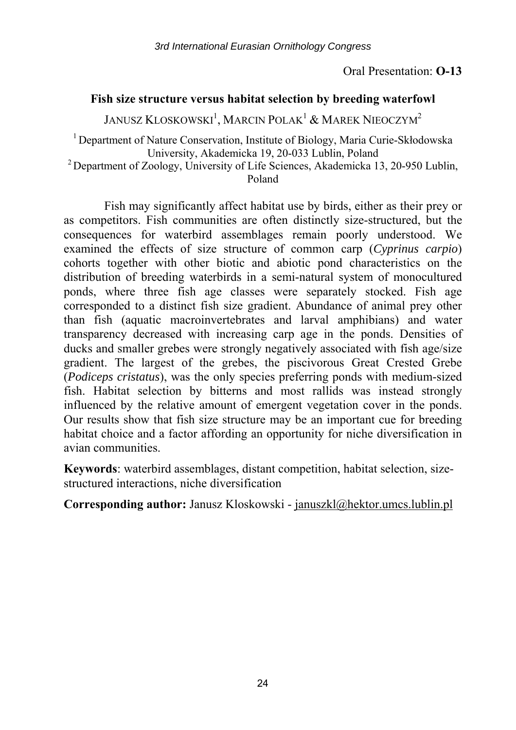#### Oral Presentation: **O-13**

## **Fish size structure versus habitat selection by breeding waterfowl**

JANUSZ KLOSKOWSKI $^1$ , MARCIN POLAK $^1$  & MAREK NIEOCZYM $^2$ 

<sup>1</sup> Department of Nature Conservation, Institute of Biology, Maria Curie-Skłodowska

University, Akademicka 19, 20-033 Lublin, Poland 2 Department of Zoology, University of Life Sciences, Akademicka 13, 20-950 Lublin, Poland

Fish may significantly affect habitat use by birds, either as their prey or as competitors. Fish communities are often distinctly size-structured, but the consequences for waterbird assemblages remain poorly understood. We examined the effects of size structure of common carp (*Cyprinus carpio*) cohorts together with other biotic and abiotic pond characteristics on the distribution of breeding waterbirds in a semi-natural system of monocultured ponds, where three fish age classes were separately stocked. Fish age corresponded to a distinct fish size gradient. Abundance of animal prey other than fish (aquatic macroinvertebrates and larval amphibians) and water transparency decreased with increasing carp age in the ponds. Densities of ducks and smaller grebes were strongly negatively associated with fish age/size gradient. The largest of the grebes, the piscivorous Great Crested Grebe (*Podiceps cristatus*), was the only species preferring ponds with medium-sized fish. Habitat selection by bitterns and most rallids was instead strongly influenced by the relative amount of emergent vegetation cover in the ponds. Our results show that fish size structure may be an important cue for breeding habitat choice and a factor affording an opportunity for niche diversification in avian communities.

**Keywords**: waterbird assemblages, distant competition, habitat selection, sizestructured interactions, niche diversification

**Corresponding author:** Janusz Kloskowski - januszkl@hektor.umcs.lublin.pl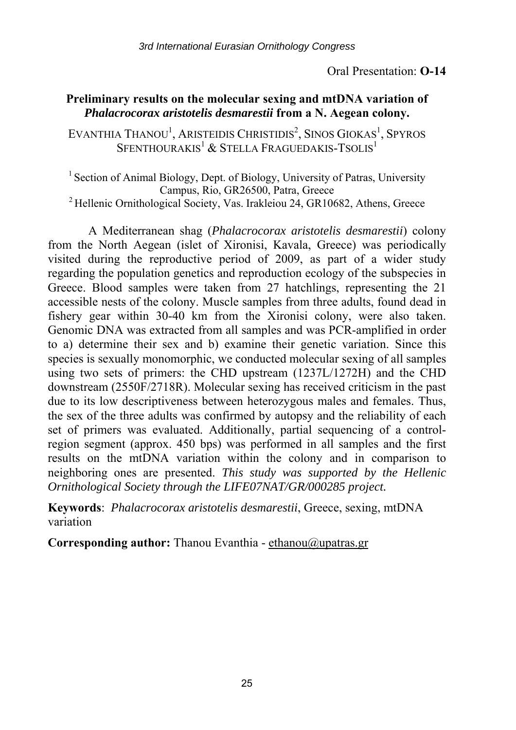#### **Preliminary results on the molecular sexing and mtDNA variation of**  *Phalacrocorax aristotelis desmarestii* **from a N. Aegean colony.**

EVANTHIA THANOU<sup>1</sup>, ARISTEIDIS CHRISTIDIS<sup>2</sup>, SINOS GIOKAS<sup>1</sup>, SPYROS SFENTHOURAKIS<sup>1</sup> & STELLA FRAGUEDAKIS-TSOLIS<sup>1</sup>

<sup>1</sup> Section of Animal Biology, Dept. of Biology, University of Patras, University Campus, Rio, GR26500, Patra, Greece 2 Hellenic Ornithological Society, Vas. Irakleiou 24, GR10682, Athens, Greece

A Mediterranean shag (*Phalacrocorax aristotelis desmarestii*) colony from the North Aegean (islet of Xironisi, Kavala, Greece) was periodically visited during the reproductive period of 2009, as part of a wider study regarding the population genetics and reproduction ecology of the subspecies in Greece. Blood samples were taken from 27 hatchlings, representing the 21 accessible nests of the colony. Muscle samples from three adults, found dead in fishery gear within 30-40 km from the Xironisi colony, were also taken. Genomic DNA was extracted from all samples and was PCR-amplified in order to a) determine their sex and b) examine their genetic variation. Since this species is sexually monomorphic, we conducted molecular sexing of all samples using two sets of primers: the CHD upstream (1237L/1272H) and the CHD downstream (2550F/2718R). Molecular sexing has received criticism in the past due to its low descriptiveness between heterozygous males and females. Thus, the sex of the three adults was confirmed by autopsy and the reliability of each set of primers was evaluated. Additionally, partial sequencing of a controlregion segment (approx. 450 bps) was performed in all samples and the first results on the mtDNA variation within the colony and in comparison to neighboring ones are presented. *This study was supported by the Hellenic Ornithological Society through the LIFE07NAT/GR/000285 project.*

**Keywords**: *Phalacrocorax aristotelis desmarestii*, Greece, sexing, mtDNA variation

**Corresponding author:** Thanou Evanthia - ethanou@upatras.gr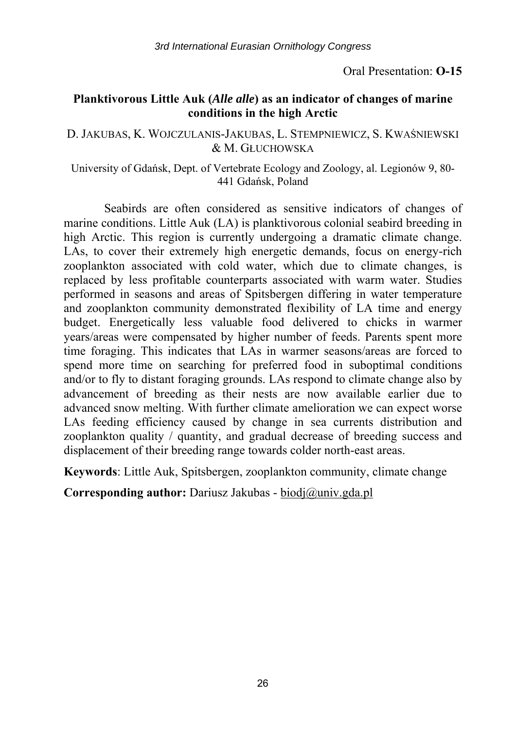Oral Presentation: **O-15** 

## **Planktivorous Little Auk (***Alle alle***) as an indicator of changes of marine conditions in the high Arctic**

#### D. JAKUBAS, K. WOJCZULANIS-JAKUBAS, L. STEMPNIEWICZ, S. KWAŚNIEWSKI & M. GŁUCHOWSKA

University of Gdańsk, Dept. of Vertebrate Ecology and Zoology, al. Legionów 9, 80- 441 Gdańsk, Poland

Seabirds are often considered as sensitive indicators of changes of marine conditions. Little Auk (LA) is planktivorous colonial seabird breeding in high Arctic. This region is currently undergoing a dramatic climate change. LAs, to cover their extremely high energetic demands, focus on energy-rich zooplankton associated with cold water, which due to climate changes, is replaced by less profitable counterparts associated with warm water. Studies performed in seasons and areas of Spitsbergen differing in water temperature and zooplankton community demonstrated flexibility of LA time and energy budget. Energetically less valuable food delivered to chicks in warmer years/areas were compensated by higher number of feeds. Parents spent more time foraging. This indicates that LAs in warmer seasons/areas are forced to spend more time on searching for preferred food in suboptimal conditions and/or to fly to distant foraging grounds. LAs respond to climate change also by advancement of breeding as their nests are now available earlier due to advanced snow melting. With further climate amelioration we can expect worse LAs feeding efficiency caused by change in sea currents distribution and zooplankton quality / quantity, and gradual decrease of breeding success and displacement of their breeding range towards colder north-east areas.

**Keywords**: Little Auk, Spitsbergen, zooplankton community, climate change

**Corresponding author:** Dariusz Jakubas - biodj@univ.gda.pl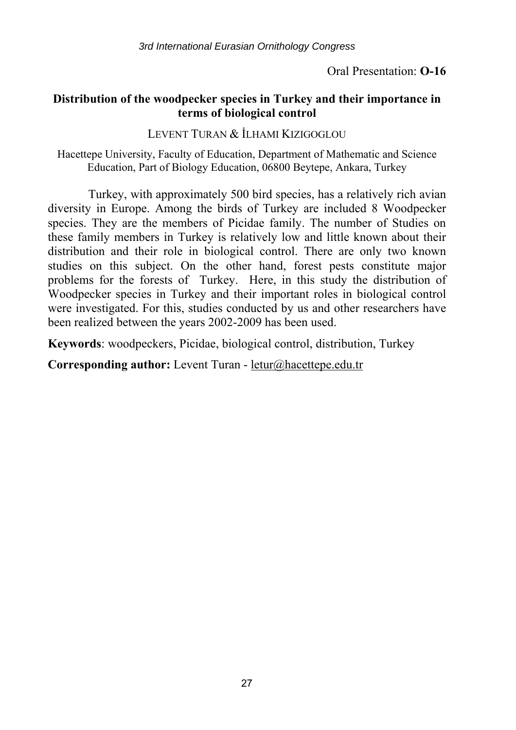Oral Presentation: **O-16** 

## **Distribution of the woodpecker species in Turkey and their importance in terms of biological control**

LEVENT TURAN & İLHAMI KIZIGOGLOU

Hacettepe University, Faculty of Education, Department of Mathematic and Science Education, Part of Biology Education, 06800 Beytepe, Ankara, Turkey

Turkey, with approximately 500 bird species, has a relatively rich avian diversity in Europe. Among the birds of Turkey are included 8 Woodpecker species. They are the members of Picidae family. The number of Studies on these family members in Turkey is relatively low and little known about their distribution and their role in biological control. There are only two known studies on this subject. On the other hand, forest pests constitute major problems for the forests of Turkey. Here, in this study the distribution of Woodpecker species in Turkey and their important roles in biological control were investigated. For this, studies conducted by us and other researchers have been realized between the years 2002-2009 has been used.

**Keywords**: woodpeckers, Picidae, biological control, distribution, Turkey

**Corresponding author:** Levent Turan - letur@hacettepe.edu.tr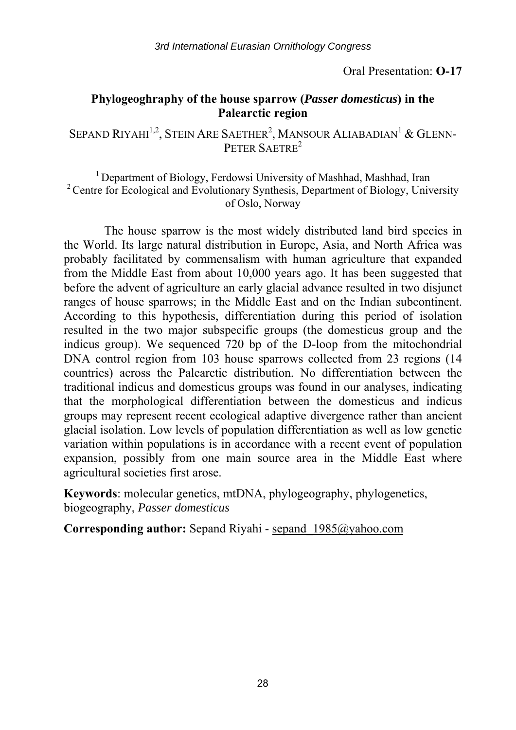Oral Presentation: **O-17** 

## **Phylogeoghraphy of the house sparrow (***Passer domesticus***) in the Palearctic region**

SEPAND RIYAHI<sup>1,2</sup>, STEIN ARE SAETHER<sup>2</sup>, MANSOUR ALIABADIAN<sup>1</sup> & GLENN-PETER SAETRE<sup>2</sup>

<sup>1</sup> Department of Biology, Ferdowsi University of Mashhad, Mashhad, Iran <sup>2</sup> Centre for Ecological and Evolutionary Synthesis, Department of Biology, University of Oslo, Norway

The house sparrow is the most widely distributed land bird species in the World. Its large natural distribution in Europe, Asia, and North Africa was probably facilitated by commensalism with human agriculture that expanded from the Middle East from about 10,000 years ago. It has been suggested that before the advent of agriculture an early glacial advance resulted in two disjunct ranges of house sparrows; in the Middle East and on the Indian subcontinent. According to this hypothesis, differentiation during this period of isolation resulted in the two major subspecific groups (the domesticus group and the indicus group). We sequenced 720 bp of the D-loop from the mitochondrial DNA control region from 103 house sparrows collected from 23 regions (14 countries) across the Palearctic distribution. No differentiation between the traditional indicus and domesticus groups was found in our analyses, indicating that the morphological differentiation between the domesticus and indicus groups may represent recent ecological adaptive divergence rather than ancient glacial isolation. Low levels of population differentiation as well as low genetic variation within populations is in accordance with a recent event of population expansion, possibly from one main source area in the Middle East where agricultural societies first arose.

**Keywords**: molecular genetics, mtDNA, phylogeography, phylogenetics, biogeography, *Passer domesticus*

**Corresponding author:** Sepand Riyahi - sepand\_1985@yahoo.com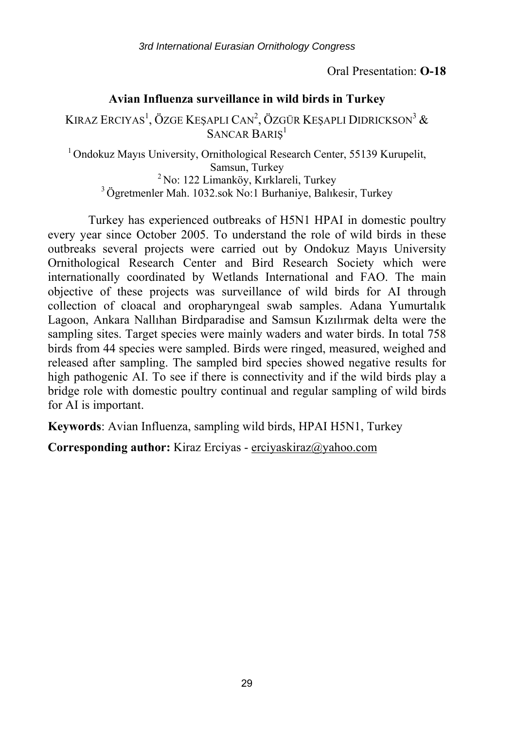Oral Presentation: **O-18** 

#### **Avian Influenza surveillance in wild birds in Turkey**

Kıraz Erciyas<sup>1</sup>, Özge Keşaplı Can<sup>2</sup>, Özgür Keşaplı Didrickson<sup>3</sup> & SANCAR BARIŞ<sup>1</sup>

 $1$ Ondokuz Mayıs University, Ornithological Research Center, 55139 Kurupelit, Samsun, Turkey<br><sup>2</sup> No: 122 Limanköy, Kırklareli, Turkey<sup>3</sup> Ögretmenler Mah. 1032.sok No:1 Burhaniye, Balıkesir, Turkey

Turkey has experienced outbreaks of H5N1 HPAI in domestic poultry every year since October 2005. To understand the role of wild birds in these outbreaks several projects were carried out by Ondokuz Mayıs University Ornithological Research Center and Bird Research Society which were internationally coordinated by Wetlands International and FAO. The main objective of these projects was surveillance of wild birds for AI through collection of cloacal and oropharyngeal swab samples. Adana Yumurtalık Lagoon, Ankara Nallıhan Birdparadise and Samsun Kızılırmak delta were the sampling sites. Target species were mainly waders and water birds. In total 758 birds from 44 species were sampled. Birds were ringed, measured, weighed and released after sampling. The sampled bird species showed negative results for high pathogenic AI. To see if there is connectivity and if the wild birds play a bridge role with domestic poultry continual and regular sampling of wild birds for AI is important.

**Keywords**: Avian Influenza, sampling wild birds, HPAI H5N1, Turkey

**Corresponding author:** Kiraz Erciyas - erciyaskiraz@yahoo.com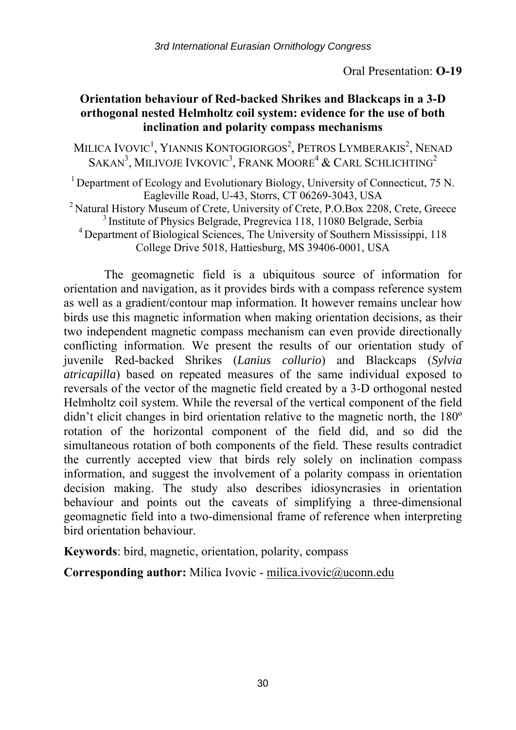## **Orientation behaviour of Red-backed Shrikes and Blackcaps in a 3-D orthogonal nested Helmholtz coil system: evidence for the use of both inclination and polarity compass mechanisms**

MILICA IVOVIC<sup>1</sup>, YIANNIS KONTOGIORGOS<sup>2</sup>, PETROS LYMBERAKIS<sup>2</sup>, NENAD SAKAN<sup>3</sup>, MILIVOJE IVKOVIC<sup>3</sup>, FRANK MOORE<sup>4</sup> & CARL SCHLICHTING<sup>2</sup>

<sup>1</sup> Department of Ecology and Evolutionary Biology, University of Connecticut, 75 N.

Eagleville Road, U-43, Storrs, CT 06269-3043, USA<br><sup>2</sup> Natural History Museum of Crete, University of Crete, P.O.Box 2208, Crete, Greece<br><sup>3</sup> Institute of Physics Belgrade, Pregrevica 118, 11080 Belgrade, Serbia<br><sup>4</sup> Departme

College Drive 5018, Hattiesburg, MS 39406-0001, USA

The geomagnetic field is a ubiquitous source of information for orientation and navigation, as it provides birds with a compass reference system as well as a gradient/contour map information. It however remains unclear how birds use this magnetic information when making orientation decisions, as their two independent magnetic compass mechanism can even provide directionally conflicting information. We present the results of our orientation study of juvenile Red-backed Shrikes (*Lanius collurio*) and Blackcaps (*Sylvia atricapilla*) based on repeated measures of the same individual exposed to reversals of the vector of the magnetic field created by a 3-D orthogonal nested Helmholtz coil system. While the reversal of the vertical component of the field didn't elicit changes in bird orientation relative to the magnetic north, the 180º rotation of the horizontal component of the field did, and so did the simultaneous rotation of both components of the field. These results contradict the currently accepted view that birds rely solely on inclination compass information, and suggest the involvement of a polarity compass in orientation decision making. The study also describes idiosyncrasies in orientation behaviour and points out the caveats of simplifying a three-dimensional geomagnetic field into a two-dimensional frame of reference when interpreting bird orientation behaviour.

**Keywords**: bird, magnetic, orientation, polarity, compass

**Corresponding author:** Milica Ivovic - milica.ivovic@uconn.edu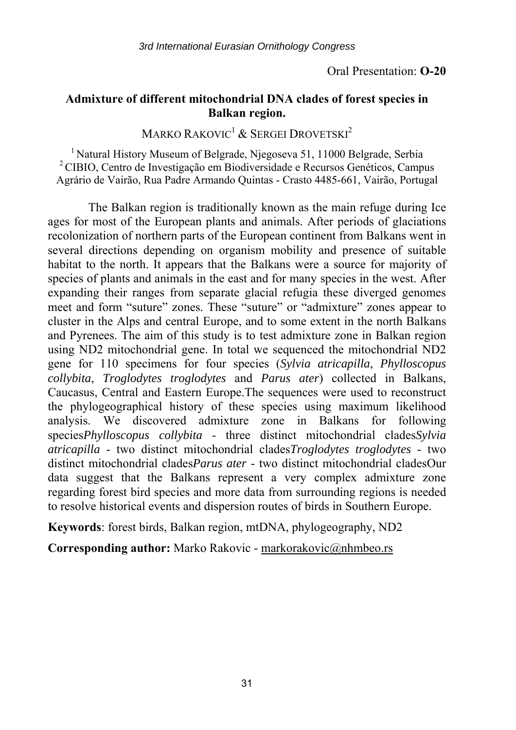#### **Admixture of different mitochondrial DNA clades of forest species in Balkan region.**

MARKO RAKOVIC<sup>1</sup> & SERGEI DROVETSKI<sup>2</sup>

1 Natural History Museum of Belgrade, Njegoseva 51, 11000 Belgrade, Serbia 2 CIBIO, Centro de Investigação em Biodiversidade e Recursos Genéticos, Campus Agrário de Vairão, Rua Padre Armando Quintas - Crasto 4485-661, Vairão, Portugal

The Balkan region is traditionally known as the main refuge during Ice ages for most of the European plants and animals. After periods of glaciations recolonization of northern parts of the European continent from Balkans went in several directions depending on organism mobility and presence of suitable habitat to the north. It appears that the Balkans were a source for majority of species of plants and animals in the east and for many species in the west. After expanding their ranges from separate glacial refugia these diverged genomes meet and form "suture" zones. These "suture" or "admixture" zones appear to cluster in the Alps and central Europe, and to some extent in the north Balkans and Pyrenees. The aim of this study is to test admixture zone in Balkan region using ND2 mitochondrial gene. In total we sequenced the mitochondrial ND2 gene for 110 specimens for four species (*Sylvia atricapilla*, *Phylloscopus collybita*, *Troglodytes troglodytes* and *Parus ater*) collected in Balkans, Caucasus, Central and Eastern Europe.The sequences were used to reconstruct the phylogeographical history of these species using maximum likelihood analysis. We discovered admixture zone in Balkans for following species*Phylloscopus collybita* - three distinct mitochondrial clades*Sylvia atricapilla* - two distinct mitochondrial clades*Troglodytes troglodytes* - two distinct mitochondrial clades*Parus ater* - two distinct mitochondrial cladesOur data suggest that the Balkans represent a very complex admixture zone regarding forest bird species and more data from surrounding regions is needed to resolve historical events and dispersion routes of birds in Southern Europe.

**Keywords**: forest birds, Balkan region, mtDNA, phylogeography, ND2

**Corresponding author:** Marko Rakovic - markorakovic@nhmbeo.rs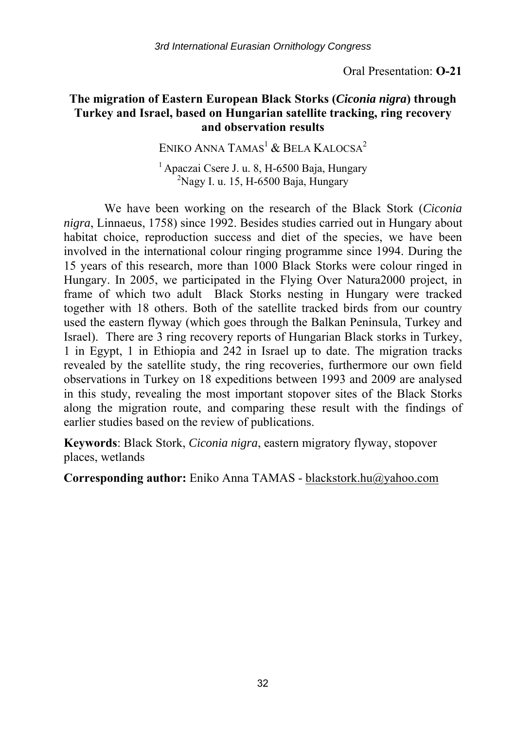Oral Presentation: **O-21** 

## **The migration of Eastern European Black Storks (***Ciconia nigra***) through Turkey and Israel, based on Hungarian satellite tracking, ring recovery and observation results**

ENIKO ANNA TAMAS<sup>1</sup> & BELA KALOCSA<sup>2</sup>

 $<sup>1</sup>$  Apaczai Csere J. u. 8, H-6500 Baja, Hungary</sup>  $^{2}$ Nagy I. u. 15, H-6500 Baja, Hungary

We have been working on the research of the Black Stork (*Ciconia nigra*, Linnaeus, 1758) since 1992. Besides studies carried out in Hungary about habitat choice, reproduction success and diet of the species, we have been involved in the international colour ringing programme since 1994. During the 15 years of this research, more than 1000 Black Storks were colour ringed in Hungary. In 2005, we participated in the Flying Over Natura2000 project, in frame of which two adult Black Storks nesting in Hungary were tracked together with 18 others. Both of the satellite tracked birds from our country used the eastern flyway (which goes through the Balkan Peninsula, Turkey and Israel). There are 3 ring recovery reports of Hungarian Black storks in Turkey, 1 in Egypt, 1 in Ethiopia and 242 in Israel up to date. The migration tracks revealed by the satellite study, the ring recoveries, furthermore our own field observations in Turkey on 18 expeditions between 1993 and 2009 are analysed in this study, revealing the most important stopover sites of the Black Storks along the migration route, and comparing these result with the findings of earlier studies based on the review of publications.

**Keywords**: Black Stork, *Ciconia nigra*, eastern migratory flyway, stopover places, wetlands

**Corresponding author:** Eniko Anna TAMAS - blackstork.hu@yahoo.com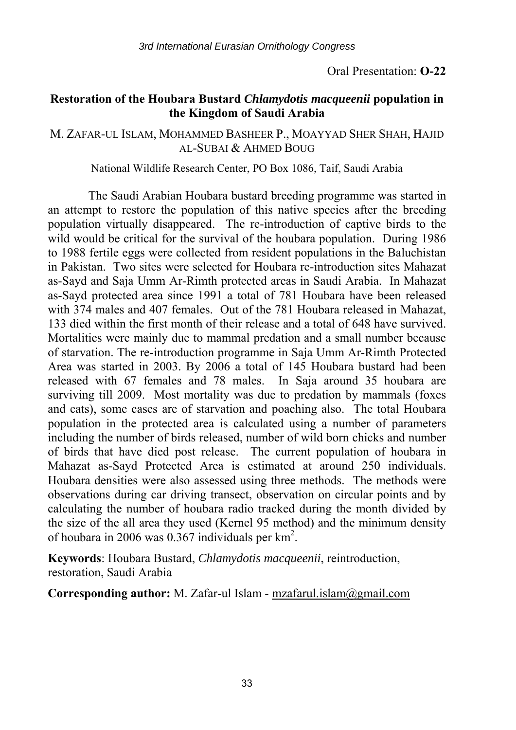#### **Restoration of the Houbara Bustard** *Chlamydotis macqueenii* **population in the Kingdom of Saudi Arabia**

#### M. ZAFAR-UL ISLAM, MOHAMMED BASHEER P., MOAYYAD SHER SHAH, HAJID AL-SUBAI & AHMED BOUG

National Wildlife Research Center, PO Box 1086, Taif, Saudi Arabia

The Saudi Arabian Houbara bustard breeding programme was started in an attempt to restore the population of this native species after the breeding population virtually disappeared. The re-introduction of captive birds to the wild would be critical for the survival of the houbara population. During 1986 to 1988 fertile eggs were collected from resident populations in the Baluchistan in Pakistan. Two sites were selected for Houbara re-introduction sites Mahazat as-Sayd and Saja Umm Ar-Rimth protected areas in Saudi Arabia. In Mahazat as-Sayd protected area since 1991 a total of 781 Houbara have been released with 374 males and 407 females. Out of the 781 Houbara released in Mahazat, 133 died within the first month of their release and a total of 648 have survived. Mortalities were mainly due to mammal predation and a small number because of starvation. The re-introduction programme in Saja Umm Ar-Rimth Protected Area was started in 2003. By 2006 a total of 145 Houbara bustard had been released with 67 females and 78 males. In Saja around 35 houbara are surviving till 2009. Most mortality was due to predation by mammals (foxes and cats), some cases are of starvation and poaching also. The total Houbara population in the protected area is calculated using a number of parameters including the number of birds released, number of wild born chicks and number of birds that have died post release. The current population of houbara in Mahazat as-Sayd Protected Area is estimated at around 250 individuals. Houbara densities were also assessed using three methods. The methods were observations during car driving transect, observation on circular points and by calculating the number of houbara radio tracked during the month divided by the size of the all area they used (Kernel 95 method) and the minimum density of houbara in 2006 was  $0.367$  individuals per  $km^2$ .

**Keywords**: Houbara Bustard, *Chlamydotis macqueenii*, reintroduction, restoration, Saudi Arabia

**Corresponding author:** M. Zafar-ul Islam - mzafarul.islam@gmail.com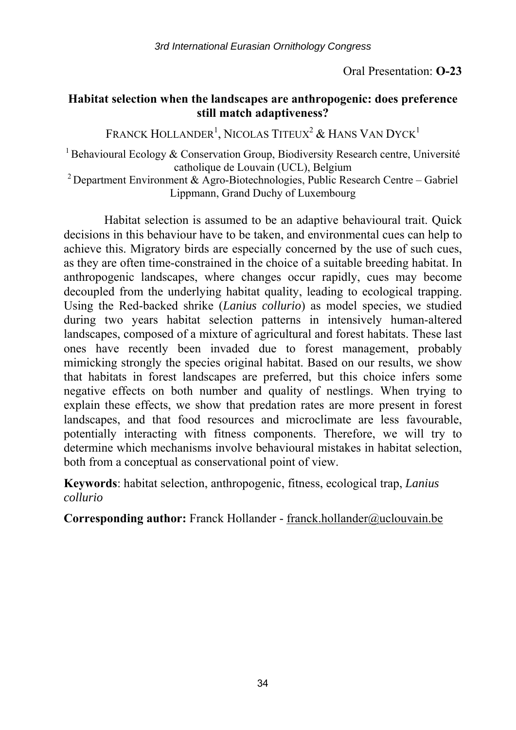## **Habitat selection when the landscapes are anthropogenic: does preference still match adaptiveness?**

FRANCK HOLLANDER $^1$ , NICOLAS TITEUX $^2$  & Hans Van Dyck $^1$ 

<sup>1</sup> Behavioural Ecology & Conservation Group, Biodiversity Research centre, Université catholique de Louvain (UCL), Belgium

<sup>2</sup> Department Environment & Agro-Biotechnologies, Public Research Centre – Gabriel Lippmann, Grand Duchy of Luxembourg

Habitat selection is assumed to be an adaptive behavioural trait. Quick decisions in this behaviour have to be taken, and environmental cues can help to achieve this. Migratory birds are especially concerned by the use of such cues, as they are often time-constrained in the choice of a suitable breeding habitat. In anthropogenic landscapes, where changes occur rapidly, cues may become decoupled from the underlying habitat quality, leading to ecological trapping. Using the Red-backed shrike (*Lanius collurio*) as model species, we studied during two years habitat selection patterns in intensively human-altered landscapes, composed of a mixture of agricultural and forest habitats. These last ones have recently been invaded due to forest management, probably mimicking strongly the species original habitat. Based on our results, we show that habitats in forest landscapes are preferred, but this choice infers some negative effects on both number and quality of nestlings. When trying to explain these effects, we show that predation rates are more present in forest landscapes, and that food resources and microclimate are less favourable, potentially interacting with fitness components. Therefore, we will try to determine which mechanisms involve behavioural mistakes in habitat selection, both from a conceptual as conservational point of view.

**Keywords**: habitat selection, anthropogenic, fitness, ecological trap, *Lanius collurio*

Corresponding author: Franck Hollander - franck.hollander@uclouvain.be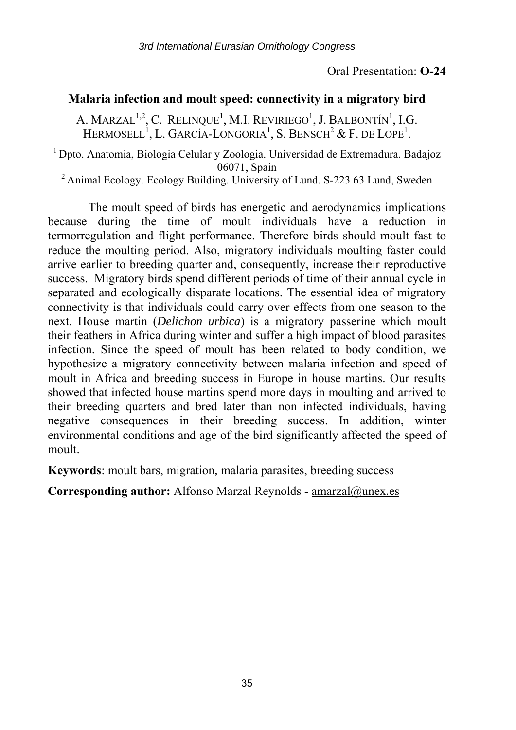#### **Malaria infection and moult speed: connectivity in a migratory bird**

A. MARZAL<sup>1,2</sup>, C. RELINQUE<sup>1</sup>, M.I. REVIRIEGO<sup>1</sup>, J. BALBONTÍN<sup>1</sup>, I.G. HERMOSELL<sup>1</sup>, L. GARCÍA-LONGORIA<sup>1</sup>, S. BENSCH<sup>2</sup> & F. DE LOPE<sup>1</sup>.

<sup>1</sup> Dpto. Anatomia, Biologia Celular y Zoologia. Universidad de Extremadura. Badajoz

06071, Spain <sup>2</sup> Animal Ecology. Ecology Building. University of Lund. S-223 63 Lund, Sweden

The moult speed of birds has energetic and aerodynamics implications because during the time of moult individuals have a reduction in termorregulation and flight performance. Therefore birds should moult fast to reduce the moulting period. Also, migratory individuals moulting faster could arrive earlier to breeding quarter and, consequently, increase their reproductive success. Migratory birds spend different periods of time of their annual cycle in separated and ecologically disparate locations. The essential idea of migratory connectivity is that individuals could carry over effects from one season to the next. House martin (*Delichon urbica*) is a migratory passerine which moult their feathers in Africa during winter and suffer a high impact of blood parasites infection. Since the speed of moult has been related to body condition, we hypothesize a migratory connectivity between malaria infection and speed of moult in Africa and breeding success in Europe in house martins. Our results showed that infected house martins spend more days in moulting and arrived to their breeding quarters and bred later than non infected individuals, having negative consequences in their breeding success. In addition, winter environmental conditions and age of the bird significantly affected the speed of moult.

**Keywords**: moult bars, migration, malaria parasites, breeding success

**Corresponding author:** Alfonso Marzal Reynolds - amarzal@unex.es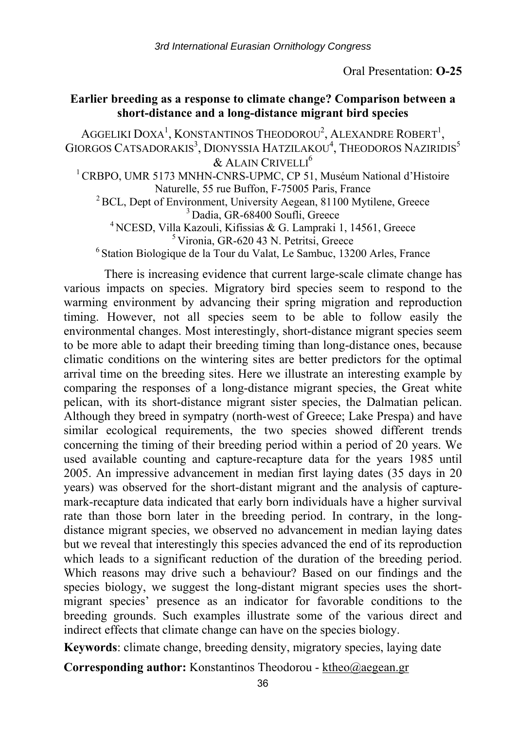#### **Earlier breeding as a response to climate change? Comparison between a short-distance and a long-distance migrant bird species**

AGGELIKI DOXA $^{\rm l}$ , KONSTANTINOS THEODOROU $^{\rm 2}$ , ALEXANDRE ROBERT $^{\rm l}$ , GIORGOS CATSADORAKIS $^3$ , DIONYSSIA HATZILAKOU $^4$ , Theodoros Naziridis $^5$ & ALAIN CRIVELLI<sup>6</sup> <sup>1</sup> CRBPO. UMR 5173 MNHN-CNRS-UPMC, CP 51, Muséum National d'Histoire <sup>2</sup> BCL, Dept of Environment, University Aegean, 81100 Mytilene, Greece<br><sup>3</sup> Dadia, GR-68400 Soufli, Greece<br><sup>3</sup> NCESD, Villa Kazouli, Kifissias & G. Lampraki 1, 14561, Greece<br><sup>5</sup> Vironia, GR-620 43 N. Petritsi, Greece<br><sup>6</sup> S

There is increasing evidence that current large-scale climate change has various impacts on species. Migratory bird species seem to respond to the warming environment by advancing their spring migration and reproduction timing. However, not all species seem to be able to follow easily the environmental changes. Most interestingly, short-distance migrant species seem to be more able to adapt their breeding timing than long-distance ones, because climatic conditions on the wintering sites are better predictors for the optimal arrival time on the breeding sites. Here we illustrate an interesting example by comparing the responses of a long-distance migrant species, the Great white pelican, with its short-distance migrant sister species, the Dalmatian pelican. Although they breed in sympatry (north-west of Greece; Lake Prespa) and have similar ecological requirements, the two species showed different trends concerning the timing of their breeding period within a period of 20 years. We used available counting and capture-recapture data for the years 1985 until 2005. An impressive advancement in median first laying dates (35 days in 20 years) was observed for the short-distant migrant and the analysis of capturemark-recapture data indicated that early born individuals have a higher survival rate than those born later in the breeding period. In contrary, in the longdistance migrant species, we observed no advancement in median laying dates but we reveal that interestingly this species advanced the end of its reproduction which leads to a significant reduction of the duration of the breeding period. Which reasons may drive such a behaviour? Based on our findings and the species biology, we suggest the long-distant migrant species uses the shortmigrant species' presence as an indicator for favorable conditions to the breeding grounds. Such examples illustrate some of the various direct and indirect effects that climate change can have on the species biology.

**Keywords**: climate change, breeding density, migratory species, laying date

**Corresponding author:** Konstantinos Theodorou - ktheo@aegean.gr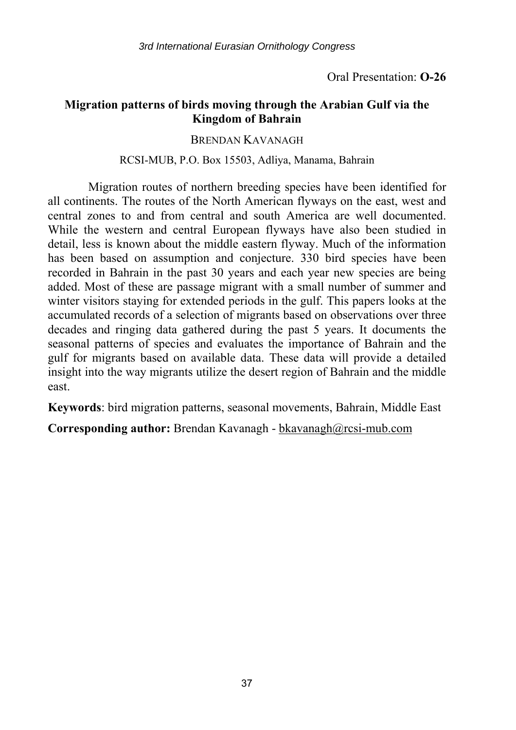# **Migration patterns of birds moving through the Arabian Gulf via the Kingdom of Bahrain**

### BRENDAN KAVANAGH

### RCSI-MUB, P.O. Box 15503, Adliya, Manama, Bahrain

Migration routes of northern breeding species have been identified for all continents. The routes of the North American flyways on the east, west and central zones to and from central and south America are well documented. While the western and central European flyways have also been studied in detail, less is known about the middle eastern flyway. Much of the information has been based on assumption and conjecture. 330 bird species have been recorded in Bahrain in the past 30 years and each year new species are being added. Most of these are passage migrant with a small number of summer and winter visitors staying for extended periods in the gulf. This papers looks at the accumulated records of a selection of migrants based on observations over three decades and ringing data gathered during the past 5 years. It documents the seasonal patterns of species and evaluates the importance of Bahrain and the gulf for migrants based on available data. These data will provide a detailed insight into the way migrants utilize the desert region of Bahrain and the middle east.

**Keywords**: bird migration patterns, seasonal movements, Bahrain, Middle East

**Corresponding author:** Brendan Kavanagh - bkavanagh@rcsi-mub.com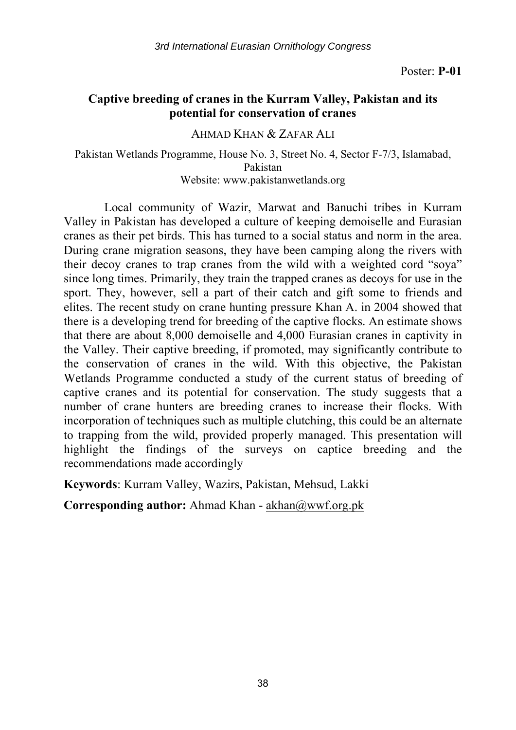# **Captive breeding of cranes in the Kurram Valley, Pakistan and its potential for conservation of cranes**

### AHMAD KHAN & ZAFAR ALI

Pakistan Wetlands Programme, House No. 3, Street No. 4, Sector F-7/3, Islamabad, Pakistan Website: www.pakistanwetlands.org

Local community of Wazir, Marwat and Banuchi tribes in Kurram Valley in Pakistan has developed a culture of keeping demoiselle and Eurasian cranes as their pet birds. This has turned to a social status and norm in the area. During crane migration seasons, they have been camping along the rivers with their decoy cranes to trap cranes from the wild with a weighted cord "soya" since long times. Primarily, they train the trapped cranes as decoys for use in the sport. They, however, sell a part of their catch and gift some to friends and elites. The recent study on crane hunting pressure Khan A. in 2004 showed that there is a developing trend for breeding of the captive flocks. An estimate shows that there are about 8,000 demoiselle and 4,000 Eurasian cranes in captivity in the Valley. Their captive breeding, if promoted, may significantly contribute to the conservation of cranes in the wild. With this objective, the Pakistan Wetlands Programme conducted a study of the current status of breeding of captive cranes and its potential for conservation. The study suggests that a number of crane hunters are breeding cranes to increase their flocks. With incorporation of techniques such as multiple clutching, this could be an alternate to trapping from the wild, provided properly managed. This presentation will highlight the findings of the surveys on captice breeding and the recommendations made accordingly

**Keywords**: Kurram Valley, Wazirs, Pakistan, Mehsud, Lakki

**Corresponding author:** Ahmad Khan - akhan@wwf.org.pk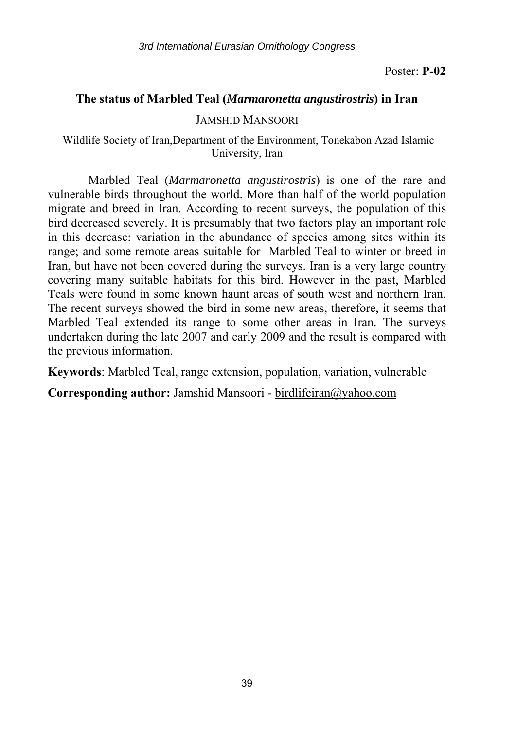### **The status of Marbled Teal (***Marmaronetta angustirostris***) in Iran**

#### JAMSHID MANSOORI

 Wildlife Society of Iran,Department of the Environment, Tonekabon Azad Islamic University, Iran

Marbled Teal (*Marmaronetta angustirostris*) is one of the rare and vulnerable birds throughout the world. More than half of the world population migrate and breed in Iran. According to recent surveys, the population of this bird decreased severely. It is presumably that two factors play an important role in this decrease: variation in the abundance of species among sites within its range; and some remote areas suitable for Marbled Teal to winter or breed in Iran, but have not been covered during the surveys. Iran is a very large country covering many suitable habitats for this bird. However in the past, Marbled Teals were found in some known haunt areas of south west and northern Iran. The recent surveys showed the bird in some new areas, therefore, it seems that Marbled Teal extended its range to some other areas in Iran. The surveys undertaken during the late 2007 and early 2009 and the result is compared with the previous information.

**Keywords**: Marbled Teal, range extension, population, variation, vulnerable

**Corresponding author:** Jamshid Mansoori - birdlifeiran@yahoo.com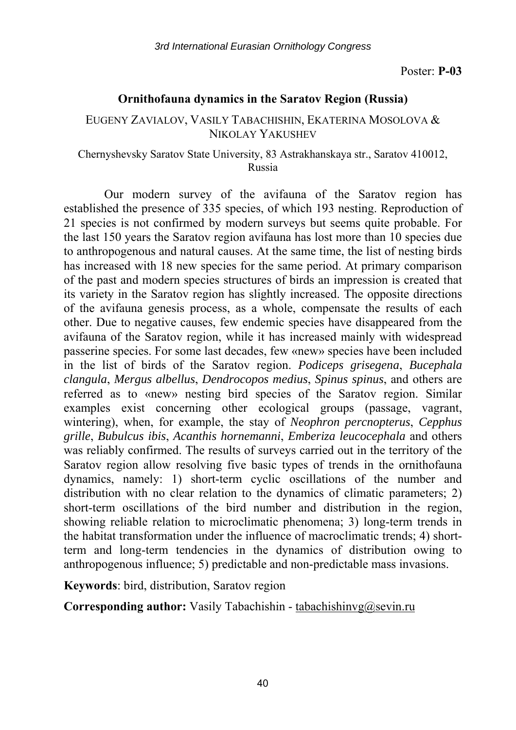*3rd International Eurasian Ornithology Congress* 

Poster: **P-03** 

### **Ornithofauna dynamics in the Saratov Region (Russia)**

### EUGENY ZAVIALOV, VASILY TABACHISHIN, EKATERINA MOSOLOVA & NIKOLAY YAKUSHEV

### Chernyshevsky Saratov State University, 83 Astrakhanskaya str., Saratov 410012, Russia

Our modern survey of the avifauna of the Saratov region has established the presence of 335 species, of which 193 nesting. Reproduction of 21 species is not confirmed by modern surveys but seems quite probable. For the last 150 years the Saratov region avifauna has lost more than 10 species due to anthropogenous and natural causes. At the same time, the list of nesting birds has increased with 18 new species for the same period. At primary comparison of the past and modern species structures of birds an impression is created that its variety in the Saratov region has slightly increased. The opposite directions of the avifauna genesis process, as a whole, compensate the results of each other. Due to negative causes, few endemic species have disappeared from the avifauna of the Saratov region, while it has increased mainly with widespread passerine species. For some last decades, few «new» species have been included in the list of birds of the Saratov region. *Podiceps grisegena*, *Bucephala clangula*, *Mergus albellus*, *Dendrocopos medius*, *Spinus spinus*, and others are referred as to «new» nesting bird species of the Saratov region. Similar examples exist concerning other ecological groups (passage, vagrant, wintering), when, for example, the stay of *Neophron percnopterus*, *Cepphus grille*, *Bubulcus ibis*, *Acanthis hornemanni*, *Emberiza leucocephala* and others was reliably confirmed. The results of surveys carried out in the territory of the Saratov region allow resolving five basic types of trends in the ornithofauna dynamics, namely: 1) short-term cyclic oscillations of the number and distribution with no clear relation to the dynamics of climatic parameters; 2) short-term oscillations of the bird number and distribution in the region, showing reliable relation to microclimatic phenomena; 3) long-term trends in the habitat transformation under the influence of macroclimatic trends; 4) shortterm and long-term tendencies in the dynamics of distribution owing to anthropogenous influence; 5) predictable and non-predictable mass invasions.

**Keywords**: bird, distribution, Saratov region

**Corresponding author:** Vasily Tabachishin - tabachishinvg@sevin.ru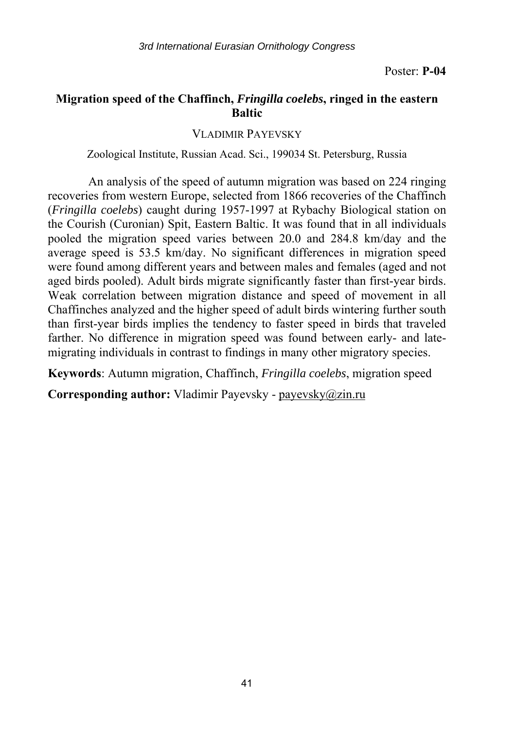## **Migration speed of the Chaffinch,** *Fringilla coelebs***, ringed in the eastern Baltic**

VLADIMIR PAYEVSKY

Zoological Institute, Russian Acad. Sci., 199034 St. Petersburg, Russia

An analysis of the speed of autumn migration was based on 224 ringing recoveries from western Europe, selected from 1866 recoveries of the Chaffinch (*Fringilla coelebs*) caught during 1957-1997 at Rybachy Biological station on the Courish (Curonian) Spit, Eastern Baltic. It was found that in all individuals pooled the migration speed varies between 20.0 and 284.8 km/day and the average speed is 53.5 km/day. No significant differences in migration speed were found among different years and between males and females (aged and not aged birds pooled). Adult birds migrate significantly faster than first-year birds. Weak correlation between migration distance and speed of movement in all Chaffinches analyzed and the higher speed of adult birds wintering further south than first-year birds implies the tendency to faster speed in birds that traveled farther. No difference in migration speed was found between early- and latemigrating individuals in contrast to findings in many other migratory species.

**Keywords**: Autumn migration, Chaffinch, *Fringilla coelebs*, migration speed

**Corresponding author:** Vladimir Payevsky - payevsky@zin.ru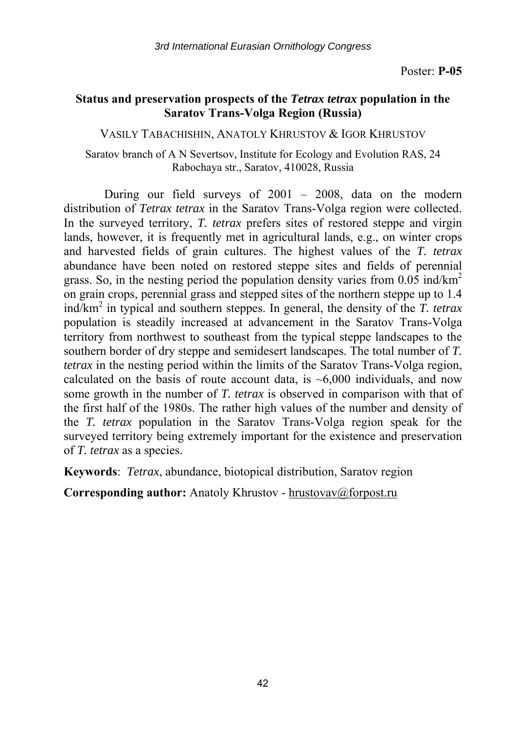## **Status and preservation prospects of the** *Tetrax tetrax* **population in the Saratov Trans-Volga Region (Russia)**

VASILY TABACHISHIN, ANATOLY KHRUSTOV & IGOR KHRUSTOV

Saratov branch of A N Severtsov, Institute for Ecology and Evolution RAS, 24 Rabochaya str., Saratov, 410028, Russia

During our field surveys of 2001 – 2008, data on the modern distribution of *Tetrax tetrax* in the Saratov Trans-Volga region were collected. In the surveyed territory, *T. tetrax* prefers sites of restored steppe and virgin lands, however, it is frequently met in agricultural lands, e.g., on winter crops and harvested fields of grain cultures. The highest values of the *T. tetrax* abundance have been noted on restored steppe sites and fields of perennial grass. So, in the nesting period the population density varies from  $0.05$  ind/km<sup>2</sup> on grain crops, perennial grass and stepped sites of the northern steppe up to 1.4 ind/km2 in typical and southern steppes. In general, the density of the *T. tetrax* population is steadily increased at advancement in the Saratov Trans-Volga territory from northwest to southeast from the typical steppe landscapes to the southern border of dry steppe and semidesert landscapes. The total number of *T. tetrax* in the nesting period within the limits of the Saratov Trans-Volga region, calculated on the basis of route account data, is  $\sim 6,000$  individuals, and now some growth in the number of *T. tetrax* is observed in comparison with that of the first half of the 1980s. The rather high values of the number and density of the *T. tetrax* population in the Saratov Trans-Volga region speak for the surveyed territory being extremely important for the existence and preservation of *T. tetrax* as a species.

**Keywords**: *Tetrax*, abundance, biotopical distribution, Saratov region

**Corresponding author:** Anatoly Khrustov - hrustovav@forpost.ru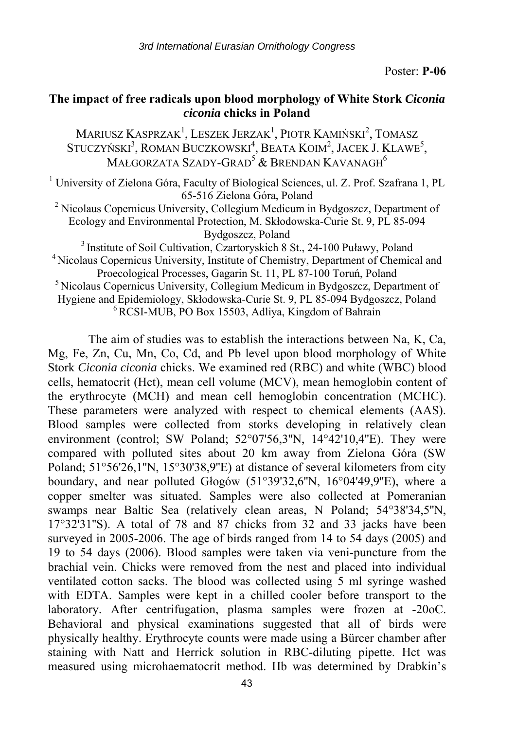# **The impact of free radicals upon blood morphology of White Stork** *Ciconia ciconia* **chicks in Poland**

Mariusz Kasprzak<sup>1</sup>, Leszek Jerzak<sup>1</sup>, Piotr Kamiński<sup>2</sup>, Tomasz STUCZYŃSKI<sup>3</sup>, ROMAN BUCZKOWSKI<sup>4</sup>, BEATA KOIM<sup>2</sup>, JACEK J. KLAWE<sup>5</sup>, MAŁGORZATA SZADY-GRAD<sup>5</sup> & BRENDAN KAVANAGH<sup>6</sup>

<sup>1</sup> University of Zielona Góra, Faculty of Biological Sciences, ul. Z. Prof. Szafrana 1, PL

65-516 Zielona Góra, Poland 2 Nicolaus Copernicus University, Collegium Medicum in Bydgoszcz, Department of Ecology and Environmental Protection, M. Skłodowska-Curie St. 9, PL 85-094

Bydgoszcz, Poland<br><sup>3</sup> Institute of Soil Cultivation, Czartoryskich 8 St., 24-100 Puławy, Poland<br><sup>4</sup> Nicolaus Copernicus University, Institute of Chemistry, Department of Chemical and <sup>5</sup> Nicolaus Copernicus University, Gagarin St. 11, PL 87-100 Toruń, Poland 5 Nicolaus Copernicus University, Collegium Medicum in Bydgoszcz, Department of Hygiene and Epidemiology, Skłodowska-Curie St. 9, PL 85-094 Bydgoszcz, Poland <sup>6</sup> RCSI-MUB, PO Box 15503, Adliya, Kingdom of Bahrain

The aim of studies was to establish the interactions between Na, K, Ca, Mg, Fe, Zn, Cu, Mn, Co, Cd, and Pb level upon blood morphology of White Stork *Ciconia ciconia* chicks. We examined red (RBC) and white (WBC) blood cells, hematocrit (Hct), mean cell volume (MCV), mean hemoglobin content of the erythrocyte (MCH) and mean cell hemoglobin concentration (MCHC). These parameters were analyzed with respect to chemical elements (AAS). Blood samples were collected from storks developing in relatively clean environment (control; SW Poland; 52°07'56,3''N, 14°42'10,4''E). They were compared with polluted sites about 20 km away from Zielona Góra (SW Poland; 51°56'26,1''N, 15°30'38,9''E) at distance of several kilometers from city boundary, and near polluted Głogów (51°39'32,6''N, 16°04'49,9''E), where a copper smelter was situated. Samples were also collected at Pomeranian swamps near Baltic Sea (relatively clean areas, N Poland; 54°38'34,5''N, 17°32'31''S). A total of 78 and 87 chicks from 32 and 33 jacks have been surveyed in 2005-2006. The age of birds ranged from 14 to 54 days (2005) and 19 to 54 days (2006). Blood samples were taken via veni-puncture from the brachial vein. Chicks were removed from the nest and placed into individual ventilated cotton sacks. The blood was collected using 5 ml syringe washed with EDTA. Samples were kept in a chilled cooler before transport to the laboratory. After centrifugation, plasma samples were frozen at -20oC. Behavioral and physical examinations suggested that all of birds were physically healthy. Erythrocyte counts were made using a Bürcer chamber after staining with Natt and Herrick solution in RBC-diluting pipette. Hct was measured using microhaematocrit method. Hb was determined by Drabkin's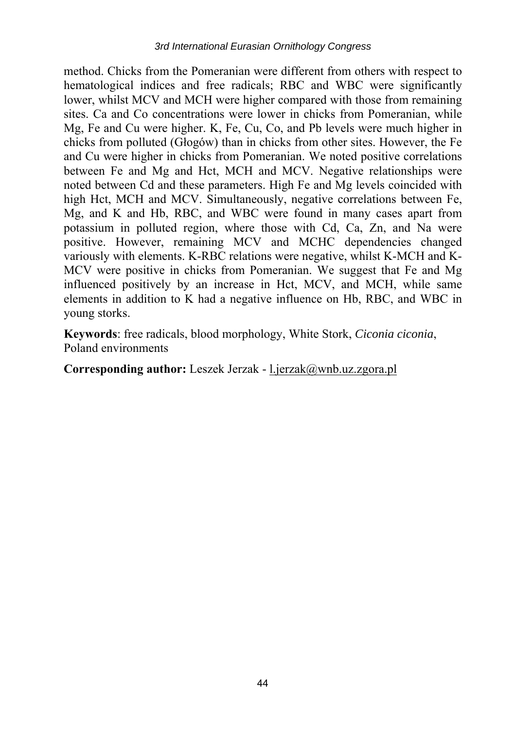method. Chicks from the Pomeranian were different from others with respect to hematological indices and free radicals; RBC and WBC were significantly lower, whilst MCV and MCH were higher compared with those from remaining sites. Ca and Co concentrations were lower in chicks from Pomeranian, while Mg, Fe and Cu were higher. K, Fe, Cu, Co, and Pb levels were much higher in chicks from polluted (Głogów) than in chicks from other sites. However, the Fe and Cu were higher in chicks from Pomeranian. We noted positive correlations between Fe and Mg and Hct, MCH and MCV. Negative relationships were noted between Cd and these parameters. High Fe and Mg levels coincided with high Hct, MCH and MCV. Simultaneously, negative correlations between Fe, Mg, and K and Hb, RBC, and WBC were found in many cases apart from potassium in polluted region, where those with Cd, Ca, Zn, and Na were positive. However, remaining MCV and MCHC dependencies changed variously with elements. K-RBC relations were negative, whilst K-MCH and K-MCV were positive in chicks from Pomeranian. We suggest that Fe and Mg influenced positively by an increase in Hct, MCV, and MCH, while same elements in addition to K had a negative influence on Hb, RBC, and WBC in young storks.

**Keywords**: free radicals, blood morphology, White Stork, *Ciconia ciconia*, Poland environments

### **Corresponding author:** Leszek Jerzak - l.jerzak@wnb.uz.zgora.pl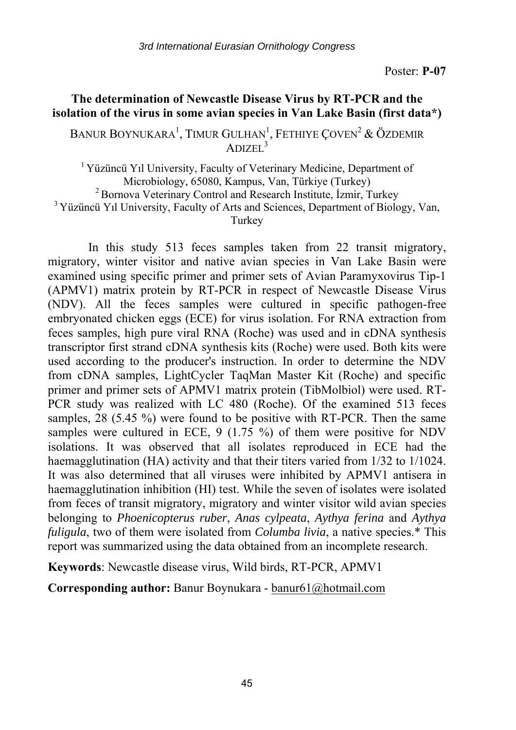# **The determination of Newcastle Disease Virus by RT-PCR and the isolation of the virus in some avian species in Van Lake Basin (first data\*)**

BANUR BOYNUKARA<sup>1</sup>, TIMUR GULHAN<sup>1</sup>, FETHIYE ÇOVEN<sup>2</sup> & ÖZDEMIR  $\Delta$ DIZEL<sup>3</sup>

<sup>1</sup> Yüzüncü Yıl University, Faculty of Veterinary Medicine, Department of Microbiology, 65080, Kampus, Van, Türkiye (Turkey)<br><sup>2</sup> Bornova Veterinary Control and Research Institute, İzmir, Turkey<br><sup>3</sup> Yüzüncü Yıl University, Faculty of Arts and Sciences, Department of Biology, Van, Turkey

In this study 513 feces samples taken from 22 transit migratory, migratory, winter visitor and native avian species in Van Lake Basin were examined using specific primer and primer sets of Avian Paramyxovirus Tip-1 (APMV1) matrix protein by RT-PCR in respect of Newcastle Disease Virus (NDV). All the feces samples were cultured in specific pathogen-free embryonated chicken eggs (ECE) for virus isolation. For RNA extraction from feces samples, high pure viral RNA (Roche) was used and in cDNA synthesis transcriptor first strand cDNA synthesis kits (Roche) were used. Both kits were used according to the producer's instruction. In order to determine the NDV from cDNA samples, LightCycler TaqMan Master Kit (Roche) and specific primer and primer sets of APMV1 matrix protein (TibMolbiol) were used. RT-PCR study was realized with LC 480 (Roche). Of the examined 513 feces samples, 28 (5.45 %) were found to be positive with RT-PCR. Then the same samples were cultured in ECE,  $9(1.75\%)$  of them were positive for NDV isolations. It was observed that all isolates reproduced in ECE had the haemagglutination (HA) activity and that their titers varied from 1/32 to 1/1024. It was also determined that all viruses were inhibited by APMV1 antisera in haemagglutination inhibition (HI) test. While the seven of isolates were isolated from feces of transit migratory, migratory and winter visitor wild avian species belonging to *Phoenicopterus ruber*, *Anas cylpeata*, *Aythya ferina* and *Aythya fuligula*, two of them were isolated from *Columba livia*, a native species.\* This report was summarized using the data obtained from an incomplete research.

**Keywords**: Newcastle disease virus, Wild birds, RT-PCR, APMV1

**Corresponding author:** Banur Boynukara - banur61@hotmail.com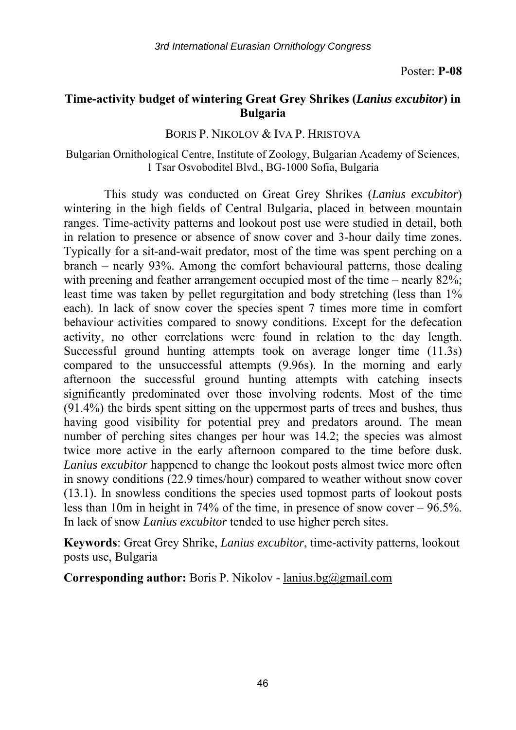# **Time-activity budget of wintering Great Grey Shrikes (***Lanius excubitor***) in Bulgaria**

### BORIS P. NIKOLOV & IVA P. HRISTOVA

### Bulgarian Ornithological Centre, Institute of Zoology, Bulgarian Academy of Sciences, 1 Tsar Osvoboditel Blvd., BG-1000 Sofia, Bulgaria

This study was conducted on Great Grey Shrikes (*Lanius excubitor*) wintering in the high fields of Central Bulgaria, placed in between mountain ranges. Time-activity patterns and lookout post use were studied in detail, both in relation to presence or absence of snow cover and 3-hour daily time zones. Typically for a sit-and-wait predator, most of the time was spent perching on a branch – nearly 93%. Among the comfort behavioural patterns, those dealing with preening and feather arrangement occupied most of the time – nearly 82%; least time was taken by pellet regurgitation and body stretching (less than 1% each). In lack of snow cover the species spent 7 times more time in comfort behaviour activities compared to snowy conditions. Except for the defecation activity, no other correlations were found in relation to the day length. Successful ground hunting attempts took on average longer time (11.3s) compared to the unsuccessful attempts (9.96s). In the morning and early afternoon the successful ground hunting attempts with catching insects significantly predominated over those involving rodents. Most of the time (91.4%) the birds spent sitting on the uppermost parts of trees and bushes, thus having good visibility for potential prey and predators around. The mean number of perching sites changes per hour was 14.2; the species was almost twice more active in the early afternoon compared to the time before dusk. *Lanius excubitor* happened to change the lookout posts almost twice more often in snowy conditions (22.9 times/hour) compared to weather without snow cover (13.1). In snowless conditions the species used topmost parts of lookout posts less than 10m in height in 74% of the time, in presence of snow cover – 96.5%. In lack of snow *Lanius excubitor* tended to use higher perch sites.

**Keywords**: Great Grey Shrike, *Lanius excubitor*, time-activity patterns, lookout posts use, Bulgaria

**Corresponding author:** Boris P. Nikolov - lanius.bg@gmail.com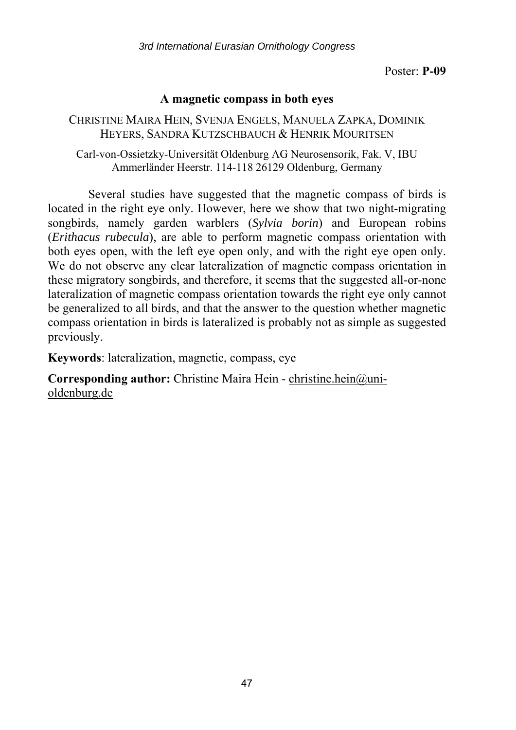## **A magnetic compass in both eyes**

CHRISTINE MAIRA HEIN, SVENJA ENGELS, MANUELA ZAPKA, DOMINIK HEYERS, SANDRA KUTZSCHBAUCH & HENRIK MOURITSEN

Carl-von-Ossietzky-Universität Oldenburg AG Neurosensorik, Fak. V, IBU Ammerländer Heerstr. 114-118 26129 Oldenburg, Germany

Several studies have suggested that the magnetic compass of birds is located in the right eye only. However, here we show that two night-migrating songbirds, namely garden warblers (*Sylvia borin*) and European robins (*Erithacus rubecula*), are able to perform magnetic compass orientation with both eyes open, with the left eye open only, and with the right eye open only. We do not observe any clear lateralization of magnetic compass orientation in these migratory songbirds, and therefore, it seems that the suggested all-or-none lateralization of magnetic compass orientation towards the right eye only cannot be generalized to all birds, and that the answer to the question whether magnetic compass orientation in birds is lateralized is probably not as simple as suggested previously.

**Keywords**: lateralization, magnetic, compass, eye

**Corresponding author:** Christine Maira Hein - christine.hein@unioldenburg.de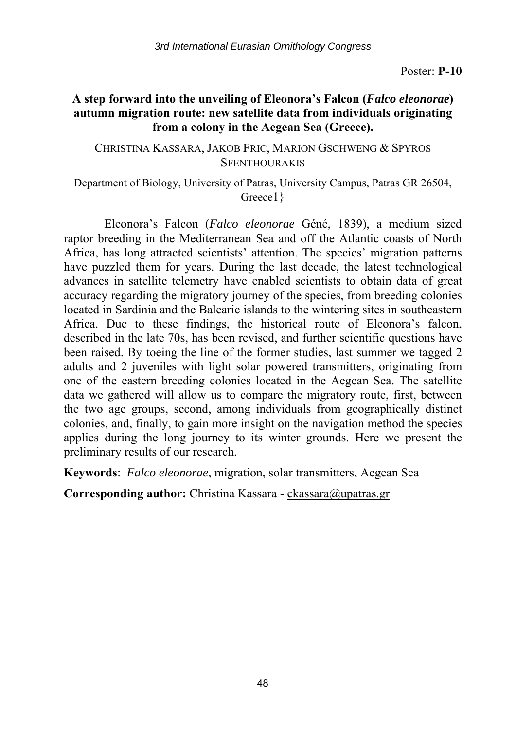## **A step forward into the unveiling of Eleonora's Falcon (***Falco eleonorae***) autumn migration route: new satellite data from individuals originating from a colony in the Aegean Sea (Greece).**

### CHRISTINA KASSARA, JAKOB FRIC, MARION GSCHWENG & SPYROS **SFENTHOURAKIS**

### Department of Biology, University of Patras, University Campus, Patras GR 26504, Greece1 }

Eleonora's Falcon (*Falco eleonorae* Géné, 1839), a medium sized raptor breeding in the Mediterranean Sea and off the Atlantic coasts of North Africa, has long attracted scientists' attention. The species' migration patterns have puzzled them for years. During the last decade, the latest technological advances in satellite telemetry have enabled scientists to obtain data of great accuracy regarding the migratory journey of the species, from breeding colonies located in Sardinia and the Balearic islands to the wintering sites in southeastern Africa. Due to these findings, the historical route of Eleonora's falcon, described in the late 70s, has been revised, and further scientific questions have been raised. By toeing the line of the former studies, last summer we tagged 2 adults and 2 juveniles with light solar powered transmitters, originating from one of the eastern breeding colonies located in the Aegean Sea. The satellite data we gathered will allow us to compare the migratory route, first, between the two age groups, second, among individuals from geographically distinct colonies, and, finally, to gain more insight on the navigation method the species applies during the long journey to its winter grounds. Here we present the preliminary results of our research.

**Keywords**: *Falco eleonorae*, migration, solar transmitters, Aegean Sea

**Corresponding author:** Christina Kassara - ckassara@upatras.gr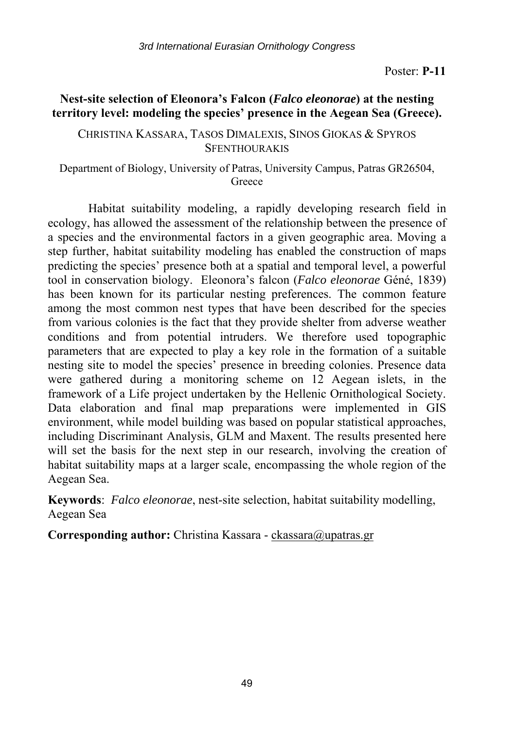# **Nest-site selection of Eleonora's Falcon (***Falco eleonorae***) at the nesting territory level: modeling the species' presence in the Aegean Sea (Greece).**

### CHRISTINA KASSARA, TASOS DIMALEXIS, SINOS GIOKAS & SPYROS **SFENTHOURAKIS**

Department of Biology, University of Patras, University Campus, Patras GR26504, Greece

Habitat suitability modeling, a rapidly developing research field in ecology, has allowed the assessment of the relationship between the presence of a species and the environmental factors in a given geographic area. Moving a step further, habitat suitability modeling has enabled the construction of maps predicting the species' presence both at a spatial and temporal level, a powerful tool in conservation biology. Eleonora's falcon (*Falco eleonorae* Géné, 1839) has been known for its particular nesting preferences. The common feature among the most common nest types that have been described for the species from various colonies is the fact that they provide shelter from adverse weather conditions and from potential intruders. We therefore used topographic parameters that are expected to play a key role in the formation of a suitable nesting site to model the species' presence in breeding colonies. Presence data were gathered during a monitoring scheme on 12 Aegean islets, in the framework of a Life project undertaken by the Hellenic Ornithological Society. Data elaboration and final map preparations were implemented in GIS environment, while model building was based on popular statistical approaches, including Discriminant Analysis, GLM and Maxent. The results presented here will set the basis for the next step in our research, involving the creation of habitat suitability maps at a larger scale, encompassing the whole region of the Aegean Sea.

**Keywords**: *Falco eleonorae*, nest-site selection, habitat suitability modelling, Aegean Sea

**Corresponding author:** Christina Kassara - ckassara@upatras.gr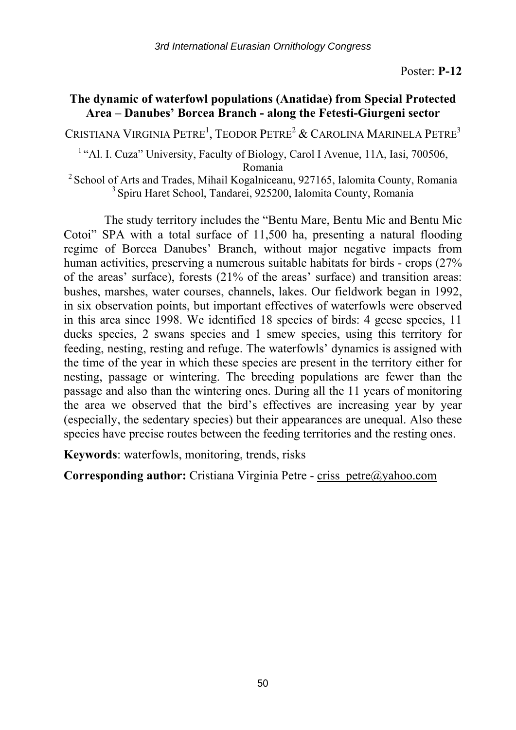# **The dynamic of waterfowl populations (Anatidae) from Special Protected Area – Danubes' Borcea Branch - along the Fetesti-Giurgeni sector**

Cristiana Virginia Petre<sup>1</sup>, Teodor Petre<sup>2</sup> & Carolina Marinela Petre<sup>3</sup>

<sup>1</sup> "Al. I. Cuza" University, Faculty of Biology, Carol I Avenue, 11A, Iasi, 700506,

Romania<br>
<sup>2</sup> School of Arts and Trades, Mihail Kogalniceanu, 927165, Ialomita County, Romania<br>
<sup>3</sup> Spiru Haret School, Tandarei, 925200, Ialomita County, Romania

The study territory includes the "Bentu Mare, Bentu Mic and Bentu Mic Cotoi" SPA with a total surface of 11,500 ha, presenting a natural flooding regime of Borcea Danubes' Branch, without major negative impacts from human activities, preserving a numerous suitable habitats for birds - crops (27% of the areas' surface), forests (21% of the areas' surface) and transition areas: bushes, marshes, water courses, channels, lakes. Our fieldwork began in 1992, in six observation points, but important effectives of waterfowls were observed in this area since 1998. We identified 18 species of birds: 4 geese species, 11 ducks species, 2 swans species and 1 smew species, using this territory for feeding, nesting, resting and refuge. The waterfowls' dynamics is assigned with the time of the year in which these species are present in the territory either for nesting, passage or wintering. The breeding populations are fewer than the passage and also than the wintering ones. During all the 11 years of monitoring the area we observed that the bird's effectives are increasing year by year (especially, the sedentary species) but their appearances are unequal. Also these species have precise routes between the feeding territories and the resting ones.

**Keywords**: waterfowls, monitoring, trends, risks

**Corresponding author:** Cristiana Virginia Petre - criss petre@yahoo.com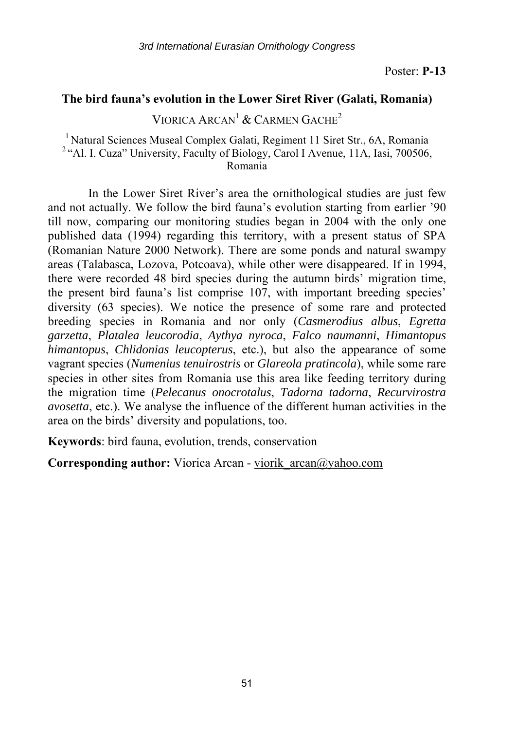## **The bird fauna's evolution in the Lower Siret River (Galati, Romania)**

VIORICA ARCAN<sup>1</sup> & CARMEN GACHE<sup>2</sup>

# <sup>1</sup> Natural Sciences Museal Complex Galati, Regiment 11 Siret Str., 6A, Romania <sup>2</sup> "Al. I. Cuza" University, Faculty of Biology, Carol I Avenue, 11A, Iasi, 700506, Romania

In the Lower Siret River's area the ornithological studies are just few and not actually. We follow the bird fauna's evolution starting from earlier '90 till now, comparing our monitoring studies began in 2004 with the only one published data (1994) regarding this territory, with a present status of SPA (Romanian Nature 2000 Network). There are some ponds and natural swampy areas (Talabasca, Lozova, Potcoava), while other were disappeared. If in 1994, there were recorded 48 bird species during the autumn birds' migration time, the present bird fauna's list comprise 107, with important breeding species' diversity (63 species). We notice the presence of some rare and protected breeding species in Romania and nor only (*Casmerodius albus*, *Egretta garzetta*, *Platalea leucorodia*, *Aythya nyroca*, *Falco naumanni*, *Himantopus himantopus*, *Chlidonias leucopterus*, etc.), but also the appearance of some vagrant species (*Numenius tenuirostris* or *Glareola pratincola*), while some rare species in other sites from Romania use this area like feeding territory during the migration time (*Pelecanus onocrotalus*, *Tadorna tadorna*, *Recurvirostra avosetta*, etc.). We analyse the influence of the different human activities in the area on the birds' diversity and populations, too.

**Keywords**: bird fauna, evolution, trends, conservation

**Corresponding author:** Viorica Arcan - viorik arcan@yahoo.com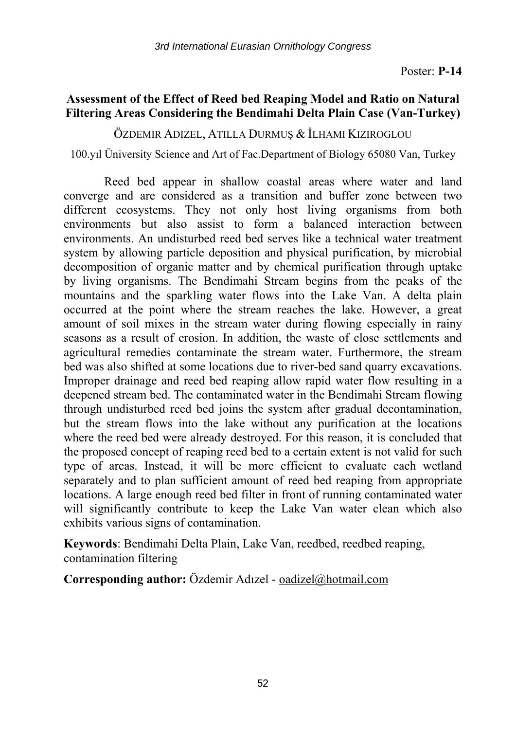# **Assessment of the Effect of Reed bed Reaping Model and Ratio on Natural Filtering Areas Considering the Bendimahi Delta Plain Case (Van-Turkey)**

ÖZDEMIR ADIZEL, ATILLA DURMUŞ & İLHAMI KIZIROGLOU

100.yıl Üniversity Science and Art of Fac.Department of Biology 65080 Van, Turkey

Reed bed appear in shallow coastal areas where water and land converge and are considered as a transition and buffer zone between two different ecosystems. They not only host living organisms from both environments but also assist to form a balanced interaction between environments. An undisturbed reed bed serves like a technical water treatment system by allowing particle deposition and physical purification, by microbial decomposition of organic matter and by chemical purification through uptake by living organisms. The Bendimahi Stream begins from the peaks of the mountains and the sparkling water flows into the Lake Van. A delta plain occurred at the point where the stream reaches the lake. However, a great amount of soil mixes in the stream water during flowing especially in rainy seasons as a result of erosion. In addition, the waste of close settlements and agricultural remedies contaminate the stream water. Furthermore, the stream bed was also shifted at some locations due to river-bed sand quarry excavations. Improper drainage and reed bed reaping allow rapid water flow resulting in a deepened stream bed. The contaminated water in the Bendimahi Stream flowing through undisturbed reed bed joins the system after gradual decontamination, but the stream flows into the lake without any purification at the locations where the reed bed were already destroyed. For this reason, it is concluded that the proposed concept of reaping reed bed to a certain extent is not valid for such type of areas. Instead, it will be more efficient to evaluate each wetland separately and to plan sufficient amount of reed bed reaping from appropriate locations. A large enough reed bed filter in front of running contaminated water will significantly contribute to keep the Lake Van water clean which also exhibits various signs of contamination.

**Keywords**: Bendimahi Delta Plain, Lake Van, reedbed, reedbed reaping, contamination filtering

**Corresponding author:** Özdemir Adızel - oadizel@hotmail.com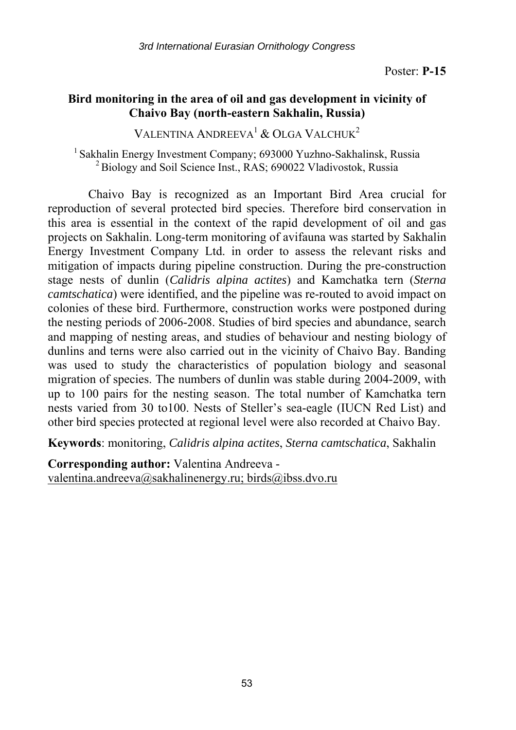# **Bird monitoring in the area of oil and gas development in vicinity of Chaivo Bay (north-eastern Sakhalin, Russia)**

VALENTINA ANDREEVA<sup>1</sup> & OLGA VALCHUK<sup>2</sup>

<sup>1</sup> Sakhalin Energy Investment Company; 693000 Yuzhno-Sakhalinsk, Russia <sup>2</sup> Biology and Soil Science Inst., RAS; 690022 Vladivostok, Russia

Chaivo Bay is recognized as an Important Bird Area crucial for reproduction of several protected bird species. Therefore bird conservation in this area is essential in the context of the rapid development of oil and gas projects on Sakhalin. Long-term monitoring of avifauna was started by Sakhalin Energy Investment Company Ltd. in order to assess the relevant risks and mitigation of impacts during pipeline construction. During the pre-construction stage nests of dunlin (*Calidris alpina actites*) and Kamchatka tern (*Sterna camtschatica*) were identified, and the pipeline was re-routed to avoid impact on colonies of these bird. Furthermore, construction works were postponed during the nesting periods of 2006-2008. Studies of bird species and abundance, search and mapping of nesting areas, and studies of behaviour and nesting biology of dunlins and terns were also carried out in the vicinity of Chaivo Bay. Banding was used to study the characteristics of population biology and seasonal migration of species. The numbers of dunlin was stable during 2004-2009, with up to 100 pairs for the nesting season. The total number of Kamchatka tern nests varied from 30 to100. Nests of Steller's sea-eagle (IUCN Red List) and other bird species protected at regional level were also recorded at Chaivo Bay.

**Keywords**: monitoring, *Calidris alpina actites*, *Sterna camtschatica*, Sakhalin

**Corresponding author:** Valentina Andreeva valentina.andreeva@sakhalinenergy.ru; birds@ibss.dvo.ru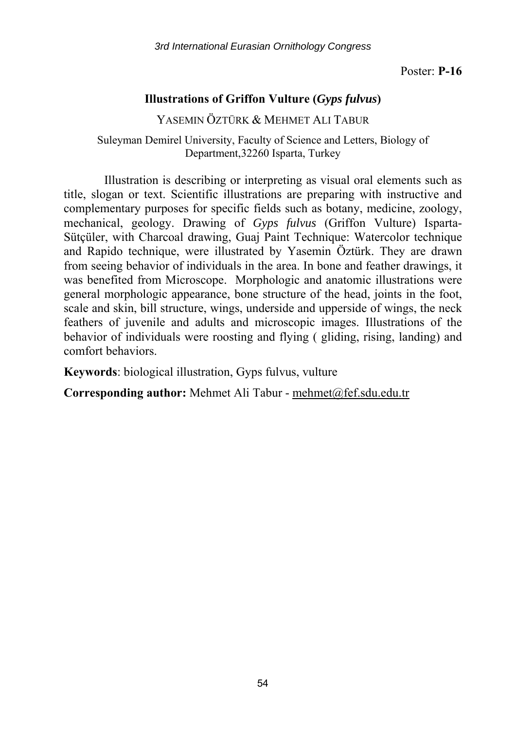*3rd International Eurasian Ornithology Congress* 

Poster: **P-16** 

# **Illustrations of Griffon Vulture (***Gyps fulvus***)**

YASEMIN ÖZTÜRK & MEHMET ALI TABUR

Suleyman Demirel University, Faculty of Science and Letters, Biology of Department,32260 Isparta, Turkey

Illustration is describing or interpreting as visual oral elements such as title, slogan or text. Scientific illustrations are preparing with instructive and complementary purposes for specific fields such as botany, medicine, zoology, mechanical, geology. Drawing of *Gyps fulvus* (Griffon Vulture) Isparta-Sütçüler, with Charcoal drawing, Guaj Paint Technique: Watercolor technique and Rapido technique, were illustrated by Yasemin Öztürk. They are drawn from seeing behavior of individuals in the area. In bone and feather drawings, it was benefited from Microscope. Morphologic and anatomic illustrations were general morphologic appearance, bone structure of the head, joints in the foot, scale and skin, bill structure, wings, underside and upperside of wings, the neck feathers of juvenile and adults and microscopic images. Illustrations of the behavior of individuals were roosting and flying ( gliding, rising, landing) and comfort behaviors.

**Keywords**: biological illustration, Gyps fulvus, vulture

**Corresponding author:** Mehmet Ali Tabur - mehmet@fef.sdu.edu.tr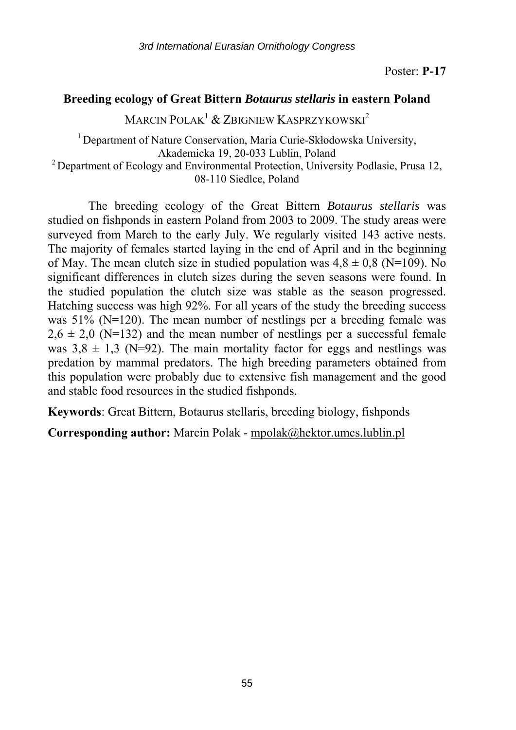## **Breeding ecology of Great Bittern** *Botaurus stellaris* **in eastern Poland**

MARCIN POLAK<sup>1</sup> & ZBIGNIEW KASPRZYKOWSKI<sup>2</sup>

<sup>1</sup> Department of Nature Conservation, Maria Curie-Skłodowska University, Akademicka 19, 20-033 Lublin, Poland<br><sup>2</sup> Department of Ecology and Environmental Protection, University Podlasie, Prusa 12, 08-110 Siedlce, Poland

The breeding ecology of the Great Bittern *Botaurus stellaris* was studied on fishponds in eastern Poland from 2003 to 2009. The study areas were surveyed from March to the early July. We regularly visited 143 active nests. The majority of females started laying in the end of April and in the beginning of May. The mean clutch size in studied population was  $4.8 \pm 0.8$  (N=109). No significant differences in clutch sizes during the seven seasons were found. In the studied population the clutch size was stable as the season progressed. Hatching success was high 92%. For all years of the study the breeding success was  $51\%$  (N=120). The mean number of nestlings per a breeding female was  $2.6 \pm 2.0$  (N=132) and the mean number of nestlings per a successful female was  $3.8 \pm 1.3$  (N=92). The main mortality factor for eggs and nestlings was predation by mammal predators. The high breeding parameters obtained from this population were probably due to extensive fish management and the good and stable food resources in the studied fishponds.

**Keywords**: Great Bittern, Botaurus stellaris, breeding biology, fishponds

**Corresponding author:** Marcin Polak - mpolak@hektor.umcs.lublin.pl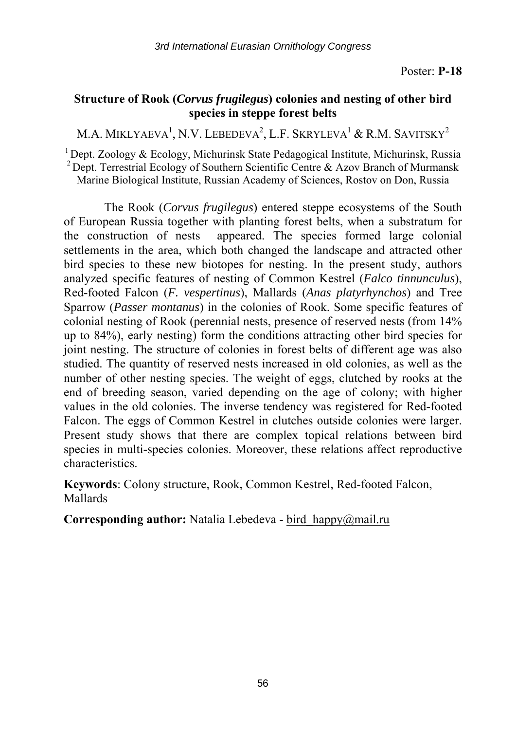# **Structure of Rook (***Corvus frugilegus***) colonies and nesting of other bird species in steppe forest belts**

M.A. MIKLYAEVA $^1,$  N.V. Lebedeva $^2,$  L.F. Skryleva $^1$  & R.M. Savitsky $^2$ 

 $1$  Dept. Zoology & Ecology, Michurinsk State Pedagogical Institute, Michurinsk, Russia <sup>2</sup> Dept. Terrestrial Ecology of Southern Scientific Centre  $\&$  Azov Branch of Murmansk Marine Biological Institute, Russian Academy of Sciences, Rostov on Don, Russia

The Rook (*Corvus frugilegus*) entered steppe ecosystems of the South of European Russia together with planting forest belts, when a substratum for the construction of nests appeared. The species formed large colonial settlements in the area, which both changed the landscape and attracted other bird species to these new biotopes for nesting. In the present study, authors analyzed specific features of nesting of Common Kestrel (*Falco tinnunculus*), Red-footed Falcon (*F. vespertinus*), Mallards (*Anas platyrhynchos*) and Tree Sparrow (*Passer montanus*) in the colonies of Rook. Some specific features of colonial nesting of Rook (perennial nests, presence of reserved nests (from 14% up to 84%), early nesting) form the conditions attracting other bird species for joint nesting. The structure of colonies in forest belts of different age was also studied. The quantity of reserved nests increased in old colonies, as well as the number of other nesting species. The weight of eggs, clutched by rooks at the end of breeding season, varied depending on the age of colony; with higher values in the old colonies. The inverse tendency was registered for Red-footed Falcon. The eggs of Common Kestrel in clutches outside colonies were larger. Present study shows that there are complex topical relations between bird species in multi-species colonies. Moreover, these relations affect reproductive characteristics.

**Keywords**: Colony structure, Rook, Common Kestrel, Red-footed Falcon, Mallards

**Corresponding author:** Natalia Lebedeva - bird\_happy@mail.ru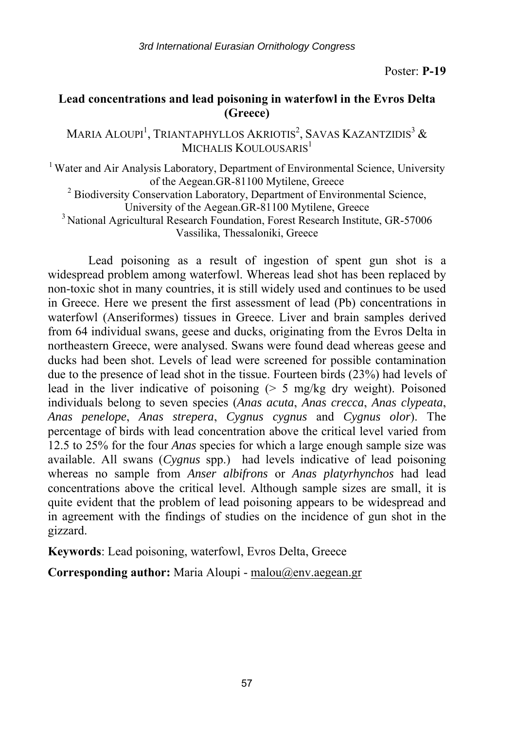# **Lead concentrations and lead poisoning in waterfowl in the Evros Delta (Greece)**

Maria Aloupi<sup>1</sup>, Triantaphyllos Akriotis<sup>2</sup>, Savas Kazantzidis<sup>3</sup> & MICHALIS KOULOUSARIS<sup>1</sup>

<sup>1</sup> Water and Air Analysis Laboratory, Department of Environmental Science, University of the Aegean.GR-81100 Mytilene, Greece 2

 $2$  Biodiversity Conservation Laboratory, Department of Environmental Science,

University of the Aegean.GR-81100 Mytilene, Greece 3 National Agricultural Research Foundation, Forest Research Institute, GR-57006 Vassilika, Thessaloniki, Greece

Lead poisoning as a result of ingestion of spent gun shot is a widespread problem among waterfowl. Whereas lead shot has been replaced by non-toxic shot in many countries, it is still widely used and continues to be used in Greece. Here we present the first assessment of lead (Pb) concentrations in waterfowl (Anseriformes) tissues in Greece. Liver and brain samples derived from 64 individual swans, geese and ducks, originating from the Evros Delta in northeastern Greece, were analysed. Swans were found dead whereas geese and ducks had been shot. Levels of lead were screened for possible contamination due to the presence of lead shot in the tissue. Fourteen birds (23%) had levels of lead in the liver indicative of poisoning  $($  > 5 mg/kg dry weight). Poisoned individuals belong to seven species (*Anas acuta*, *Anas crecca*, *Anas clypeata*, *Anas penelope*, *Anas strepera*, *Cygnus cygnus* and *Cygnus olor*). The percentage of birds with lead concentration above the critical level varied from 12.5 to 25% for the four *Anas* species for which a large enough sample size was available. All swans (*Cygnus* spp.) had levels indicative of lead poisoning whereas no sample from *Anser albifrons* or *Anas platyrhynchos* had lead concentrations above the critical level. Although sample sizes are small, it is quite evident that the problem of lead poisoning appears to be widespread and in agreement with the findings of studies on the incidence of gun shot in the gizzard.

**Keywords**: Lead poisoning, waterfowl, Evros Delta, Greece

**Corresponding author:** Maria Aloupi - malou@env.aegean.gr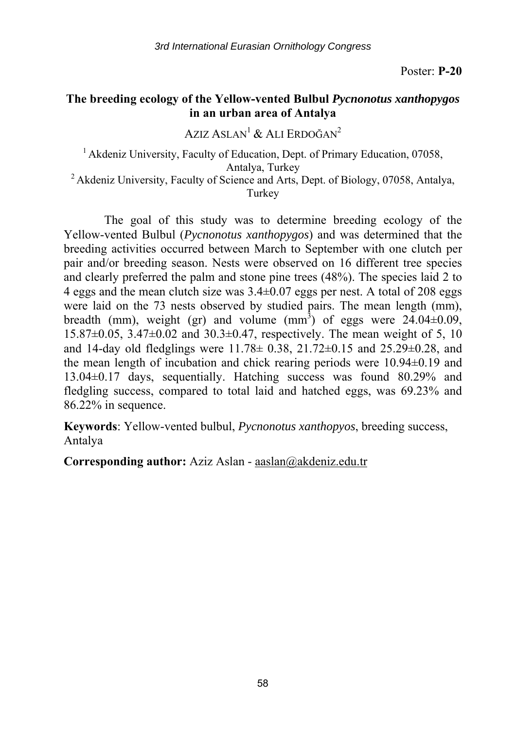# **The breeding ecology of the Yellow-vented Bulbul** *Pycnonotus xanthopygos* **in an urban area of Antalya**

AZIZ ASLAN<sup>1</sup> & ALI ERDOĞAN<sup>2</sup>

<sup>1</sup> Akdeniz University, Faculty of Education, Dept. of Primary Education, 07058,

Antalya, Turkey<br><sup>2</sup> Akdeniz University, Faculty of Science and Arts, Dept. of Biology, 07058, Antalya, Turkey

The goal of this study was to determine breeding ecology of the Yellow-vented Bulbul (*Pycnonotus xanthopygos*) and was determined that the breeding activities occurred between March to September with one clutch per pair and/or breeding season. Nests were observed on 16 different tree species and clearly preferred the palm and stone pine trees (48%). The species laid 2 to 4 eggs and the mean clutch size was  $3.4\pm0.07$  eggs per nest. A total of 208 eggs were laid on the 73 nests observed by studied pairs. The mean length (mm), breadth (mm), weight (gr) and volume (mm<sup>3</sup>) of eggs were  $24.04\pm0.09$ ,  $15.87\pm0.05$ ,  $3.47\pm0.02$  and  $30.3\pm0.47$ , respectively. The mean weight of 5, 10 and 14-day old fledglings were 11.78± 0.38, 21.72±0.15 and 25.29±0.28, and the mean length of incubation and chick rearing periods were 10.94±0.19 and 13.04±0.17 days, sequentially. Hatching success was found 80.29% and fledgling success, compared to total laid and hatched eggs, was 69.23% and 86.22% in sequence.

**Keywords**: Yellow-vented bulbul, *Pycnonotus xanthopyos*, breeding success, Antalya

**Corresponding author:** Aziz Aslan - aaslan@akdeniz.edu.tr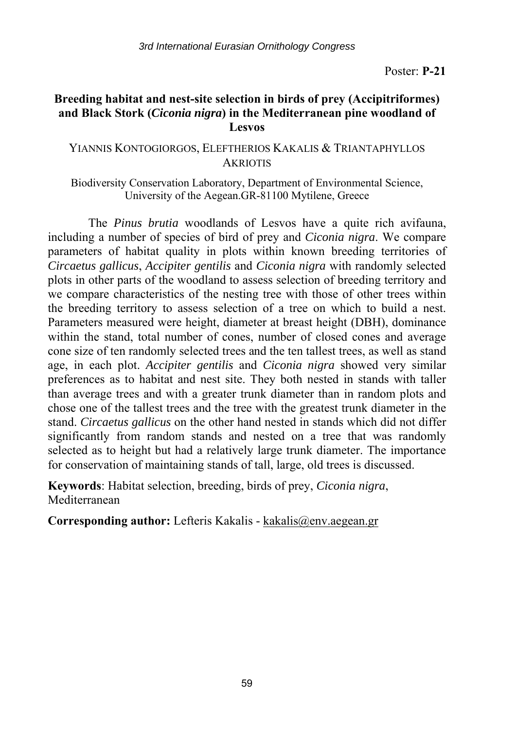# **Breeding habitat and nest-site selection in birds of prey (Accipitriformes) and Black Stork (***Ciconia nigra***) in the Mediterranean pine woodland of Lesvos**

## YIANNIS KONTOGIORGOS, ELEFTHERIOS KAKALIS & TRIANTAPHYLLOS **AKRIOTIS**

Biodiversity Conservation Laboratory, Department of Environmental Science, University of the Aegean.GR-81100 Mytilene, Greece

The *Pinus brutia* woodlands of Lesvos have a quite rich avifauna, including a number of species of bird of prey and *Ciconia nigra*. We compare parameters of habitat quality in plots within known breeding territories of *Circaetus gallicus*, *Accipiter gentilis* and *Ciconia nigra* with randomly selected plots in other parts of the woodland to assess selection of breeding territory and we compare characteristics of the nesting tree with those of other trees within the breeding territory to assess selection of a tree on which to build a nest. Parameters measured were height, diameter at breast height (DBH), dominance within the stand, total number of cones, number of closed cones and average cone size of ten randomly selected trees and the ten tallest trees, as well as stand age, in each plot. *Accipiter gentilis* and *Ciconia nigra* showed very similar preferences as to habitat and nest site. They both nested in stands with taller than average trees and with a greater trunk diameter than in random plots and chose one of the tallest trees and the tree with the greatest trunk diameter in the stand. *Circaetus gallicus* on the other hand nested in stands which did not differ significantly from random stands and nested on a tree that was randomly selected as to height but had a relatively large trunk diameter. The importance for conservation of maintaining stands of tall, large, old trees is discussed.

**Keywords**: Habitat selection, breeding, birds of prey, *Ciconia nigra*, Mediterranean

**Corresponding author:** Lefteris Kakalis - kakalis@env.aegean.gr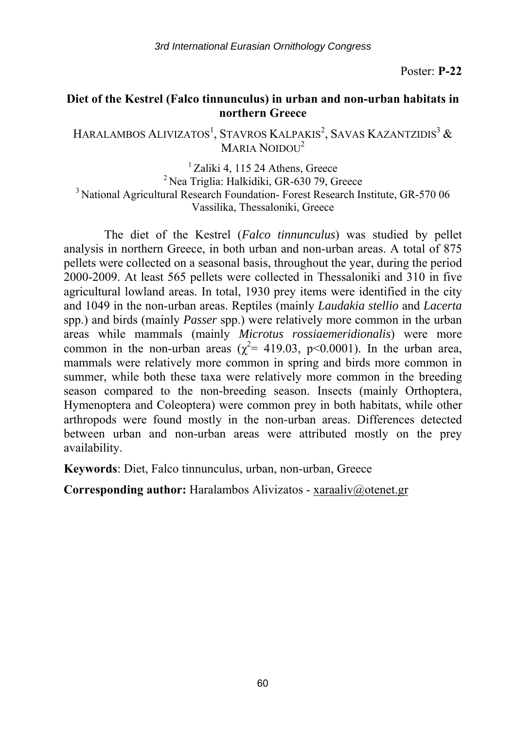### **Diet of the Kestrel (Falco tinnunculus) in urban and non-urban habitats in northern Greece**

Haralambos Alivizatos<sup>1</sup>, Stavros Kalpakis<sup>2</sup>, Savas Kazantzidis<sup>3</sup> & MARIA NOIDOU<sup>2</sup>

<sup>1</sup> Zaliki 4, 115 24 Athens, Greece<br><sup>2</sup> Nea Triglia: Halkidiki, GR-630 79, Greece<sup>3</sup> National Agricultural Research Foundation- Forest Research Institute, GR-570 06 Vassilika, Thessaloniki, Greece

The diet of the Kestrel (*Falco tinnunculus*) was studied by pellet analysis in northern Greece, in both urban and non-urban areas. A total of 875 pellets were collected on a seasonal basis, throughout the year, during the period 2000-2009. At least 565 pellets were collected in Thessaloniki and 310 in five agricultural lowland areas. In total, 1930 prey items were identified in the city and 1049 in the non-urban areas. Reptiles (mainly *Laudakia stellio* and *Lacerta* spp.) and birds (mainly *Passer* spp.) were relatively more common in the urban areas while mammals (mainly *Microtus rossiaemeridionalis*) were more common in the non-urban areas ( $\chi^2$  = 419.03, p < 0.0001). In the urban area, mammals were relatively more common in spring and birds more common in summer, while both these taxa were relatively more common in the breeding season compared to the non-breeding season. Insects (mainly Orthoptera, Hymenoptera and Coleoptera) were common prey in both habitats, while other arthropods were found mostly in the non-urban areas. Differences detected between urban and non-urban areas were attributed mostly on the prey availability.

**Keywords**: Diet, Falco tinnunculus, urban, non-urban, Greece

**Corresponding author:** Haralambos Alivizatos - xaraaliv@otenet.gr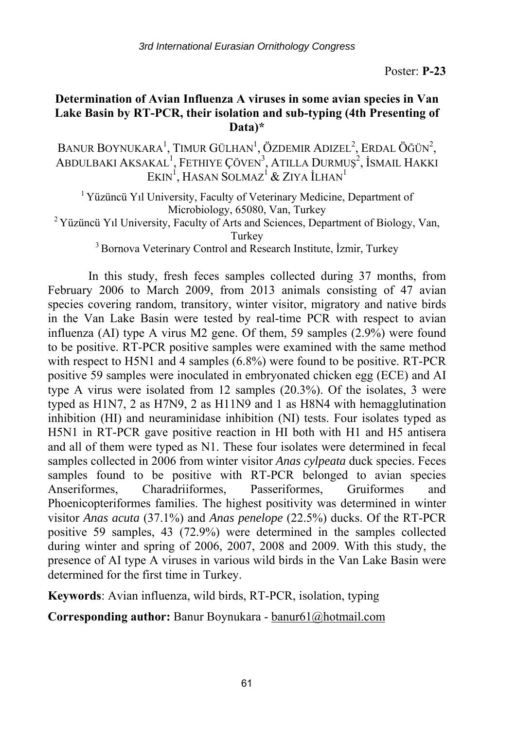## **Determination of Avian Influenza A viruses in some avian species in Van Lake Basin by RT-PCR, their isolation and sub-typing (4th Presenting of Data)\***

Banur Boynukara<sup>1</sup>, Timur Gülhan<sup>1</sup>, Özdemir Adizel<sup>2</sup>, Erdal Öğün<sup>2</sup>, ABDULBAKI AKSAKAL<sup>1</sup>, FETHIYE ÇÖVEN<sup>3</sup>, ATILLA DURMUŞ<sup>2</sup>, İSMAIL HAKKI  $\operatorname{EKIN}^1$ , Hasan Solmaz $^1$  & Ziya İlhan $^1$ 

<sup>1</sup> Yüzüncü Yıl University, Faculty of Veterinary Medicine, Department of Microbiology, 65080, Van, Turkey<br><sup>2</sup> Yüzüncü Yıl University, Faculty of Arts and Sciences, Department of Biology, Van,

Turkey<br><sup>3</sup> Bornova Veterinary Control and Research Institute, İzmir, Turkey

In this study, fresh feces samples collected during 37 months, from February 2006 to March 2009, from 2013 animals consisting of 47 avian species covering random, transitory, winter visitor, migratory and native birds in the Van Lake Basin were tested by real-time PCR with respect to avian influenza (AI) type A virus M2 gene. Of them, 59 samples (2.9%) were found to be positive. RT-PCR positive samples were examined with the same method with respect to H5N1 and 4 samples (6.8%) were found to be positive. RT-PCR positive 59 samples were inoculated in embryonated chicken egg (ECE) and AI type A virus were isolated from 12 samples (20.3%). Of the isolates, 3 were typed as H1N7, 2 as H7N9, 2 as H11N9 and 1 as H8N4 with hemagglutination inhibition (HI) and neuraminidase inhibition (NI) tests. Four isolates typed as H5N1 in RT-PCR gave positive reaction in HI both with H1 and H5 antisera and all of them were typed as N1. These four isolates were determined in fecal samples collected in 2006 from winter visitor *Anas cylpeata* duck species. Feces samples found to be positive with RT-PCR belonged to avian species Anseriformes, Charadriiformes, Passeriformes, Gruiformes and Phoenicopteriformes families. The highest positivity was determined in winter visitor *Anas acuta* (37.1%) and *Anas penelope* (22.5%) ducks. Of the RT-PCR positive 59 samples, 43 (72.9%) were determined in the samples collected during winter and spring of 2006, 2007, 2008 and 2009. With this study, the presence of AI type A viruses in various wild birds in the Van Lake Basin were determined for the first time in Turkey.

**Keywords**: Avian influenza, wild birds, RT-PCR, isolation, typing

**Corresponding author:** Banur Boynukara - banur61@hotmail.com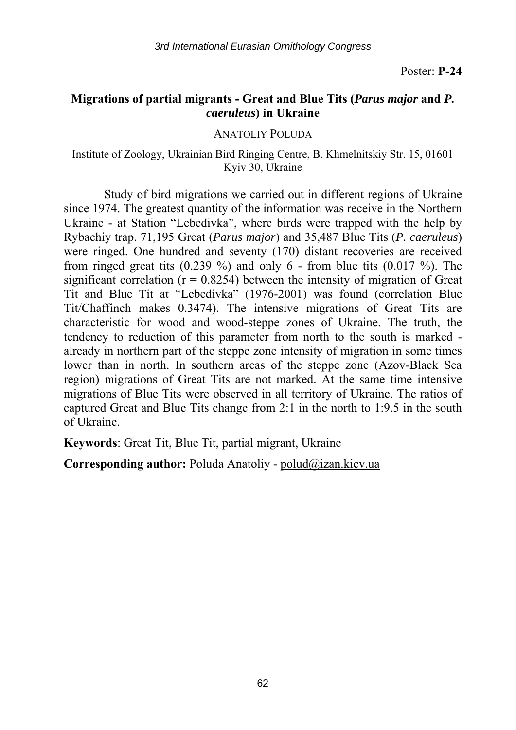# **Migrations of partial migrants - Great and Blue Tits (***Parus major* **and** *P. caeruleus***) in Ukraine**

ANATOLIY POLUDA

Institute of Zoology, Ukrainian Bird Ringing Centre, B. Khmelnitskiy Str. 15, 01601 Kyiv 30, Ukraine

Study of bird migrations we carried out in different regions of Ukraine since 1974. The greatest quantity of the information was receive in the Northern Ukraine - at Station "Lebedivka", where birds were trapped with the help by Rybachiy trap. 71,195 Great (*Parus major*) and 35,487 Blue Tits (*P. caeruleus*) were ringed. One hundred and seventy (170) distant recoveries are received from ringed great tits  $(0.239\%)$  and only 6 - from blue tits  $(0.017\%)$ . The significant correlation ( $r = 0.8254$ ) between the intensity of migration of Great Tit and Blue Tit at "Lebedivka" (1976-2001) was found (correlation Blue Tit/Chaffinch makes 0.3474). The intensive migrations of Great Tits are characteristic for wood and wood-steppe zones of Ukraine. The truth, the tendency to reduction of this parameter from north to the south is marked already in northern part of the steppe zone intensity of migration in some times lower than in north. In southern areas of the steppe zone (Azov-Black Sea region) migrations of Great Tits are not marked. At the same time intensive migrations of Blue Tits were observed in all territory of Ukraine. The ratios of captured Great and Blue Tits change from 2:1 in the north to 1:9.5 in the south of Ukraine.

**Keywords**: Great Tit, Blue Tit, partial migrant, Ukraine

**Corresponding author:** Poluda Anatoliy - polud@izan.kiev.ua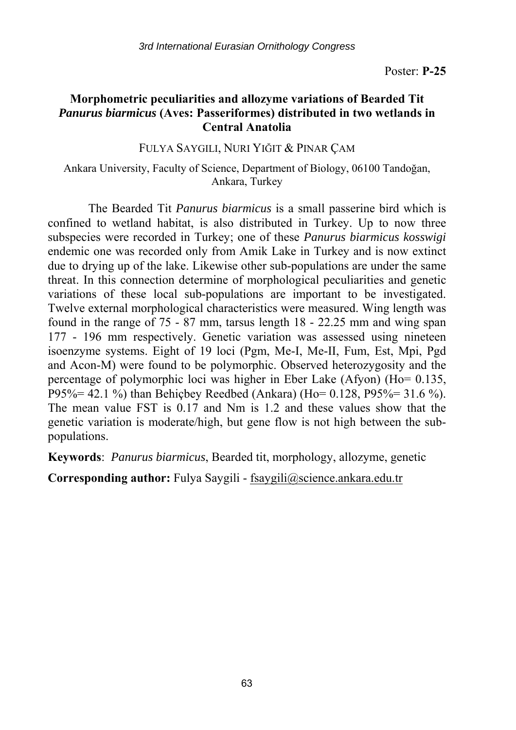# **Morphometric peculiarities and allozyme variations of Bearded Tit**  *Panurus biarmicus* **(Aves: Passeriformes) distributed in two wetlands in Central Anatolia**

FULYA SAYGILI, NURI YIĞIT & PINAR ÇAM

### Ankara University, Faculty of Science, Department of Biology, 06100 Tandoğan, Ankara, Turkey

The Bearded Tit *Panurus biarmicus* is a small passerine bird which is confined to wetland habitat, is also distributed in Turkey. Up to now three subspecies were recorded in Turkey; one of these *Panurus biarmicus kosswigi* endemic one was recorded only from Amik Lake in Turkey and is now extinct due to drying up of the lake. Likewise other sub-populations are under the same threat. In this connection determine of morphological peculiarities and genetic variations of these local sub-populations are important to be investigated. Twelve external morphological characteristics were measured. Wing length was found in the range of 75 - 87 mm, tarsus length 18 - 22.25 mm and wing span 177 - 196 mm respectively. Genetic variation was assessed using nineteen isoenzyme systems. Eight of 19 loci (Pgm, Me-I, Me-II, Fum, Est, Mpi, Pgd and Acon-M) were found to be polymorphic. Observed heterozygosity and the percentage of polymorphic loci was higher in Eber Lake (Afyon) (Ho= 0.135, P95%= 42.1 %) than Behiçbey Reedbed (Ankara) (Ho= 0.128, P95%= 31.6 %). The mean value FST is 0.17 and Nm is 1.2 and these values show that the genetic variation is moderate/high, but gene flow is not high between the subpopulations.

**Keywords**: *Panurus biarmicus*, Bearded tit, morphology, allozyme, genetic

**Corresponding author:** Fulya Saygili - fsaygili@science.ankara.edu.tr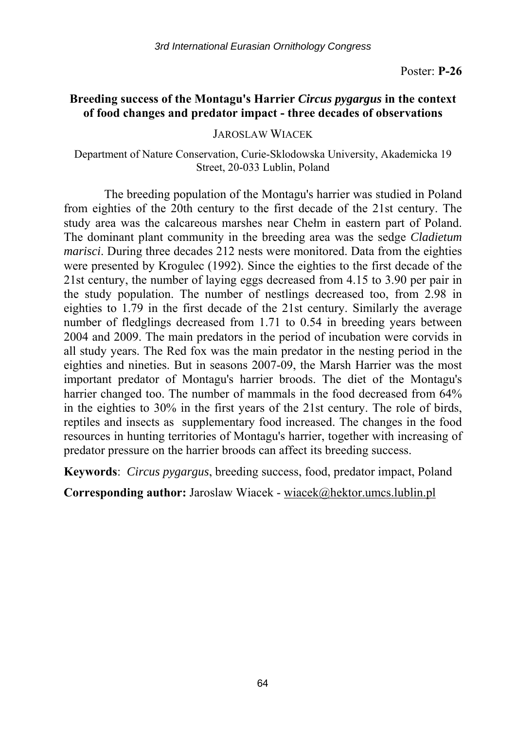## **Breeding success of the Montagu's Harrier** *Circus pygargus* **in the context of food changes and predator impact - three decades of observations**

JAROSLAW WIACEK

Department of Nature Conservation, Curie-Sklodowska University, Akademicka 19 Street, 20-033 Lublin, Poland

The breeding population of the Montagu's harrier was studied in Poland from eighties of the 20th century to the first decade of the 21st century. The study area was the calcareous marshes near Chełm in eastern part of Poland. The dominant plant community in the breeding area was the sedge *Cladietum marisci*. During three decades 212 nests were monitored. Data from the eighties were presented by Krogulec (1992). Since the eighties to the first decade of the 21st century, the number of laying eggs decreased from 4.15 to 3.90 per pair in the study population. The number of nestlings decreased too, from 2.98 in eighties to 1.79 in the first decade of the 21st century. Similarly the average number of fledglings decreased from 1.71 to 0.54 in breeding years between 2004 and 2009. The main predators in the period of incubation were corvids in all study years. The Red fox was the main predator in the nesting period in the eighties and nineties. But in seasons 2007-09, the Marsh Harrier was the most important predator of Montagu's harrier broods. The diet of the Montagu's harrier changed too. The number of mammals in the food decreased from 64% in the eighties to 30% in the first years of the 21st century. The role of birds, reptiles and insects as supplementary food increased. The changes in the food resources in hunting territories of Montagu's harrier, together with increasing of predator pressure on the harrier broods can affect its breeding success.

**Keywords**: *Circus pygargus*, breeding success, food, predator impact, Poland

**Corresponding author:** Jaroslaw Wiacek - wiacek@hektor.umcs.lublin.pl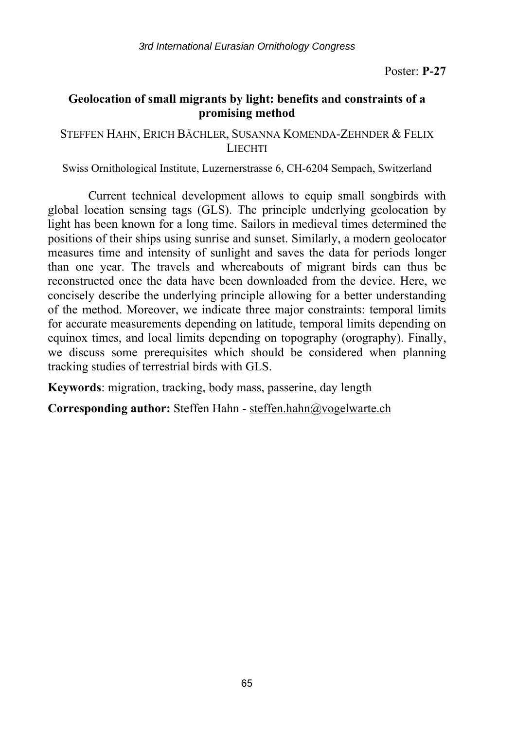# **Geolocation of small migrants by light: benefits and constraints of a promising method**

STEFFEN HAHN, ERICH BÄCHLER, SUSANNA KOMENDA-ZEHNDER & FELIX **LIECHTI** 

Swiss Ornithological Institute, Luzernerstrasse 6, CH-6204 Sempach, Switzerland

Current technical development allows to equip small songbirds with global location sensing tags (GLS). The principle underlying geolocation by light has been known for a long time. Sailors in medieval times determined the positions of their ships using sunrise and sunset. Similarly, a modern geolocator measures time and intensity of sunlight and saves the data for periods longer than one year. The travels and whereabouts of migrant birds can thus be reconstructed once the data have been downloaded from the device. Here, we concisely describe the underlying principle allowing for a better understanding of the method. Moreover, we indicate three major constraints: temporal limits for accurate measurements depending on latitude, temporal limits depending on equinox times, and local limits depending on topography (orography). Finally, we discuss some prerequisites which should be considered when planning tracking studies of terrestrial birds with GLS.

**Keywords**: migration, tracking, body mass, passerine, day length

**Corresponding author:** Steffen Hahn - steffen.hahn@vogelwarte.ch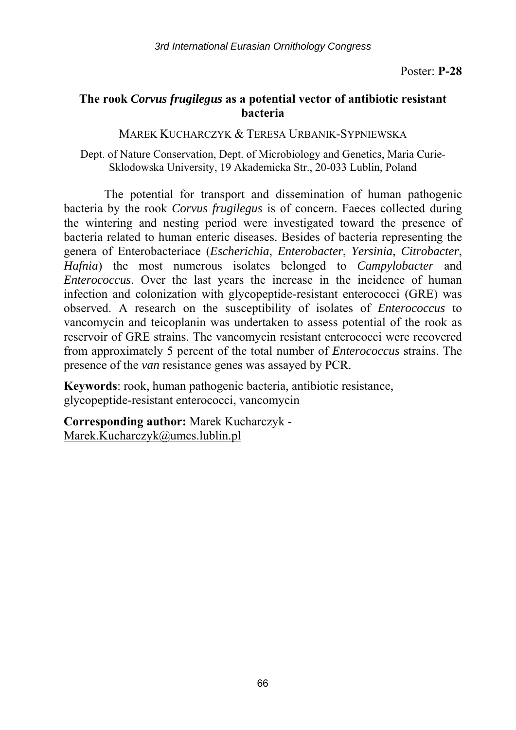# **The rook** *Corvus frugilegus* **as a potential vector of antibiotic resistant bacteria**

MAREK KUCHARCZYK & TERESA URBANIK-SYPNIEWSKA

Dept. of Nature Conservation, Dept. of Microbiology and Genetics, Maria Curie-Sklodowska University, 19 Akademicka Str., 20-033 Lublin, Poland

The potential for transport and dissemination of human pathogenic bacteria by the rook *Corvus frugilegus* is of concern. Faeces collected during the wintering and nesting period were investigated toward the presence of bacteria related to human enteric diseases. Besides of bacteria representing the genera of Enterobacteriace (*Escherichia*, *Enterobacter*, *Yersinia*, *Citrobacter*, *Hafnia*) the most numerous isolates belonged to *Campylobacter* and *Enterococcus*. Over the last years the increase in the incidence of human infection and colonization with glycopeptide-resistant enterococci (GRE) was observed. A research on the susceptibility of isolates of *Enterococcus* to vancomycin and teicoplanin was undertaken to assess potential of the rook as reservoir of GRE strains. The vancomycin resistant enterococci were recovered from approximately 5 percent of the total number of *Enterococcus* strains. The presence of the *van* resistance genes was assayed by PCR.

**Keywords**: rook, human pathogenic bacteria, antibiotic resistance, glycopeptide-resistant enterococci, vancomycin

**Corresponding author:** Marek Kucharczyk - Marek.Kucharczyk@umcs.lublin.pl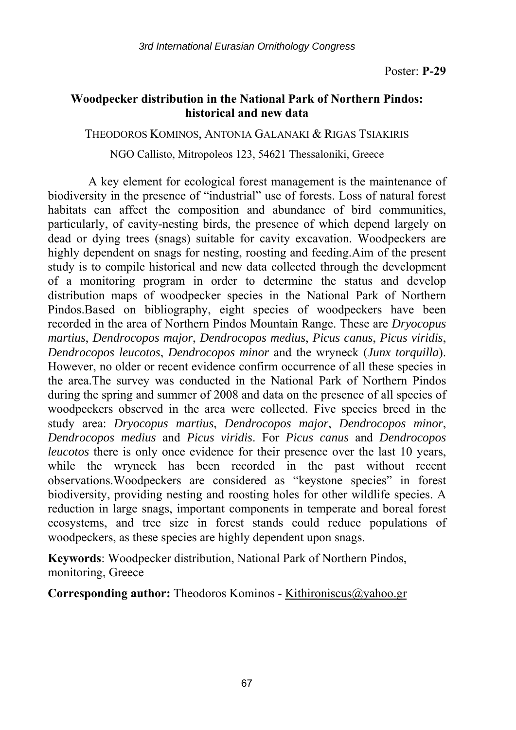# **Woodpecker distribution in the National Park of Northern Pindos: historical and new data**

THEODOROS KOMINOS, ANTONIA GALANAKI & RIGAS TSIAKIRIS

NGO Callisto, Mitropoleos 123, 54621 Thessaloniki, Greece

A key element for ecological forest management is the maintenance of biodiversity in the presence of "industrial" use of forests. Loss of natural forest habitats can affect the composition and abundance of bird communities, particularly, of cavity-nesting birds, the presence of which depend largely on dead or dying trees (snags) suitable for cavity excavation. Woodpeckers are highly dependent on snags for nesting, roosting and feeding.Aim of the present study is to compile historical and new data collected through the development of a monitoring program in order to determine the status and develop distribution maps of woodpecker species in the National Park of Northern Pindos.Based on bibliography, eight species of woodpeckers have been recorded in the area of Northern Pindos Mountain Range. These are *Dryocopus martius*, *Dendrocopos major*, *Dendrocopos medius*, *Picus canus*, *Picus viridis*, *Dendrocopos leucotos*, *Dendrocopos minor* and the wryneck (*Junx torquilla*). However, no older or recent evidence confirm occurrence of all these species in the area.The survey was conducted in the National Park of Northern Pindos during the spring and summer of 2008 and data on the presence of all species of woodpeckers observed in the area were collected. Five species breed in the study area: *Dryocopus martius*, *Dendrocopos major*, *Dendrocopos minor*, *Dendrocopos medius* and *Picus viridis*. For *Picus canus* and *Dendrocopos leucotos* there is only once evidence for their presence over the last 10 years, while the wryneck has been recorded in the past without recent observations.Woodpeckers are considered as "keystone species" in forest biodiversity, providing nesting and roosting holes for other wildlife species. A reduction in large snags, important components in temperate and boreal forest ecosystems, and tree size in forest stands could reduce populations of woodpeckers, as these species are highly dependent upon snags.

**Keywords**: Woodpecker distribution, National Park of Northern Pindos, monitoring, Greece

**Corresponding author:** Theodoros Kominos - Kithironiscus@yahoo.gr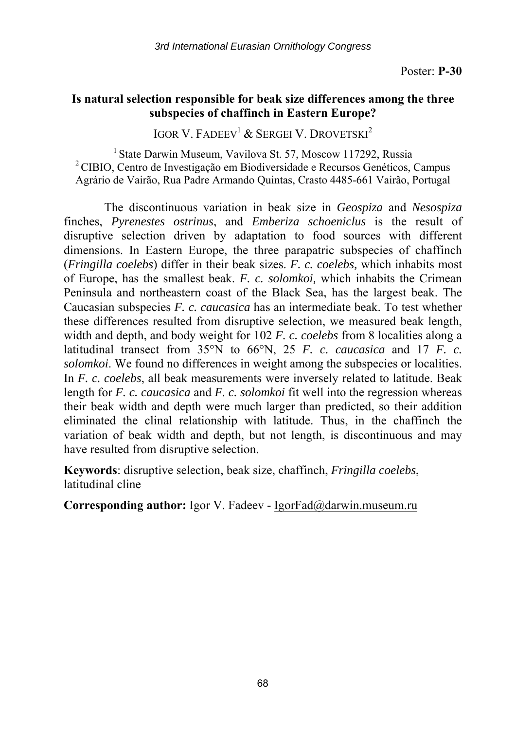## **Is natural selection responsible for beak size differences among the three subspecies of chaffinch in Eastern Europe?**

IGOR V. FADEEV<sup>1</sup> & SERGEI V. DROVETSKI<sup>2</sup>

<sup>1</sup> State Darwin Museum, Vavilova St. 57, Moscow 117292, Russia <sup>2</sup> CIBIO, Centro de Investigação em Biodiversidade e Recursos Genéticos, Campus Agrário de Vairão, Rua Padre Armando Quintas, Crasto 4485-661 Vairão, Portugal

The discontinuous variation in beak size in *Geospiza* and *Nesospiza* finches, *Pyrenestes ostrinus*, and *Emberiza schoeniclus* is the result of disruptive selection driven by adaptation to food sources with different dimensions. In Eastern Europe, the three parapatric subspecies of chaffinch (*Fringilla coelebs*) differ in their beak sizes. *F. c. coelebs,* which inhabits most of Europe, has the smallest beak. *F. c. solomkoi,* which inhabits the Crimean Peninsula and northeastern coast of the Black Sea, has the largest beak. The Caucasian subspecies *F. c. caucasica* has an intermediate beak. To test whether these differences resulted from disruptive selection, we measured beak length, width and depth, and body weight for 102 *F. c. coelebs* from 8 localities along a latitudinal transect from 35°N to 66°N, 25 *F. c. caucasica* and 17 *F. c. solomkoi*. We found no differences in weight among the subspecies or localities. In *F. c. coelebs*, all beak measurements were inversely related to latitude. Beak length for *F. c. caucasica* and *F. c. solomkoi* fit well into the regression whereas their beak width and depth were much larger than predicted, so their addition eliminated the clinal relationship with latitude. Thus, in the chaffinch the variation of beak width and depth, but not length, is discontinuous and may have resulted from disruptive selection.

**Keywords**: disruptive selection, beak size, chaffinch, *Fringilla coelebs*, latitudinal cline

**Corresponding author:** Igor V. Fadeev - IgorFad@darwin.museum.ru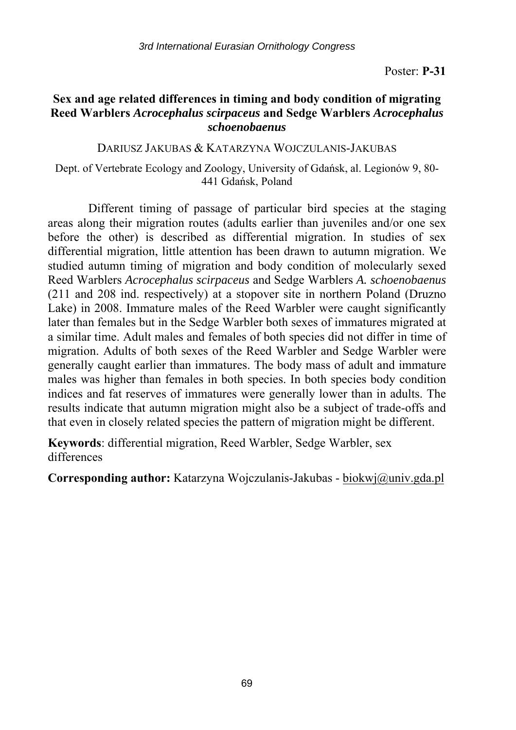## **Sex and age related differences in timing and body condition of migrating Reed Warblers** *Acrocephalus scirpaceus* **and Sedge Warblers** *Acrocephalus schoenobaenus*

DARIUSZ JAKUBAS & KATARZYNA WOJCZULANIS-JAKUBAS

Dept. of Vertebrate Ecology and Zoology, University of Gdańsk, al. Legionów 9, 80- 441 Gdańsk, Poland

Different timing of passage of particular bird species at the staging areas along their migration routes (adults earlier than juveniles and/or one sex before the other) is described as differential migration. In studies of sex differential migration, little attention has been drawn to autumn migration. We studied autumn timing of migration and body condition of molecularly sexed Reed Warblers *Acrocephalus scirpaceus* and Sedge Warblers *A. schoenobaenus* (211 and 208 ind. respectively) at a stopover site in northern Poland (Druzno Lake) in 2008. Immature males of the Reed Warbler were caught significantly later than females but in the Sedge Warbler both sexes of immatures migrated at a similar time. Adult males and females of both species did not differ in time of migration. Adults of both sexes of the Reed Warbler and Sedge Warbler were generally caught earlier than immatures. The body mass of adult and immature males was higher than females in both species. In both species body condition indices and fat reserves of immatures were generally lower than in adults. The results indicate that autumn migration might also be a subject of trade-offs and that even in closely related species the pattern of migration might be different.

**Keywords**: differential migration, Reed Warbler, Sedge Warbler, sex differences

**Corresponding author:** Katarzyna Wojczulanis-Jakubas - biokwj@univ.gda.pl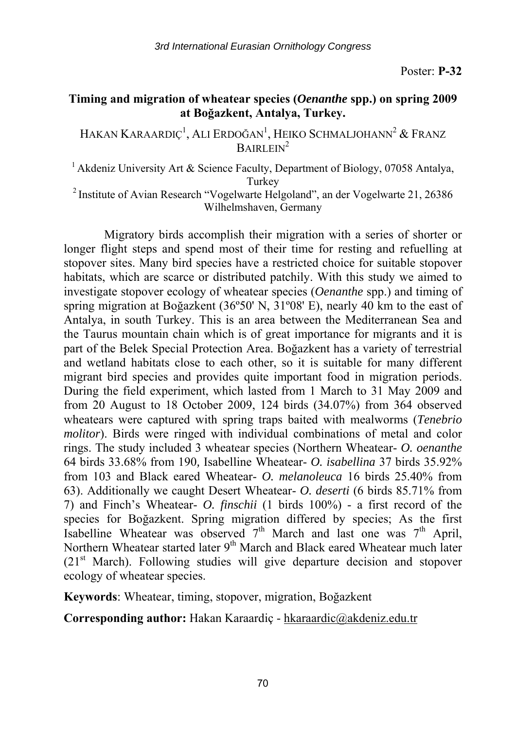# **Timing and migration of wheatear species (***Oenanthe* **spp.) on spring 2009 at Boğazkent, Antalya, Turkey.**

Hakan Karaardıç<sup>1</sup>, Ali Erdoğan<sup>1</sup>, Heiko Schmaljohann<sup>2</sup> & Franz  $B$ AIRLEIN<sup>2</sup>

<sup>1</sup> Akdeniz University Art & Science Faculty, Department of Biology, 07058 Antalya, Turkey 2 Institute of Avian Research "Vogelwarte Helgoland", an der Vogelwarte 21, 26386

Wilhelmshaven, Germany

Migratory birds accomplish their migration with a series of shorter or longer flight steps and spend most of their time for resting and refuelling at stopover sites. Many bird species have a restricted choice for suitable stopover habitats, which are scarce or distributed patchily. With this study we aimed to investigate stopover ecology of wheatear species (*Oenanthe* spp.) and timing of spring migration at Boğazkent (36º50' N, 31º08' E), nearly 40 km to the east of Antalya, in south Turkey. This is an area between the Mediterranean Sea and the Taurus mountain chain which is of great importance for migrants and it is part of the Belek Special Protection Area. Boğazkent has a variety of terrestrial and wetland habitats close to each other, so it is suitable for many different migrant bird species and provides quite important food in migration periods. During the field experiment, which lasted from 1 March to 31 May 2009 and from 20 August to 18 October 2009, 124 birds (34.07%) from 364 observed wheatears were captured with spring traps baited with mealworms (*Tenebrio molitor*). Birds were ringed with individual combinations of metal and color rings. The study included 3 wheatear species (Northern Wheatear- *O. oenanthe* 64 birds 33.68% from 190*,* Isabelline Wheatear- *O. isabellina* 37 birds 35.92% from 103 and Black eared Wheatear- *O. melanoleuca* 16 birds 25.40% from 63). Additionally we caught Desert Wheatear- *O. deserti* (6 birds 85.71% from 7) and Finch's Wheatear- *O. finschii* (1 birds 100%) - a first record of the species for Boğazkent. Spring migration differed by species; As the first Isabelline Wheatear was observed  $7<sup>th</sup>$  March and last one was  $7<sup>th</sup>$  April, Northern Wheatear started later 9<sup>th</sup> March and Black eared Wheatear much later  $(21<sup>st</sup> March)$ . Following studies will give departure decision and stopover ecology of wheatear species.

**Keywords**: Wheatear, timing, stopover, migration, Boğazkent

**Corresponding author:** Hakan Karaardiç - hkaraardic@akdeniz.edu.tr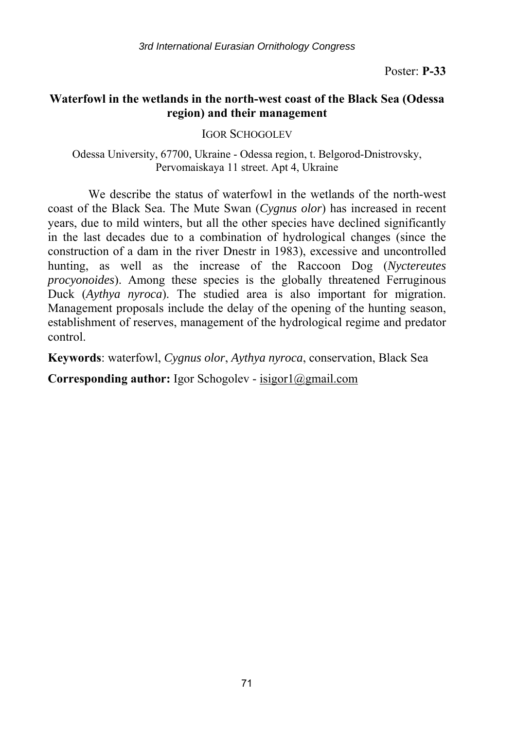# **Waterfowl in the wetlands in the north-west coast of the Black Sea (Odessa region) and their management**

IGOR SCHOGOLEV

Odessa University, 67700, Ukraine - Odessa region, t. Belgorod-Dnistrovsky, Pervomaiskaya 11 street. Apt 4, Ukraine

We describe the status of waterfowl in the wetlands of the north-west coast of the Black Sea. The Mute Swan (*Cygnus olor*) has increased in recent years, due to mild winters, but all the other species have declined significantly in the last decades due to a combination of hydrological changes (since the construction of a dam in the river Dnestr in 1983), excessive and uncontrolled hunting, as well as the increase of the Raccoon Dog (*Nyctereutes procyonoides*). Among these species is the globally threatened Ferruginous Duck (*Aythya nyroca*). The studied area is also important for migration. Management proposals include the delay of the opening of the hunting season, establishment of reserves, management of the hydrological regime and predator control.

**Keywords**: waterfowl, *Cygnus olor*, *Aythya nyroca*, conservation, Black Sea

**Corresponding author:** Igor Schogolev - isigor1@gmail.com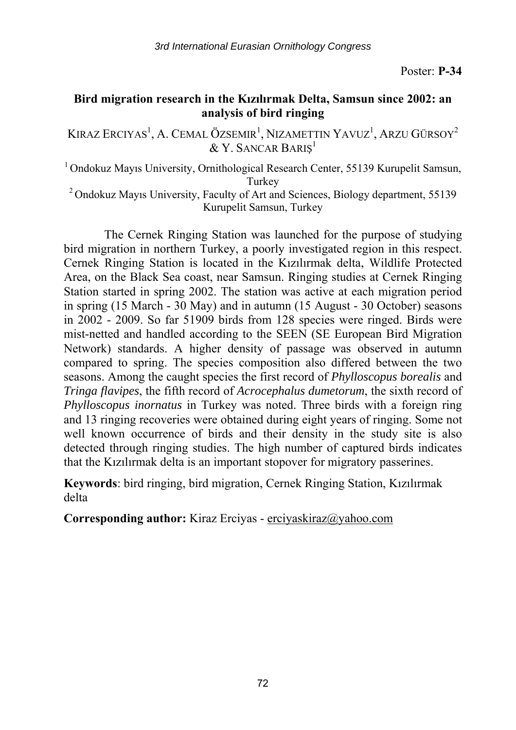# **Bird migration research in the Kızılırmak Delta, Samsun since 2002: an analysis of bird ringing**

Kıraz Erciyas<sup>1</sup>, A. Cemal Özsemir<sup>1</sup>, Nizamettin Yavuz<sup>1</sup>, Arzu Gürsoy<sup>2</sup>  $&$  Y. Sancar Bariş $^{\rm l}$ 

1 Ondokuz Mayıs University, Ornithological Research Center, 55139 Kurupelit Samsun, Turkey<br><sup>2</sup> Ondokuz Mayıs University, Faculty of Art and Sciences, Biology department, 55139<sup>2</sup>

Kurupelit Samsun, Turkey

The Cernek Ringing Station was launched for the purpose of studying bird migration in northern Turkey, a poorly investigated region in this respect. Cernek Ringing Station is located in the Kızılırmak delta, Wildlife Protected Area, on the Black Sea coast, near Samsun. Ringing studies at Cernek Ringing Station started in spring 2002. The station was active at each migration period in spring (15 March - 30 May) and in autumn (15 August - 30 October) seasons in 2002 - 2009. So far 51909 birds from 128 species were ringed. Birds were mist-netted and handled according to the SEEN (SE European Bird Migration Network) standards. A higher density of passage was observed in autumn compared to spring. The species composition also differed between the two seasons. Among the caught species the first record of *Phylloscopus borealis* and *Tringa flavipes*, the fifth record of *Acrocephalus dumetorum*, the sixth record of *Phylloscopus inornatus* in Turkey was noted. Three birds with a foreign ring and 13 ringing recoveries were obtained during eight years of ringing. Some not well known occurrence of birds and their density in the study site is also detected through ringing studies. The high number of captured birds indicates that the Kızılırmak delta is an important stopover for migratory passerines.

**Keywords**: bird ringing, bird migration, Cernek Ringing Station, Kızılırmak delta

**Corresponding author:** Kiraz Erciyas - erciyaskiraz@yahoo.com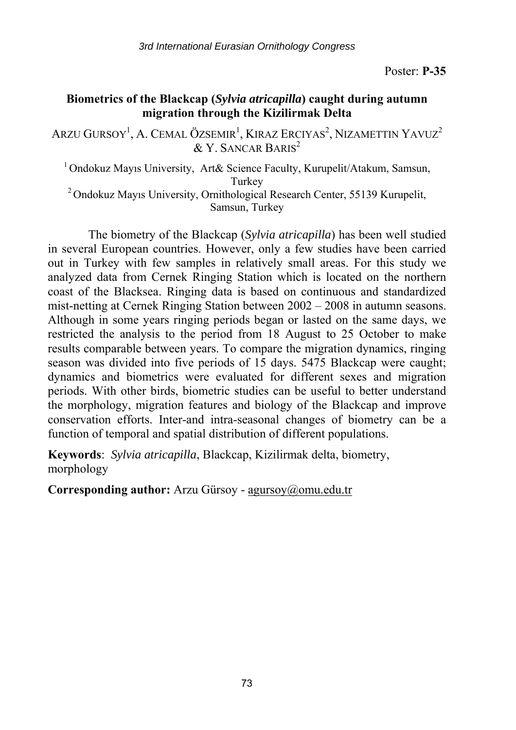## **Biometrics of the Blackcap (***Sylvia atricapilla***) caught during autumn migration through the Kizilirmak Delta**

Arzu Gursoy<sup>1</sup>, A. Cemal Özsemir<sup>1</sup>, Kıraz Erciyas<sup>2</sup>, Nizamettin Yavuz<sup>2</sup>  $&$  Y. SANCAR BARIS<sup>2</sup>

1 Ondokuz Mayıs University, Art& Science Faculty, Kurupelit/Atakum, Samsun, Turkey 2 Ondokuz Mayıs University, Ornithological Research Center, 55139 Kurupelit,

Samsun, Turkey

The biometry of the Blackcap (*Sylvia atricapilla*) has been well studied in several European countries. However, only a few studies have been carried out in Turkey with few samples in relatively small areas. For this study we analyzed data from Cernek Ringing Station which is located on the northern coast of the Blacksea. Ringing data is based on continuous and standardized mist-netting at Cernek Ringing Station between 2002 – 2008 in autumn seasons. Although in some years ringing periods began or lasted on the same days, we restricted the analysis to the period from 18 August to 25 October to make results comparable between years. To compare the migration dynamics, ringing season was divided into five periods of 15 days. 5475 Blackcap were caught; dynamics and biometrics were evaluated for different sexes and migration periods. With other birds, biometric studies can be useful to better understand the morphology, migration features and biology of the Blackcap and improve conservation efforts. Inter-and intra-seasonal changes of biometry can be a function of temporal and spatial distribution of different populations.

**Keywords**: *Sylvia atricapilla*, Blackcap, Kizilirmak delta, biometry, morphology

**Corresponding author:** Arzu Gürsoy - agursoy@omu.edu.tr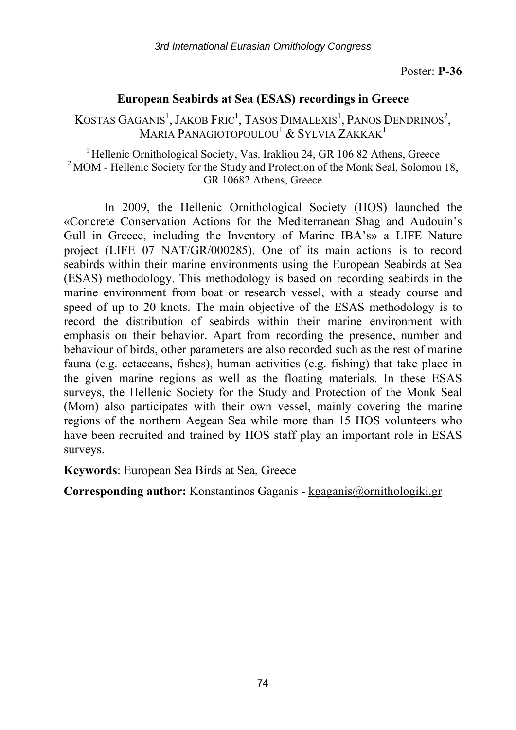## **European Seabirds at Sea (ESAS) recordings in Greece**

KOSTAS GAGANIS<sup>1</sup>, JAKOB FRIC<sup>1</sup>, TASOS DIMALEXIS<sup>1</sup>, PANOS DENDRINOS<sup>2</sup>, MARIA PANAGIOTOPOULOU<sup>1</sup> & SYLVIA ZAKKAK<sup>1</sup>

<sup>1</sup> Hellenic Ornithological Society, Vas. Irakliou 24, GR 106 82 Athens, Greece  $2 \text{ MOM}$  - Hellenic Society for the Study and Protection of the Monk Seal, Solomou 18, GR 10682 Athens, Greece

In 2009, the Hellenic Ornithological Society (HOS) launched the «Concrete Conservation Actions for the Mediterranean Shag and Audouin's Gull in Greece, including the Inventory of Marine IBA's» a LIFE Nature project (LIFE 07 NAT/GR/000285). One of its main actions is to record seabirds within their marine environments using the European Seabirds at Sea (ESAS) methodology. This methodology is based on recording seabirds in the marine environment from boat or research vessel, with a steady course and speed of up to 20 knots. The main objective of the ESAS methodology is to record the distribution of seabirds within their marine environment with emphasis on their behavior. Apart from recording the presence, number and behaviour of birds, other parameters are also recorded such as the rest of marine fauna (e.g. cetaceans, fishes), human activities (e.g. fishing) that take place in the given marine regions as well as the floating materials. In these ESAS surveys, the Hellenic Society for the Study and Protection of the Monk Seal (Mom) also participates with their own vessel, mainly covering the marine regions of the northern Aegean Sea while more than 15 HOS volunteers who have been recruited and trained by HOS staff play an important role in ESAS surveys.

**Keywords**: European Sea Birds at Sea, Greece

**Corresponding author:** Konstantinos Gaganis - kgaganis@ornithologiki.gr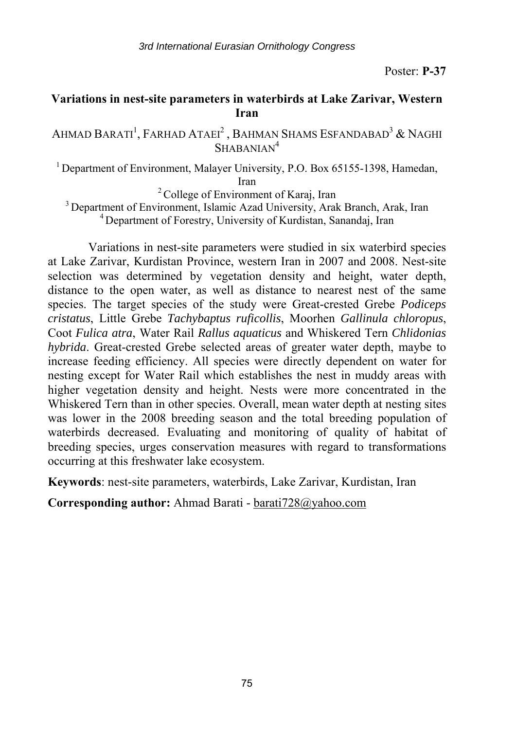#### **Variations in nest-site parameters in waterbirds at Lake Zarivar, Western Iran**

Ahmad Barati<sup>1</sup>, Farhad Ataei<sup>2</sup> , Bahman Shams Esfandabad<sup>3</sup> & Naghi SHABANIAN<sup>4</sup>

<sup>1</sup> Department of Environment, Malayer University, P.O. Box 65155-1398, Hamedan,

Iran<br>
<sup>2</sup> College of Environment of Karaj, Iran<br>
<sup>3</sup> Department of Environment, Islamic Azad University, Arak Branch, Arak, Iran<br>
<sup>4</sup> Department of Forestry, University of Kurdistan, Sanandaj, Iran

Variations in nest-site parameters were studied in six waterbird species at Lake Zarivar, Kurdistan Province, western Iran in 2007 and 2008. Nest-site selection was determined by vegetation density and height, water depth, distance to the open water, as well as distance to nearest nest of the same species. The target species of the study were Great-crested Grebe *Podiceps cristatus*, Little Grebe *Tachybaptus ruficollis*, Moorhen *Gallinula chloropus*, Coot *Fulica atra*, Water Rail *Rallus aquaticus* and Whiskered Tern *Chlidonias hybrida*. Great-crested Grebe selected areas of greater water depth, maybe to increase feeding efficiency. All species were directly dependent on water for nesting except for Water Rail which establishes the nest in muddy areas with higher vegetation density and height. Nests were more concentrated in the Whiskered Tern than in other species. Overall, mean water depth at nesting sites was lower in the 2008 breeding season and the total breeding population of waterbirds decreased. Evaluating and monitoring of quality of habitat of breeding species, urges conservation measures with regard to transformations occurring at this freshwater lake ecosystem.

**Keywords**: nest-site parameters, waterbirds, Lake Zarivar, Kurdistan, Iran

**Corresponding author:** Ahmad Barati - barati728@yahoo.com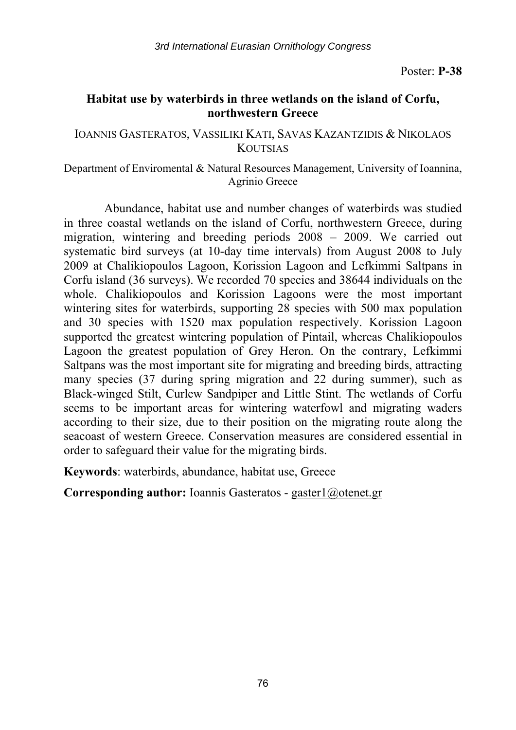## **Habitat use by waterbirds in three wetlands on the island of Corfu, northwestern Greece**

#### IOANNIS GASTERATOS, VASSILIKI KATI, SAVAS KAZANTZIDIS & NIKOLAOS **KOUTSIAS**

#### Department of Enviromental & Natural Resources Management, University of Ioannina, Agrinio Greece

Abundance, habitat use and number changes of waterbirds was studied in three coastal wetlands on the island of Corfu, northwestern Greece, during migration, wintering and breeding periods 2008 – 2009. We carried out systematic bird surveys (at 10-day time intervals) from August 2008 to July 2009 at Chalikiopoulos Lagoon, Korission Lagoon and Lefkimmi Saltpans in Corfu island (36 surveys). We recorded 70 species and 38644 individuals on the whole. Chalikiopoulos and Korission Lagoons were the most important wintering sites for waterbirds, supporting 28 species with 500 max population and 30 species with 1520 max population respectively. Korission Lagoon supported the greatest wintering population of Pintail, whereas Chalikiopoulos Lagoon the greatest population of Grey Heron. On the contrary, Lefkimmi Saltpans was the most important site for migrating and breeding birds, attracting many species (37 during spring migration and 22 during summer), such as Black-winged Stilt, Curlew Sandpiper and Little Stint. The wetlands of Corfu seems to be important areas for wintering waterfowl and migrating waders according to their size, due to their position on the migrating route along the seacoast of western Greece. Conservation measures are considered essential in order to safeguard their value for the migrating birds.

**Keywords**: waterbirds, abundance, habitat use, Greece

**Corresponding author:** Ioannis Gasteratos - gaster1@otenet.gr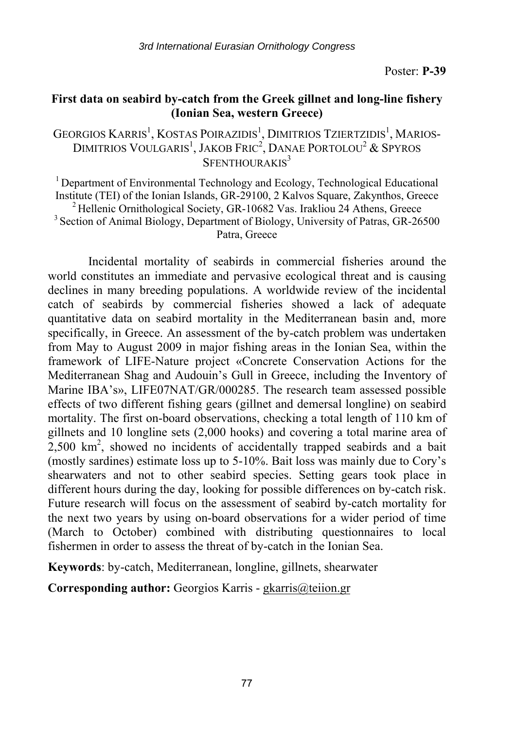#### **First data on seabird by-catch from the Greek gillnet and long-line fishery (Ionian Sea, western Greece)**

GEORGIOS KARRIS<sup>1</sup>, KOSTAS POIRAZIDIS<sup>1</sup>, DIMITRIOS TZIERTZIDIS<sup>1</sup>, MARIOS-DIMITRIOS VOULGARIS<sup>1</sup>, JAKOB FRIC<sup>2</sup>, DANAE PORTOLOU<sup>2</sup> & SPYROS  $S$ FENTHOURAKIS<sup>3</sup>

1 Department of Environmental Technology and Ecology, Technological Educational Institute (TEI) of the Ionian Islands, GR-29100, 2 Kalvos Square, Zakynthos, Greece<br>
<sup>2</sup> Hellenic Ornithological Society, GR-10682 Vas. Irakliou 24 Athens, Greece<br>
<sup>3</sup> Section of Animal Biology, Department of Biology, Univ Patra, Greece

Incidental mortality of seabirds in commercial fisheries around the world constitutes an immediate and pervasive ecological threat and is causing declines in many breeding populations. A worldwide review of the incidental catch of seabirds by commercial fisheries showed a lack of adequate quantitative data on seabird mortality in the Mediterranean basin and, more specifically, in Greece. An assessment of the by-catch problem was undertaken from May to August 2009 in major fishing areas in the Ionian Sea, within the framework of LIFE-Nature project «Concrete Conservation Actions for the Mediterranean Shag and Audouin's Gull in Greece, including the Inventory of Marine IBA's», LIFE07NAT/GR/000285. The research team assessed possible effects of two different fishing gears (gillnet and demersal longline) on seabird mortality. The first on-board observations, checking a total length of 110 km of gillnets and 10 longline sets (2,000 hooks) and covering a total marine area of  $2,500$  km<sup>2</sup>, showed no incidents of accidentally trapped seabirds and a bait (mostly sardines) estimate loss up to 5-10%. Bait loss was mainly due to Cory's shearwaters and not to other seabird species. Setting gears took place in different hours during the day, looking for possible differences on by-catch risk. Future research will focus on the assessment of seabird by-catch mortality for the next two years by using on-board observations for a wider period of time (March to October) combined with distributing questionnaires to local fishermen in order to assess the threat of by-catch in the Ionian Sea.

**Keywords**: by-catch, Mediterranean, longline, gillnets, shearwater

**Corresponding author:** Georgios Karris - gkarris@teiion.gr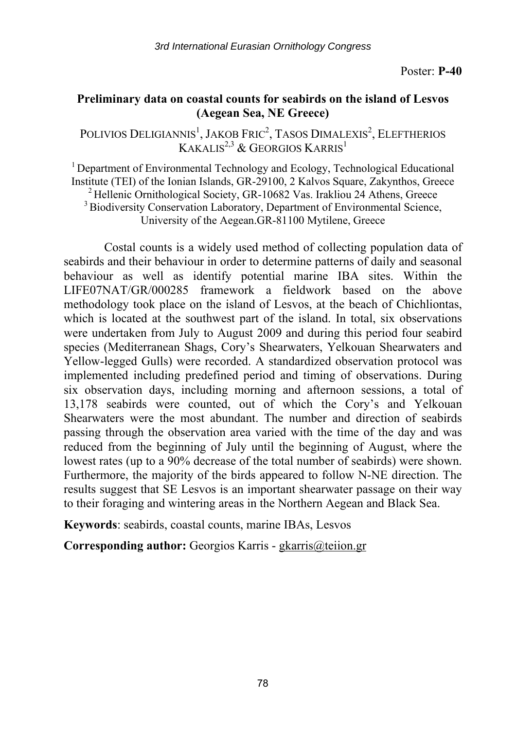#### **Preliminary data on coastal counts for seabirds on the island of Lesvos (Aegean Sea, NE Greece)**

POLIVIOS DELIGIANNIS<sup>1</sup>, JAKOB FRIC<sup>2</sup>, TASOS DIMALEXIS<sup>2</sup>, ELEFTHERIOS KAKALIS<sup>2,3</sup> & GEORGIOS KARRIS<sup>1</sup>

<sup>1</sup> Department of Environmental Technology and Ecology, Technological Educational Institute (TEI) of the Ionian Islands, GR-29100, 2 Kalvos Square, Zakynthos, Greece<br>
<sup>2</sup> Hellenic Ornithological Society, GR-10682 Vas. Irakliou 24 Athens, Greece<br>
<sup>3</sup> Biodiversity Conservation Laboratory, Department of En University of the Aegean.GR-81100 Mytilene, Greece

Costal counts is a widely used method of collecting population data of seabirds and their behaviour in order to determine patterns of daily and seasonal behaviour as well as identify potential marine IBA sites. Within the LIFE07NAT/GR/000285 framework a fieldwork based on the above methodology took place on the island of Lesvos, at the beach of Chichliontas, which is located at the southwest part of the island. In total, six observations were undertaken from July to August 2009 and during this period four seabird species (Mediterranean Shags, Cory's Shearwaters, Yelkouan Shearwaters and Yellow-legged Gulls) were recorded. A standardized observation protocol was implemented including predefined period and timing of observations. During six observation days, including morning and afternoon sessions, a total of 13,178 seabirds were counted, out of which the Cory's and Yelkouan Shearwaters were the most abundant. The number and direction of seabirds passing through the observation area varied with the time of the day and was reduced from the beginning of July until the beginning of August, where the lowest rates (up to a 90% decrease of the total number of seabirds) were shown. Furthermore, the majority of the birds appeared to follow N-NE direction. The results suggest that SE Lesvos is an important shearwater passage on their way to their foraging and wintering areas in the Northern Aegean and Black Sea.

**Keywords**: seabirds, coastal counts, marine IBAs, Lesvos

**Corresponding author:** Georgios Karris - gkarris@teiion.gr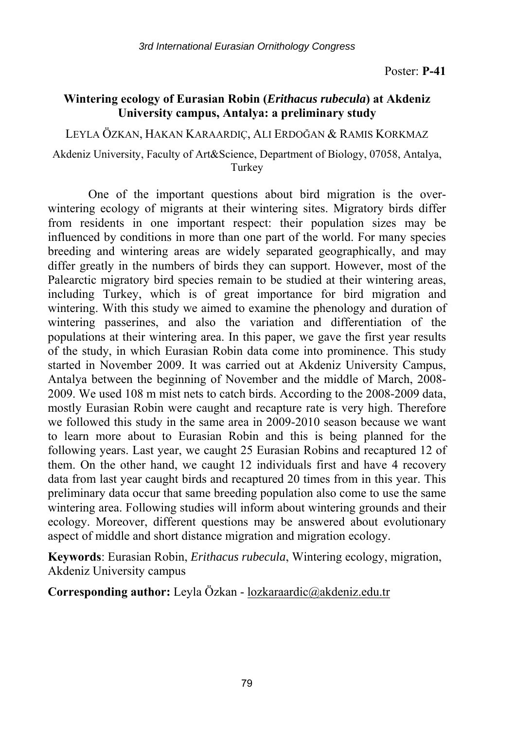## **Wintering ecology of Eurasian Robin (***Erithacus rubecula***) at Akdeniz University campus, Antalya: a preliminary study**

LEYLA ÖZKAN, HAKAN KARAARDIÇ, ALI ERDOĞAN & RAMIS KORKMAZ

#### Akdeniz University, Faculty of Art&Science, Department of Biology, 07058, Antalya, Turkey

One of the important questions about bird migration is the overwintering ecology of migrants at their wintering sites. Migratory birds differ from residents in one important respect: their population sizes may be influenced by conditions in more than one part of the world. For many species breeding and wintering areas are widely separated geographically, and may differ greatly in the numbers of birds they can support. However, most of the Palearctic migratory bird species remain to be studied at their wintering areas, including Turkey, which is of great importance for bird migration and wintering. With this study we aimed to examine the phenology and duration of wintering passerines, and also the variation and differentiation of the populations at their wintering area. In this paper, we gave the first year results of the study, in which Eurasian Robin data come into prominence. This study started in November 2009. It was carried out at Akdeniz University Campus, Antalya between the beginning of November and the middle of March, 2008- 2009. We used 108 m mist nets to catch birds. According to the 2008-2009 data, mostly Eurasian Robin were caught and recapture rate is very high. Therefore we followed this study in the same area in 2009-2010 season because we want to learn more about to Eurasian Robin and this is being planned for the following years. Last year, we caught 25 Eurasian Robins and recaptured 12 of them. On the other hand, we caught 12 individuals first and have 4 recovery data from last year caught birds and recaptured 20 times from in this year. This preliminary data occur that same breeding population also come to use the same wintering area. Following studies will inform about wintering grounds and their ecology. Moreover, different questions may be answered about evolutionary aspect of middle and short distance migration and migration ecology.

**Keywords**: Eurasian Robin, *Erithacus rubecula*, Wintering ecology, migration, Akdeniz University campus

**Corresponding author:** Leyla Özkan - lozkaraardic@akdeniz.edu.tr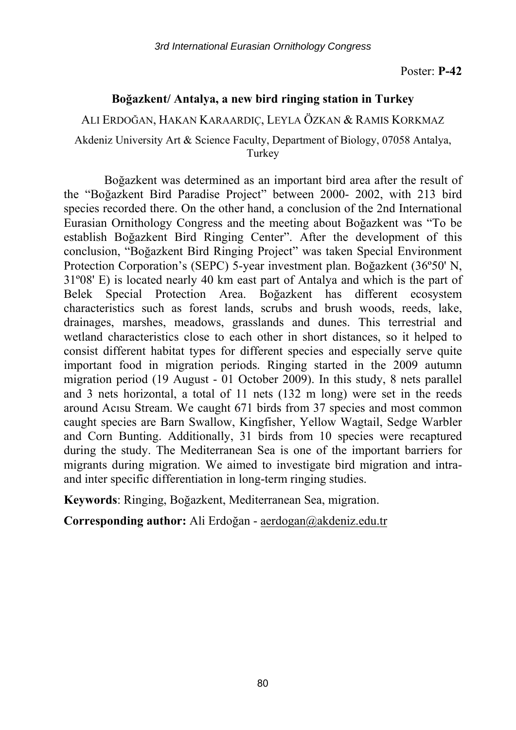#### **Boğazkent/ Antalya, a new bird ringing station in Turkey**

ALI ERDOĞAN, HAKAN KARAARDIÇ, LEYLA ÖZKAN & RAMIS KORKMAZ

Akdeniz University Art & Science Faculty, Department of Biology, 07058 Antalya, **Turkey** 

Boğazkent was determined as an important bird area after the result of the "Boğazkent Bird Paradise Project" between 2000- 2002, with 213 bird species recorded there. On the other hand, a conclusion of the 2nd International Eurasian Ornithology Congress and the meeting about Boğazkent was "To be establish Boğazkent Bird Ringing Center". After the development of this conclusion, "Boğazkent Bird Ringing Project" was taken Special Environment Protection Corporation's (SEPC) 5-year investment plan. Boğazkent (36º50' N, 31º08' E) is located nearly 40 km east part of Antalya and which is the part of Belek Special Protection Area. Boğazkent has different ecosystem characteristics such as forest lands, scrubs and brush woods, reeds, lake, drainages, marshes, meadows, grasslands and dunes. This terrestrial and wetland characteristics close to each other in short distances, so it helped to consist different habitat types for different species and especially serve quite important food in migration periods. Ringing started in the 2009 autumn migration period (19 August - 01 October 2009). In this study, 8 nets parallel and 3 nets horizontal, a total of 11 nets (132 m long) were set in the reeds around Acısu Stream. We caught 671 birds from 37 species and most common caught species are Barn Swallow, Kingfisher, Yellow Wagtail, Sedge Warbler and Corn Bunting. Additionally, 31 birds from 10 species were recaptured during the study. The Mediterranean Sea is one of the important barriers for migrants during migration. We aimed to investigate bird migration and intraand inter specific differentiation in long-term ringing studies.

**Keywords**: Ringing, Boğazkent, Mediterranean Sea, migration.

**Corresponding author:** Ali Erdoğan - aerdogan@akdeniz.edu.tr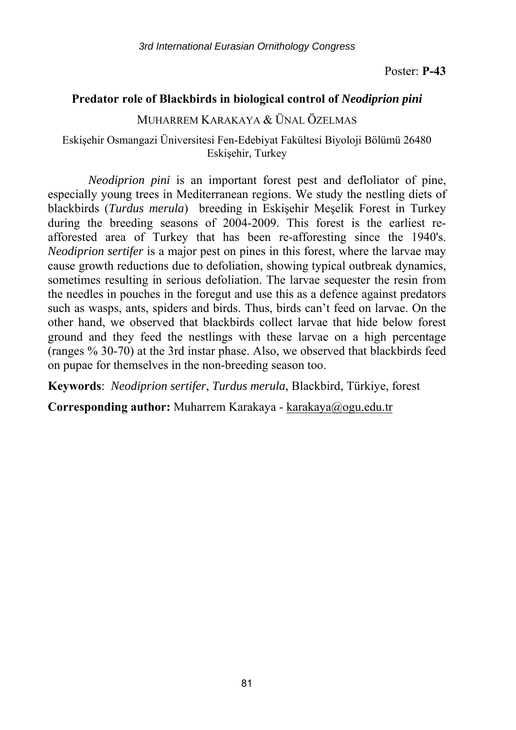#### **Predator role of Blackbirds in biological control of** *Neodiprion pini*

MUHARREM KARAKAYA & ÜNAL ÖZELMAS

Eskişehir Osmangazi Üniversitesi Fen-Edebiyat Fakültesi Biyoloji Bölümü 26480 Eskişehir, Turkey

*Neodiprion pini* is an important forest pest and defloliator of pine, especially young trees in Mediterranean regions. We study the nestling diets of blackbirds (*Turdus merula*) breeding in Eskişehir Meşelik Forest in Turkey during the breeding seasons of 2004-2009. This forest is the earliest reafforested area of Turkey that has been re-afforesting since the 1940's. *Neodiprion sertifer* is a major pest on pines in this forest, where the larvae may cause growth reductions due to defoliation, showing typical outbreak dynamics, sometimes resulting in serious defoliation. The larvae sequester the resin from the needles in pouches in the foregut and use this as a defence against predators such as wasps, ants, spiders and birds. Thus, birds can't feed on larvae. On the other hand, we observed that blackbirds collect larvae that hide below forest ground and they feed the nestlings with these larvae on a high percentage (ranges % 30-70) at the 3rd instar phase. Also, we observed that blackbirds feed on pupae for themselves in the non-breeding season too.

**Keywords**: *Neodiprion sertifer*, *Turdus merula*, Blackbird, Türkiye, forest

**Corresponding author:** Muharrem Karakaya - karakaya@ogu.edu.tr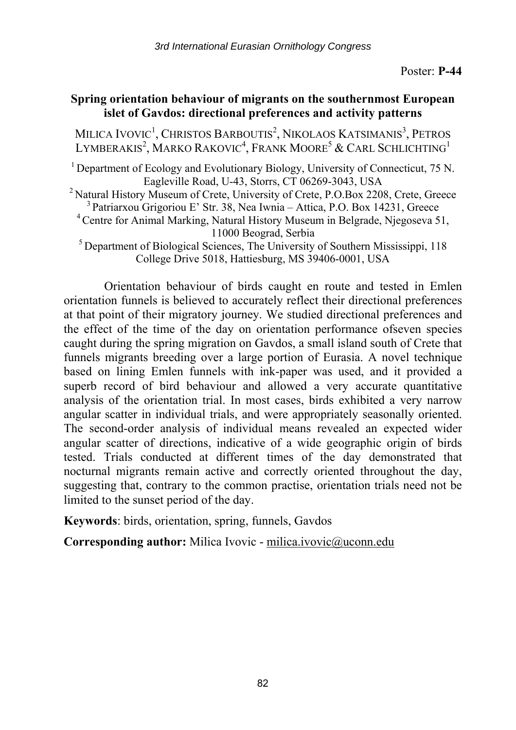## **Spring orientation behaviour of migrants on the southernmost European islet of Gavdos: directional preferences and activity patterns**

MILICA IVOVIC<sup>1</sup>, CHRISTOS BARBOUTIS<sup>2</sup>, NIKOLAOS KATSIMANIS<sup>3</sup>, PETROS LYMBERAKIS $^2$ , Marko Rakovic $^4$ , Frank Moore $^5$  & Carl Schlichting $^1$ 

<sup>1</sup> Department of Ecology and Evolutionary Biology, University of Connecticut, 75 N.

Eagleville Road, U-43, Storrs, CT 06269-3043, USA<br><sup>2</sup> Natural History Museum of Crete, University of Crete, P.O.Box 2208, Crete, Greece<br><sup>3</sup> Patriarxou Grigoriou E' Str. 38, Nea Iwnia – Attica, P.O. Box 14231, Greece<br><sup>4</sup> Ce

<sup>5</sup> Department of Biological Sciences, The University of Southern Mississippi, 118 College Drive 5018, Hattiesburg, MS 39406-0001, USA

Orientation behaviour of birds caught en route and tested in Emlen orientation funnels is believed to accurately reflect their directional preferences at that point of their migratory journey. We studied directional preferences and the effect of the time of the day on orientation performance ofseven species caught during the spring migration on Gavdos, a small island south of Crete that funnels migrants breeding over a large portion of Eurasia. A novel technique based on lining Emlen funnels with ink-paper was used, and it provided a superb record of bird behaviour and allowed a very accurate quantitative analysis of the orientation trial. In most cases, birds exhibited a very narrow angular scatter in individual trials, and were appropriately seasonally oriented. The second-order analysis of individual means revealed an expected wider angular scatter of directions, indicative of a wide geographic origin of birds tested. Trials conducted at different times of the day demonstrated that nocturnal migrants remain active and correctly oriented throughout the day, suggesting that, contrary to the common practise, orientation trials need not be limited to the sunset period of the day.

**Keywords**: birds, orientation, spring, funnels, Gavdos

**Corresponding author:** Milica Ivovic - milica.ivovic@uconn.edu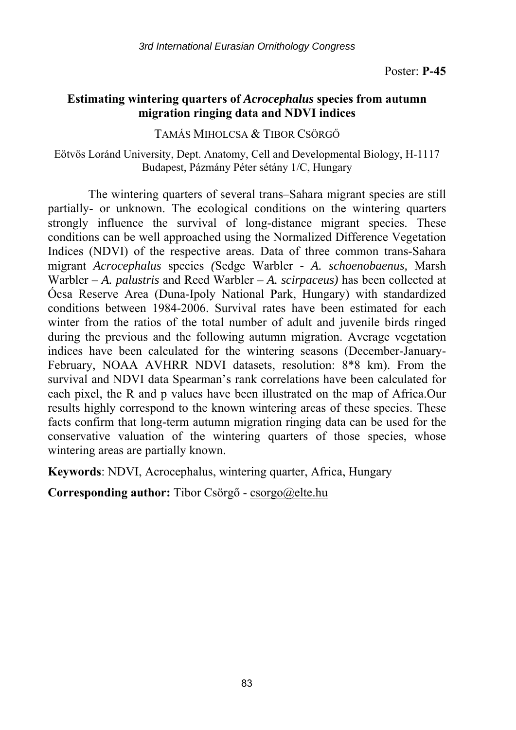## **Estimating wintering quarters of** *Acrocephalus* **species from autumn migration ringing data and NDVI indices**

TAMÁS MIHOLCSA & TIBOR CSÖRGŐ

Eötvös Loránd University, Dept. Anatomy, Cell and Developmental Biology, H-1117 Budapest, Pázmány Péter sétány 1/C, Hungary

The wintering quarters of several trans–Sahara migrant species are still partially- or unknown. The ecological conditions on the wintering quarters strongly influence the survival of long-distance migrant species. These conditions can be well approached using the Normalized Difference Vegetation Indices (NDVI) of the respective areas. Data of three common trans-Sahara migrant *Acrocephalus* species *(*Sedge Warbler *- A. schoenobaenus,* Marsh Warbler *– A. palustris* and Reed Warbler *– A. scirpaceus)* has been collected at Ócsa Reserve Area (Duna-Ipoly National Park, Hungary) with standardized conditions between 1984-2006. Survival rates have been estimated for each winter from the ratios of the total number of adult and juvenile birds ringed during the previous and the following autumn migration. Average vegetation indices have been calculated for the wintering seasons (December-January-February, NOAA AVHRR NDVI datasets, resolution: 8\*8 km). From the survival and NDVI data Spearman's rank correlations have been calculated for each pixel, the R and p values have been illustrated on the map of Africa.Our results highly correspond to the known wintering areas of these species. These facts confirm that long-term autumn migration ringing data can be used for the conservative valuation of the wintering quarters of those species, whose wintering areas are partially known.

**Keywords**: NDVI, Acrocephalus, wintering quarter, Africa, Hungary

**Corresponding author:** Tibor Csörgő - csorgo@elte.hu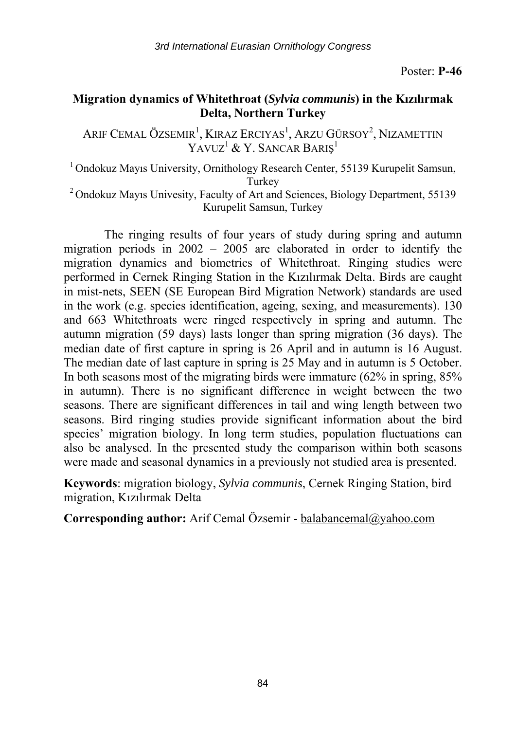## **Migration dynamics of Whitethroat (***Sylvia communis***) in the Kızılırmak Delta, Northern Turkey**

Arif Cemal Özsemir<sup>i</sup>, Kıraz Erciyas<sup>ı</sup>, Arzu Gürsoy<sup>2</sup>, Nizamettin YAVUZ<sup>1</sup> & Y. SANCAR BARIŞ<sup>1</sup>

<sup>1</sup> Ondokuz Mavis University, Ornithology Research Center, 55139 Kurupelit Samsun, Turkey 2 Ondokuz Mayıs Univesity, Faculty of Art and Sciences, Biology Department, 55139

Kurupelit Samsun, Turkey

The ringing results of four years of study during spring and autumn migration periods in 2002 – 2005 are elaborated in order to identify the migration dynamics and biometrics of Whitethroat. Ringing studies were performed in Cernek Ringing Station in the Kızılırmak Delta. Birds are caught in mist-nets, SEEN (SE European Bird Migration Network) standards are used in the work (e.g. species identification, ageing, sexing, and measurements). 130 and 663 Whitethroats were ringed respectively in spring and autumn. The autumn migration (59 days) lasts longer than spring migration (36 days). The median date of first capture in spring is 26 April and in autumn is 16 August. The median date of last capture in spring is 25 May and in autumn is 5 October. In both seasons most of the migrating birds were immature (62% in spring, 85% in autumn). There is no significant difference in weight between the two seasons. There are significant differences in tail and wing length between two seasons. Bird ringing studies provide significant information about the bird species' migration biology. In long term studies, population fluctuations can also be analysed. In the presented study the comparison within both seasons were made and seasonal dynamics in a previously not studied area is presented.

**Keywords**: migration biology, *Sylvia communis*, Cernek Ringing Station, bird migration, Kızılırmak Delta

**Corresponding author:** Arif Cemal Özsemir - balabancemal@yahoo.com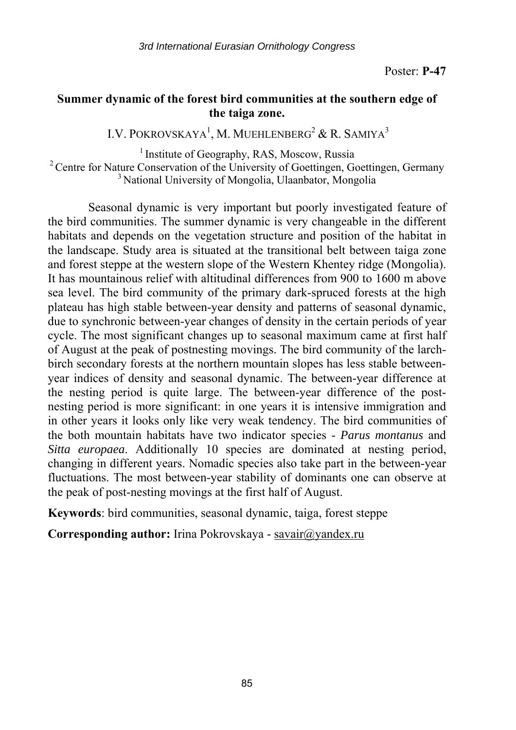## **Summer dynamic of the forest bird communities at the southern edge of the taiga zone.**

I.V. POKROVSKAYA<sup>1</sup>, M. MUEHLENBERG<sup>2</sup> & R. SAMIYA<sup>3</sup>

<sup>1</sup> Institute of Geography, RAS, Moscow, Russia <sup>2</sup> Centre for Nature Conservation of the University of Goettingen, Goettingen, Germany <sup>3</sup> National University of Mongolia, Ulaanbator, Mongolia

Seasonal dynamic is very important but poorly investigated feature of the bird communities. The summer dynamic is very changeable in the different habitats and depends on the vegetation structure and position of the habitat in the landscape. Study area is situated at the transitional belt between taiga zone and forest steppe at the western slope of the Western Khentey ridge (Mongolia). It has mountainous relief with altitudinal differences from 900 to 1600 m above sea level. The bird community of the primary dark-spruced forests at the high plateau has high stable between-year density and patterns of seasonal dynamic, due to synchronic between-year changes of density in the certain periods of year cycle. The most significant changes up to seasonal maximum came at first half of August at the peak of postnesting movings. The bird community of the larchbirch secondary forests at the northern mountain slopes has less stable betweenyear indices of density and seasonal dynamic. The between-year difference at the nesting period is quite large. The between-year difference of the postnesting period is more significant: in one years it is intensive immigration and in other years it looks only like very weak tendency. The bird communities of the both mountain habitats have two indicator species - *Parus montanus* and *Sitta europaea*. Additionally 10 species are dominated at nesting period, changing in different years. Nomadic species also take part in the between-year fluctuations. The most between-year stability of dominants one can observe at the peak of post-nesting movings at the first half of August.

**Keywords**: bird communities, seasonal dynamic, taiga, forest steppe

Corresponding author: Irina Pokrovskaya - savair@yandex.ru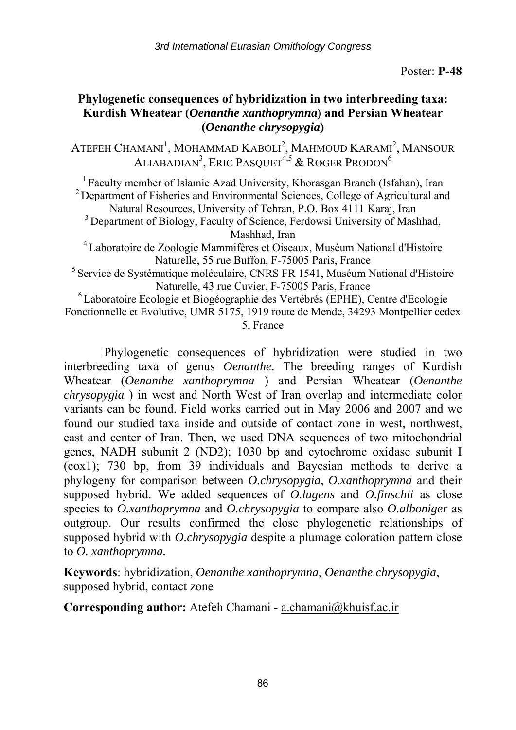## **Phylogenetic consequences of hybridization in two interbreeding taxa: Kurdish Wheatear (***Oenanthe xanthoprymna***) and Persian Wheatear (***Oenanthe chrysopygia***)**

ATEFEH CHAMANI<sup>1</sup>, MOHAMMAD KABOLI<sup>2</sup>, MAHMOUD KARAMI<sup>2</sup>, MANSOUR ALIABADIAN<sup>3</sup>, Eric Pasquet<sup>4,5</sup> & Roger Prodon<sup>6</sup>

<sup>1</sup> Faculty member of Islamic Azad University, Khorasgan Branch (Isfahan), Iran <sup>2</sup> Department of Fisheries and Environmental Sciences, College of Agricultural and Natural Resources, University of Tehran, P.O. Box 4111 Karaj, Iran 3 Department of Biology, Faculty of Science, Ferdowsi University of Mashhad,

Mashhad, Iran 4 Laboratoire de Zoologie Mammifères et Oiseaux, Muséum National d'Histoire

Naturelle, 55 rue Buffon, F-75005 Paris, France<br><sup>5</sup> Service de Systématique moléculaire, CNRS FR 1541, Muséum National d'Histoire Naturelle, 43 rue Cuvier, F-75005 Paris, France 6 Laboratoire Ecologie et Biogéographie des Vertébrés (EPHE), Centre d'Ecologie

Fonctionnelle et Evolutive, UMR 5175, 1919 route de Mende, 34293 Montpellier cedex 5, France

Phylogenetic consequences of hybridization were studied in two interbreeding taxa of genus *Oenanthe*. The breeding ranges of Kurdish Wheatear (*Oenanthe xanthoprymna* ) and Persian Wheatear (*Oenanthe chrysopygia* ) in west and North West of Iran overlap and intermediate color variants can be found. Field works carried out in May 2006 and 2007 and we found our studied taxa inside and outside of contact zone in west, northwest, east and center of Iran. Then, we used DNA sequences of two mitochondrial genes, NADH subunit 2 (ND2); 1030 bp and cytochrome oxidase subunit I (cox1); 730 bp, from 39 individuals and Bayesian methods to derive a phylogeny for comparison between *O.chrysopygia*, *O.xanthoprymna* and their supposed hybrid. We added sequences of *O.lugens* and *O.finschii* as close species to *O.xanthoprymna* and *O.chrysopygia* to compare also *O.alboniger* as outgroup. Our results confirmed the close phylogenetic relationships of supposed hybrid with *O.chrysopygia* despite a plumage coloration pattern close to *O. xanthoprymna.*

**Keywords**: hybridization, *Oenanthe xanthoprymna*, *Oenanthe chrysopygia*, supposed hybrid, contact zone

**Corresponding author:** Atefeh Chamani - a.chamani@khuisf.ac.ir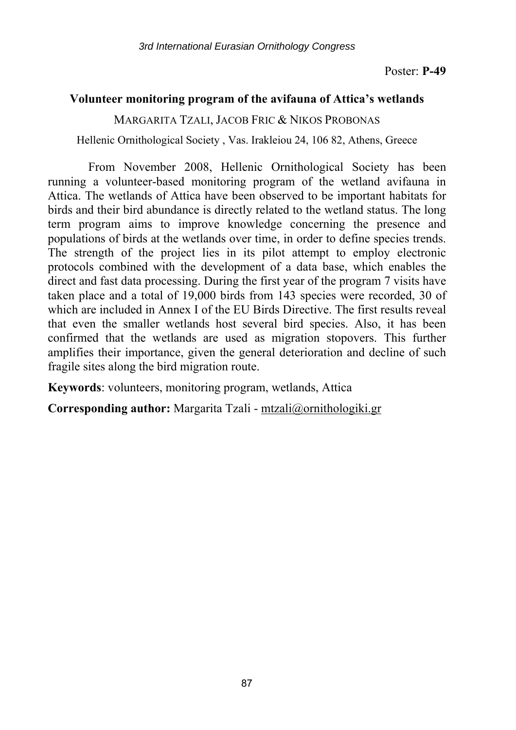## **Volunteer monitoring program of the avifauna of Attica's wetlands**

MARGARITA TZALI, JACOB FRIC & NIKOS PROBONAS

Hellenic Ornithological Society , Vas. Irakleiou 24, 106 82, Athens, Greece

From November 2008, Hellenic Ornithological Society has been running a volunteer-based monitoring program of the wetland avifauna in Attica. The wetlands of Attica have been observed to be important habitats for birds and their bird abundance is directly related to the wetland status. The long term program aims to improve knowledge concerning the presence and populations of birds at the wetlands over time, in order to define species trends. The strength of the project lies in its pilot attempt to employ electronic protocols combined with the development of a data base, which enables the direct and fast data processing. During the first year of the program 7 visits have taken place and a total of 19,000 birds from 143 species were recorded, 30 of which are included in Annex I of the EU Birds Directive. The first results reveal that even the smaller wetlands host several bird species. Also, it has been confirmed that the wetlands are used as migration stopovers. This further amplifies their importance, given the general deterioration and decline of such fragile sites along the bird migration route.

**Keywords**: volunteers, monitoring program, wetlands, Attica

**Corresponding author:** Margarita Tzali - mtzali@ornithologiki.gr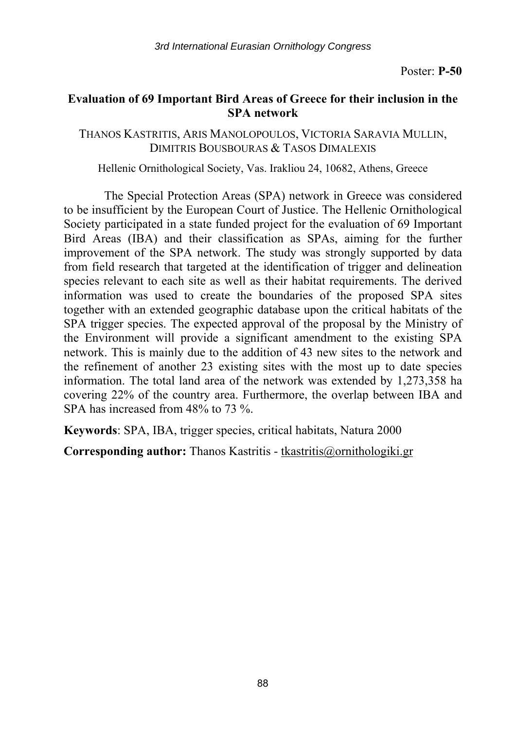#### **Evaluation of 69 Important Bird Areas of Greece for their inclusion in the SPA network**

THANOS KASTRITIS, ARIS MANOLOPOULOS, VICTORIA SARAVIA MULLIN, DIMITRIS BOUSBOURAS & TASOS DIMALEXIS

Hellenic Ornithological Society, Vas. Irakliou 24, 10682, Athens, Greece

The Special Protection Areas (SPA) network in Greece was considered to be insufficient by the European Court of Justice. The Hellenic Ornithological Society participated in a state funded project for the evaluation of 69 Important Bird Areas (IBA) and their classification as SPAs, aiming for the further improvement of the SPA network. The study was strongly supported by data from field research that targeted at the identification of trigger and delineation species relevant to each site as well as their habitat requirements. The derived information was used to create the boundaries of the proposed SPA sites together with an extended geographic database upon the critical habitats of the SPA trigger species. The expected approval of the proposal by the Ministry of the Environment will provide a significant amendment to the existing SPA network. This is mainly due to the addition of 43 new sites to the network and the refinement of another 23 existing sites with the most up to date species information. The total land area of the network was extended by 1,273,358 ha covering 22% of the country area. Furthermore, the overlap between IBA and SPA has increased from 48% to 73 %.

**Keywords**: SPA, IBA, trigger species, critical habitats, Natura 2000

**Corresponding author:** Thanos Kastritis - tkastritis@ornithologiki.gr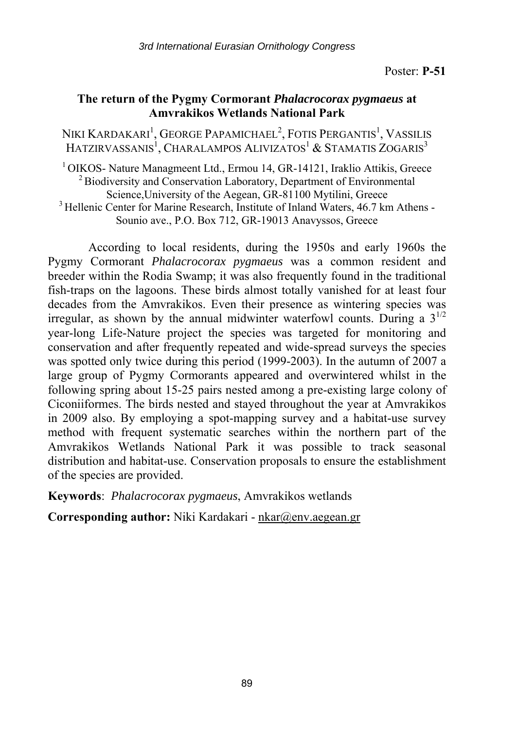#### **The return of the Pygmy Cormorant** *Phalacrocorax pygmaeus* **at Amvrakikos Wetlands National Park**

Niki Kardakari<sup>1</sup>, George Papamichael<sup>2</sup>, Fotis Pergantis<sup>1</sup>, Vassilis HATZIRVASSANIS<sup>1</sup>, CHARALAMPOS ALIVIZATOS<sup>1</sup> & STAMATIS ZOGARIS<sup>3</sup>

<sup>1</sup> OIKOS- Nature Managmeent Ltd., Ermou 14, GR-14121, Iraklio Attikis, Greece  $\frac{2}{3}$  Biodiversity and Conservation Laboratory, Department of Environmental Science, University of the Aegean, GR-81100 Mytilini, Greece <sup>3</sup> Hellenic Center for Marine Research, Institute of Inland Waters, 46.7 km Athens -Sounio ave., P.O. Box 712, GR-19013 Anavyssos, Greece

According to local residents, during the 1950s and early 1960s the Pygmy Cormorant *Phalacrocorax pygmaeus* was a common resident and breeder within the Rodia Swamp; it was also frequently found in the traditional fish-traps on the lagoons. These birds almost totally vanished for at least four decades from the Amvrakikos. Even their presence as wintering species was irregular, as shown by the annual midwinter waterfowl counts. During a  $3^{1/2}$ year-long Life-Nature project the species was targeted for monitoring and conservation and after frequently repeated and wide-spread surveys the species was spotted only twice during this period (1999-2003). In the autumn of 2007 a large group of Pygmy Cormorants appeared and overwintered whilst in the following spring about 15-25 pairs nested among a pre-existing large colony of Ciconiiformes. The birds nested and stayed throughout the year at Amvrakikos in 2009 also. By employing a spot-mapping survey and a habitat-use survey method with frequent systematic searches within the northern part of the Amvrakikos Wetlands National Park it was possible to track seasonal distribution and habitat-use. Conservation proposals to ensure the establishment of the species are provided.

**Keywords**: *Phalacrocorax pygmaeus*, Amvrakikos wetlands

**Corresponding author:** Niki Kardakari - nkar@env.aegean.gr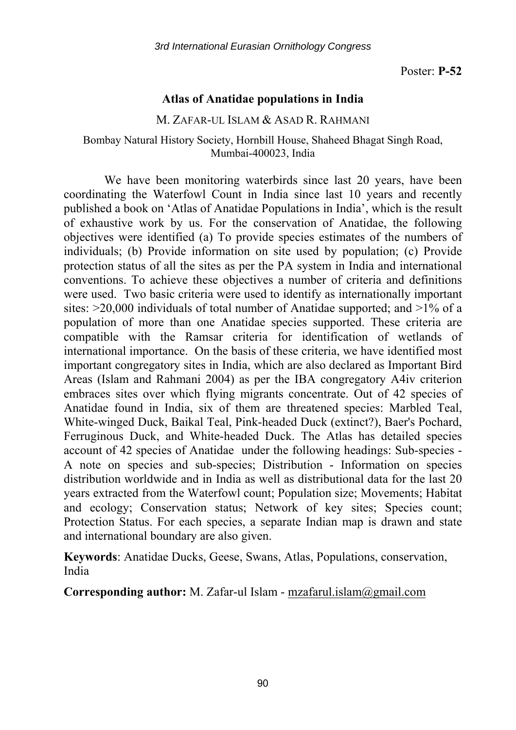#### **Atlas of Anatidae populations in India**

#### M. ZAFAR-UL ISLAM & ASAD R. RAHMANI

#### Bombay Natural History Society, Hornbill House, Shaheed Bhagat Singh Road, Mumbai-400023, India

We have been monitoring waterbirds since last 20 years, have been coordinating the Waterfowl Count in India since last 10 years and recently published a book on 'Atlas of Anatidae Populations in India', which is the result of exhaustive work by us. For the conservation of Anatidae, the following objectives were identified (a) To provide species estimates of the numbers of individuals; (b) Provide information on site used by population; (c) Provide protection status of all the sites as per the PA system in India and international conventions. To achieve these objectives a number of criteria and definitions were used. Two basic criteria were used to identify as internationally important sites:  $>20,000$  individuals of total number of Anatidae supported; and  $>1\%$  of a population of more than one Anatidae species supported. These criteria are compatible with the Ramsar criteria for identification of wetlands of international importance. On the basis of these criteria, we have identified most important congregatory sites in India, which are also declared as Important Bird Areas (Islam and Rahmani 2004) as per the IBA congregatory A4iv criterion embraces sites over which flying migrants concentrate. Out of 42 species of Anatidae found in India, six of them are threatened species: Marbled Teal, White-winged Duck, Baikal Teal, Pink-headed Duck (extinct?), Baer's Pochard, Ferruginous Duck, and White-headed Duck. The Atlas has detailed species account of 42 species of Anatidae under the following headings: Sub-species - A note on species and sub-species; Distribution - Information on species distribution worldwide and in India as well as distributional data for the last 20 years extracted from the Waterfowl count; Population size; Movements; Habitat and ecology; Conservation status; Network of key sites; Species count; Protection Status. For each species, a separate Indian map is drawn and state and international boundary are also given.

**Keywords**: Anatidae Ducks, Geese, Swans, Atlas, Populations, conservation, India

**Corresponding author:** M. Zafar-ul Islam - mzafarul.islam@gmail.com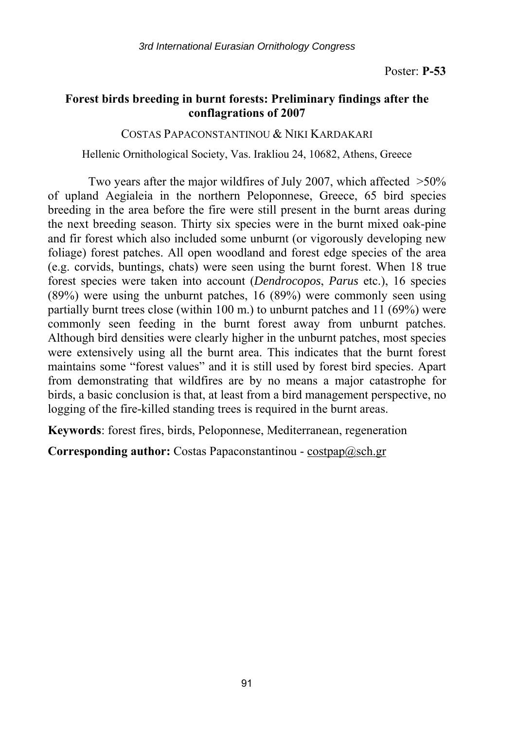## **Forest birds breeding in burnt forests: Preliminary findings after the conflagrations of 2007**

#### COSTAS PAPACONSTANTINOU & NIKI KARDAKARI

Hellenic Ornithological Society, Vas. Irakliou 24, 10682, Athens, Greece

Two years after the major wildfires of July 2007, which affected >50% of upland Aegialeia in the northern Peloponnese, Greece, 65 bird species breeding in the area before the fire were still present in the burnt areas during the next breeding season. Thirty six species were in the burnt mixed oak-pine and fir forest which also included some unburnt (or vigorously developing new foliage) forest patches. All open woodland and forest edge species of the area (e.g. corvids, buntings, chats) were seen using the burnt forest. When 18 true forest species were taken into account (*Dendrocopos*, *Parus* etc.), 16 species (89%) were using the unburnt patches, 16 (89%) were commonly seen using partially burnt trees close (within 100 m.) to unburnt patches and 11 (69%) were commonly seen feeding in the burnt forest away from unburnt patches. Although bird densities were clearly higher in the unburnt patches, most species were extensively using all the burnt area. This indicates that the burnt forest maintains some "forest values" and it is still used by forest bird species. Apart from demonstrating that wildfires are by no means a major catastrophe for birds, a basic conclusion is that, at least from a bird management perspective, no logging of the fire-killed standing trees is required in the burnt areas.

**Keywords**: forest fires, birds, Peloponnese, Mediterranean, regeneration

**Corresponding author:** Costas Papaconstantinou - costpap@sch.gr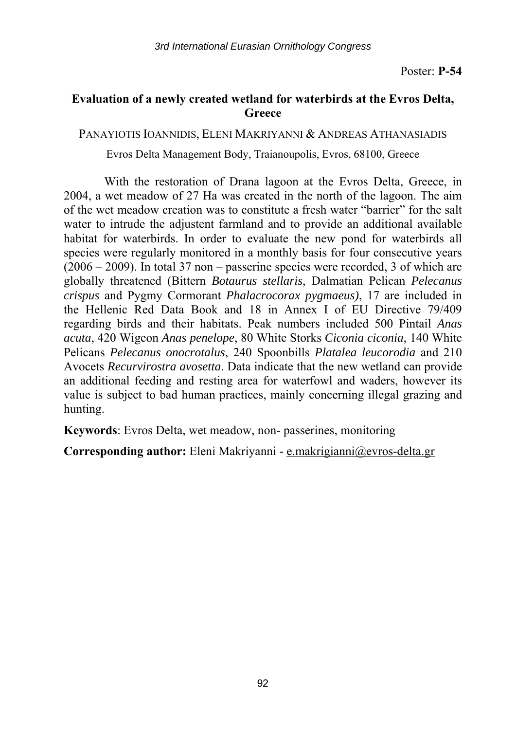## **Evaluation of a newly created wetland for waterbirds at the Evros Delta, Greece**

PANAYIOTIS IOANNIDIS, ELENI MAKRIYANNI & ANDREAS ATHANASIADIS

Evros Delta Management Body, Traianoupolis, Evros, 68100, Greece

With the restoration of Drana lagoon at the Evros Delta, Greece, in 2004, a wet meadow of 27 Ha was created in the north of the lagoon. The aim of the wet meadow creation was to constitute a fresh water "barrier" for the salt water to intrude the adjustent farmland and to provide an additional available habitat for waterbirds. In order to evaluate the new pond for waterbirds all species were regularly monitored in a monthly basis for four consecutive years (2006 – 2009). In total 37 non – passerine species were recorded, 3 of which are globally threatened (Bittern *Botaurus stellaris*, Dalmatian Pelican *Pelecanus crispus* and Pygmy Cormorant *Phalacrocorax pygmaeus)*, 17 are included in the Hellenic Red Data Book and 18 in Annex I of EU Directive 79/409 regarding birds and their habitats. Peak numbers included 500 Pintail *Anas acuta*, 420 Wigeon *Anas penelope*, 80 White Storks *Ciconia ciconia*, 140 White Pelicans *Pelecanus onocrotalus*, 240 Spoonbills *Platalea leucorodia* and 210 Avocets *Recurvirostra avosetta*. Data indicate that the new wetland can provide an additional feeding and resting area for waterfowl and waders, however its value is subject to bad human practices, mainly concerning illegal grazing and hunting.

**Keywords**: Evros Delta, wet meadow, non- passerines, monitoring

**Corresponding author:** Eleni Makriyanni - e.makrigianni@evros-delta.gr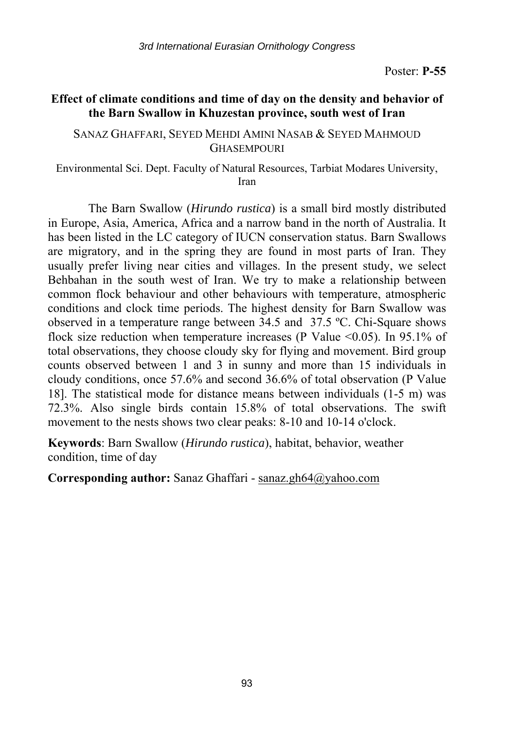## **Effect of climate conditions and time of day on the density and behavior of the Barn Swallow in Khuzestan province, south west of Iran**

#### SANAZ GHAFFARI, SEYED MEHDI AMINI NASAB & SEYED MAHMOUD GHASEMPOURI

Environmental Sci. Dept. Faculty of Natural Resources, Tarbiat Modares University, Iran

The Barn Swallow (*Hirundo rustica*) is a small bird mostly distributed in Europe, Asia, America, Africa and a narrow band in the north of Australia. It has been listed in the LC category of IUCN conservation status. Barn Swallows are migratory, and in the spring they are found in most parts of Iran. They usually prefer living near cities and villages. In the present study, we select Behbahan in the south west of Iran. We try to make a relationship between common flock behaviour and other behaviours with temperature, atmospheric conditions and clock time periods. The highest density for Barn Swallow was observed in a temperature range between 34.5 and 37.5 ºC. Chi-Square shows flock size reduction when temperature increases (P Value  $\leq 0.05$ ). In 95.1% of total observations, they choose cloudy sky for flying and movement. Bird group counts observed between 1 and 3 in sunny and more than 15 individuals in cloudy conditions, once 57.6% and second 36.6% of total observation (P Value 18]. The statistical mode for distance means between individuals (1-5 m) was 72.3%. Also single birds contain 15.8% of total observations. The swift movement to the nests shows two clear peaks: 8-10 and 10-14 o'clock.

**Keywords**: Barn Swallow (*Hirundo rustica*), habitat, behavior, weather condition, time of day

**Corresponding author:** Sanaz Ghaffari - sanaz.gh64@yahoo.com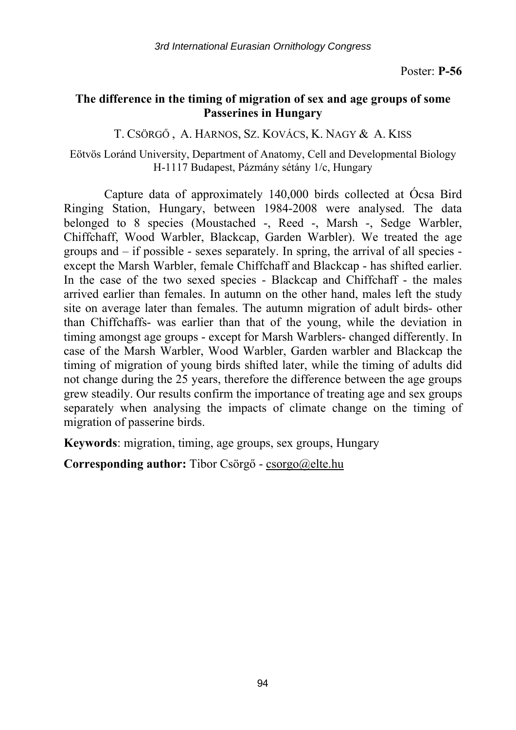## **The difference in the timing of migration of sex and age groups of some Passerines in Hungary**

T. CSÖRGŐ , A. HARNOS, SZ. KOVÁCS, K. NAGY & A. KISS

Eötvös Loránd University, Department of Anatomy, Cell and Developmental Biology H-1117 Budapest, Pázmány sétány 1/c, Hungary

Capture data of approximately 140,000 birds collected at Ócsa Bird Ringing Station, Hungary, between 1984-2008 were analysed. The data belonged to 8 species (Moustached -, Reed -, Marsh -, Sedge Warbler, Chiffchaff, Wood Warbler, Blackcap, Garden Warbler). We treated the age groups and – if possible - sexes separately. In spring, the arrival of all species except the Marsh Warbler, female Chiffchaff and Blackcap - has shifted earlier. In the case of the two sexed species - Blackcap and Chiffchaff - the males arrived earlier than females. In autumn on the other hand, males left the study site on average later than females. The autumn migration of adult birds- other than Chiffchaffs- was earlier than that of the young, while the deviation in timing amongst age groups - except for Marsh Warblers- changed differently. In case of the Marsh Warbler, Wood Warbler, Garden warbler and Blackcap the timing of migration of young birds shifted later, while the timing of adults did not change during the 25 years, therefore the difference between the age groups grew steadily. Our results confirm the importance of treating age and sex groups separately when analysing the impacts of climate change on the timing of migration of passerine birds.

**Keywords**: migration, timing, age groups, sex groups, Hungary

**Corresponding author:** Tibor Csörgő - csorgo@elte.hu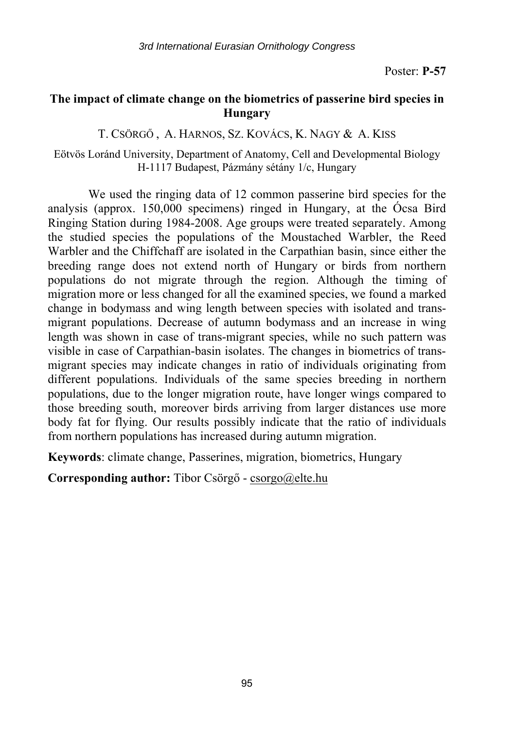## **The impact of climate change on the biometrics of passerine bird species in Hungary**

T. CSÖRGŐ , A. HARNOS, SZ. KOVÁCS, K. NAGY & A. KISS

Eötvös Loránd University, Department of Anatomy, Cell and Developmental Biology H-1117 Budapest, Pázmány sétány 1/c, Hungary

We used the ringing data of 12 common passerine bird species for the analysis (approx. 150,000 specimens) ringed in Hungary, at the Ócsa Bird Ringing Station during 1984-2008. Age groups were treated separately. Among the studied species the populations of the Moustached Warbler, the Reed Warbler and the Chiffchaff are isolated in the Carpathian basin, since either the breeding range does not extend north of Hungary or birds from northern populations do not migrate through the region. Although the timing of migration more or less changed for all the examined species, we found a marked change in bodymass and wing length between species with isolated and transmigrant populations. Decrease of autumn bodymass and an increase in wing length was shown in case of trans-migrant species, while no such pattern was visible in case of Carpathian-basin isolates. The changes in biometrics of transmigrant species may indicate changes in ratio of individuals originating from different populations. Individuals of the same species breeding in northern populations, due to the longer migration route, have longer wings compared to those breeding south, moreover birds arriving from larger distances use more body fat for flying. Our results possibly indicate that the ratio of individuals from northern populations has increased during autumn migration.

**Keywords**: climate change, Passerines, migration, biometrics, Hungary

**Corresponding author:** Tibor Csörgő - csorgo@elte.hu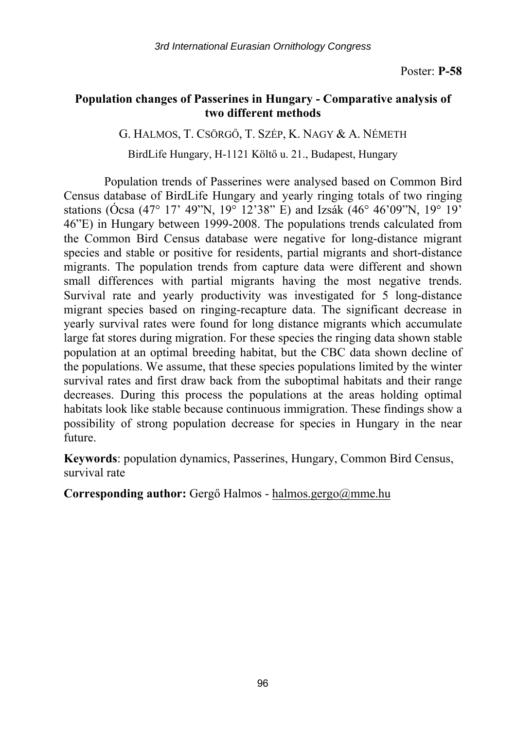## **Population changes of Passerines in Hungary - Comparative analysis of two different methods**

G. HALMOS, T. CSÖRGŐ, T. SZÉP, K. NAGY & A. NÉMETH BirdLife Hungary, H-1121 Költő u. 21., Budapest, Hungary

Population trends of Passerines were analysed based on Common Bird Census database of BirdLife Hungary and yearly ringing totals of two ringing stations (Ócsa (47° 17' 49"N, 19° 12'38" E) and Izsák (46° 46'09"N, 19° 19' 46"E) in Hungary between 1999-2008. The populations trends calculated from the Common Bird Census database were negative for long-distance migrant species and stable or positive for residents, partial migrants and short-distance migrants. The population trends from capture data were different and shown small differences with partial migrants having the most negative trends. Survival rate and yearly productivity was investigated for 5 long-distance migrant species based on ringing-recapture data. The significant decrease in yearly survival rates were found for long distance migrants which accumulate large fat stores during migration. For these species the ringing data shown stable population at an optimal breeding habitat, but the CBC data shown decline of the populations. We assume, that these species populations limited by the winter survival rates and first draw back from the suboptimal habitats and their range decreases. During this process the populations at the areas holding optimal habitats look like stable because continuous immigration. These findings show a possibility of strong population decrease for species in Hungary in the near future.

**Keywords**: population dynamics, Passerines, Hungary, Common Bird Census, survival rate

**Corresponding author:** Gergő Halmos - halmos.gergo@mme.hu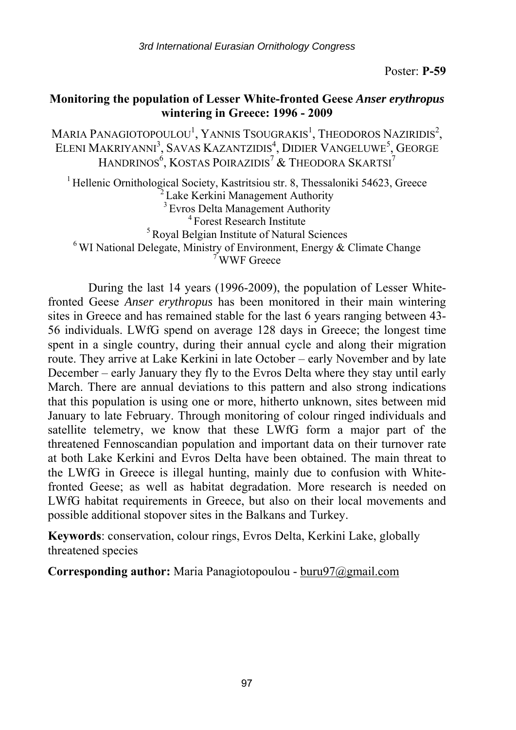*3rd International Eurasian Ornithology Congress* 

Poster: **P-59** 

## **Monitoring the population of Lesser White-fronted Geese** *Anser erythropus* **wintering in Greece: 1996 - 2009**

Maria Panagiotopoulou $^{\rm l}$ , Yannis Tsougrakis $^{\rm l}$ , Theodoros Naziridis $^{\rm 2}$ , ELENI MAKRIYANNI<sup>3</sup>, SAVAS KAZANTZIDIS<sup>4</sup>, DIDIER VANGELUWE<sup>5</sup>, GEORGE HANDRINOS $^6$ , KOSTAS POIRAZIDIS $^7$  & Theodora Skartsi $^7$ 

<sup>1</sup> Hellenic Ornithological Society, Kastritsiou str. 8, Thessaloniki 54623, Greece <sup>2</sup> Lake Kerkini Management Authority <sup>3</sup> Evros Delta Management Authority <sup>5</sup> Evropest Research Institute <sup>5</sup> Royal Belgian Institute of Natural Sciences 6 WI National Delegate, Ministry of Environment, Energy & Climate Change 7 WWF Greece

During the last 14 years (1996-2009), the population of Lesser Whitefronted Geese *Anser erythropus* has been monitored in their main wintering sites in Greece and has remained stable for the last 6 years ranging between 43- 56 individuals. LWfG spend on average 128 days in Greece; the longest time spent in a single country, during their annual cycle and along their migration route. They arrive at Lake Kerkini in late October – early November and by late December – early January they fly to the Evros Delta where they stay until early March. There are annual deviations to this pattern and also strong indications that this population is using one or more, hitherto unknown, sites between mid January tο late February. Through monitoring of colour ringed individuals and satellite telemetry, we know that these LWfG form a major part of the threatened Fennoscandian population and important data on their turnover rate at both Lake Kerkini and Evros Delta have been obtained. The main threat to the LWfG in Greece is illegal hunting, mainly due to confusion with Whitefronted Geese; as well as habitat degradation. More research is needed on LWfG habitat requirements in Greece, but also on their local movements and possible additional stopover sites in the Balkans and Turkey.

**Keywords**: conservation, colour rings, Evros Delta, Kerkini Lake, globally threatened species

**Corresponding author:** Maria Panagiotopoulou - buru97@gmail.com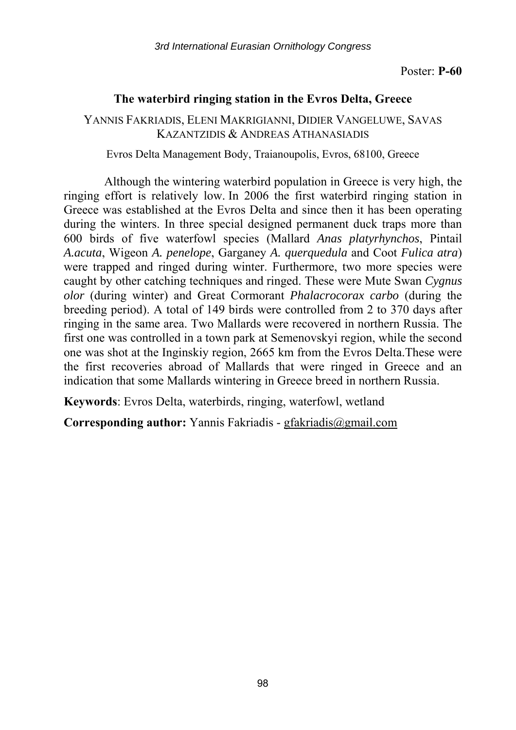## **The waterbird ringing station in the Evros Delta, Greece**

YANNIS FAKRIADIS, ELENI MAKRIGIANNI, DIDIER VANGELUWE, SAVAS KAZANTZIDIS & ANDREAS ATHANASIADIS

Evros Delta Management Body, Traianoupolis, Evros, 68100, Greece

Although the wintering waterbird population in Greece is very high, the ringing effort is relatively low. In 2006 the first waterbird ringing station in Greece was established at the Evros Delta and since then it has been operating during the winters. In three special designed permanent duck traps more than 600 birds of five waterfowl species (Mallard *Anas platyrhynchos*, Pintail *A.acuta*, Wigeon *A. penelope*, Garganey *A. querquedula* and Coot *Fulica atra*) were trapped and ringed during winter. Furthermore, two more species were caught by other catching techniques and ringed. These were Mute Swan *Cygnus olor* (during winter) and Great Cormorant *Phalacrocorax carbo* (during the breeding period). A total of 149 birds were controlled from 2 to 370 days after ringing in the same area. Two Mallards were recovered in northern Russia. The first one was controlled in a town park at Semenovskyi region, while the second one was shot at the Inginskiy region, 2665 km from the Evros Delta.These were the first recoveries abroad of Mallards that were ringed in Greece and an indication that some Mallards wintering in Greece breed in northern Russia.

**Keywords**: Evros Delta, waterbirds, ringing, waterfowl, wetland

**Corresponding author:** Yannis Fakriadis - gfakriadis@gmail.com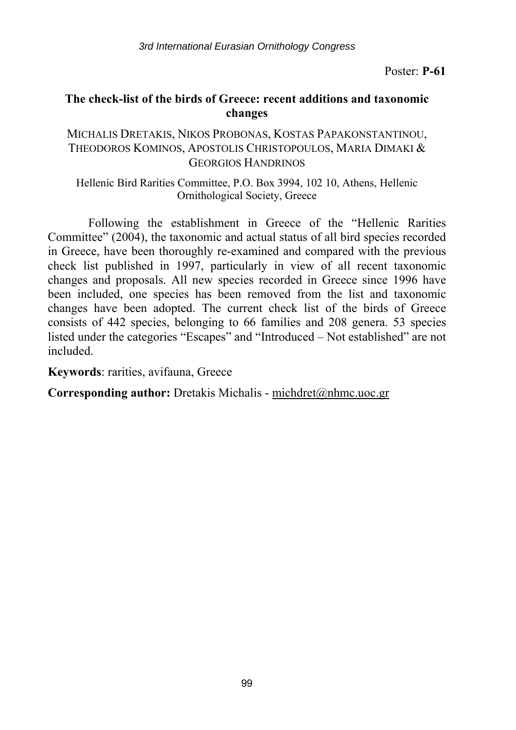*3rd International Eurasian Ornithology Congress* 

Poster: **P-61** 

## **The check-list of the birds of Greece: recent additions and taxonomic changes**

#### MICHALIS DRETAKIS, NIKOS PROBONAS, KOSTAS PAPAKONSTANTINOU, THEODOROS KOMINOS, APOSTOLIS CHRISTOPOULOS, MARIA DIMAKI & GEORGIOS HANDRINOS

#### Hellenic Bird Rarities Committee, P.O. Box 3994, 102 10, Athens, Hellenic Ornithological Society, Greece

Following the establishment in Greece of the "Hellenic Rarities Committee" (2004), the taxonomic and actual status of all bird species recorded in Greece, have been thoroughly re-examined and compared with the previous check list published in 1997, particularly in view of all recent taxonomic changes and proposals. All new species recorded in Greece since 1996 have been included, one species has been removed from the list and taxonomic changes have been adopted. The current check list of the birds of Greece consists of 442 species, belonging to 66 families and 208 genera. 53 species listed under the categories "Escapes" and "Introduced – Not established" are not included.

**Keywords**: rarities, avifauna, Greece

**Corresponding author:** Dretakis Michalis - michdret@nhmc.uoc.gr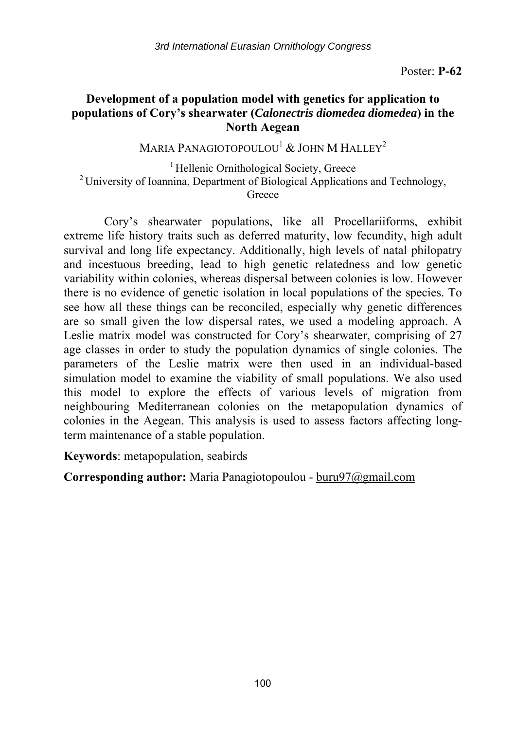## **Development of a population model with genetics for application to populations of Cory's shearwater (***Calonectris diomedea diomedea***) in the North Aegean**

MARIA PANAGIOTOPOULOU<sup>1</sup>  $\&$  JOHN M HALLEY<sup>2</sup>

<sup>1</sup> Hellenic Ornithological Society, Greece <sup>2</sup> University of Ioannina, Department of Biological Applications and Technology, **Greece** 

Cory's shearwater populations, like all Procellariiforms, exhibit extreme life history traits such as deferred maturity, low fecundity, high adult survival and long life expectancy. Additionally, high levels of natal philopatry and incestuous breeding, lead to high genetic relatedness and low genetic variability within colonies, whereas dispersal between colonies is low. However there is no evidence of genetic isolation in local populations of the species. To see how all these things can be reconciled, especially why genetic differences are so small given the low dispersal rates, we used a modeling approach. A Leslie matrix model was constructed for Cory's shearwater, comprising of 27 age classes in order to study the population dynamics of single colonies. The parameters of the Leslie matrix were then used in an individual-based simulation model to examine the viability of small populations. We also used this model to explore the effects of various levels of migration from neighbouring Mediterranean colonies on the metapopulation dynamics of colonies in the Aegean. This analysis is used to assess factors affecting longterm maintenance of a stable population.

**Keywords**: metapopulation, seabirds

**Corresponding author:** Maria Panagiotopoulou - buru97@gmail.com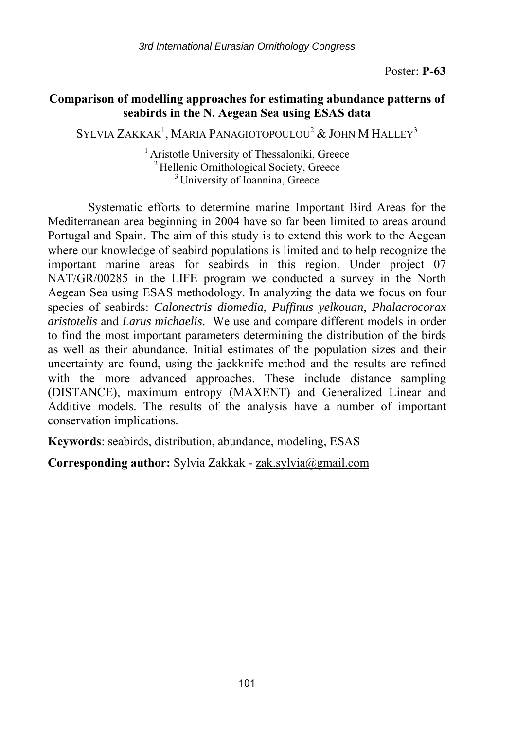## **Comparison of modelling approaches for estimating abundance patterns of seabirds in the N. Aegean Sea using ESAS data**

SYLVIA ZAKKAK $^1$ , Maria Panagiotopoulou $^2$  & John M Halley $^3$ 

<sup>1</sup> Aristotle University of Thessaloniki, Greece <sup>2</sup> Hellenic Ornithological Society, Greece  $\frac{3}{3}$  University of Ioannina, Greece

Systematic efforts to determine marine Important Bird Areas for the Mediterranean area beginning in 2004 have so far been limited to areas around Portugal and Spain. The aim of this study is to extend this work to the Aegean where our knowledge of seabird populations is limited and to help recognize the important marine areas for seabirds in this region. Under project 07 NAT/GR/00285 in the LIFE program we conducted a survey in the North Aegean Sea using ESAS methodology. In analyzing the data we focus on four species of seabirds: *Calonectris diomedia*, *Puffinus yelkouan*, *Phalacrocorax aristotelis* and *Larus michaelis*. We use and compare different models in order to find the most important parameters determining the distribution of the birds as well as their abundance. Initial estimates of the population sizes and their uncertainty are found, using the jackknife method and the results are refined with the more advanced approaches. These include distance sampling (DISTANCE), maximum entropy (MAXENT) and Generalized Linear and Additive models. The results of the analysis have a number of important conservation implications.

**Keywords**: seabirds, distribution, abundance, modeling, ESAS

**Corresponding author:** Sylvia Zakkak - zak.sylvia@gmail.com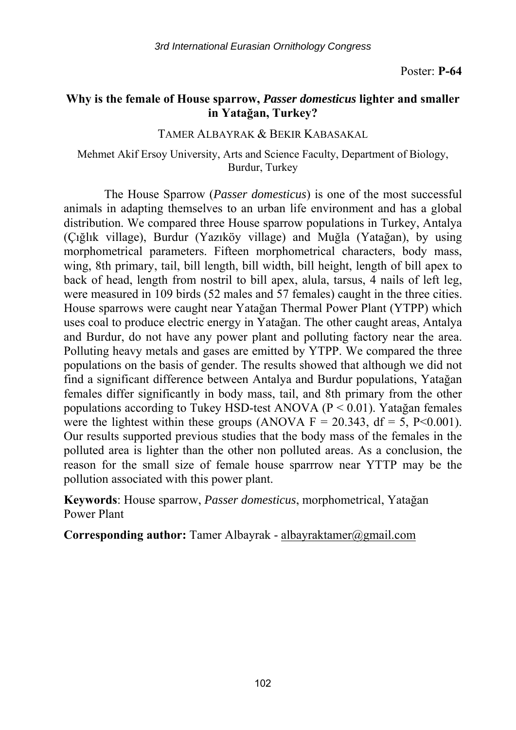## **Why is the female of House sparrow,** *Passer domesticus* **lighter and smaller in Yatağan, Turkey?**

#### TAMER ALBAYRAK & BEKIR KABASAKAL

#### Mehmet Akif Ersoy University, Arts and Science Faculty, Department of Biology, Burdur, Turkey

The House Sparrow (*Passer domesticus*) is one of the most successful animals in adapting themselves to an urban life environment and has a global distribution. We compared three House sparrow populations in Turkey, Antalya (Çığlık village), Burdur (Yazıköy village) and Muğla (Yatağan), by using morphometrical parameters. Fifteen morphometrical characters, body mass, wing, 8th primary, tail, bill length, bill width, bill height, length of bill apex to back of head, length from nostril to bill apex, alula, tarsus, 4 nails of left leg, were measured in 109 birds (52 males and 57 females) caught in the three cities. House sparrows were caught near Yatağan Thermal Power Plant (YTPP) which uses coal to produce electric energy in Yatağan. The other caught areas, Antalya and Burdur, do not have any power plant and polluting factory near the area. Polluting heavy metals and gases are emitted by YTPP. We compared the three populations on the basis of gender. The results showed that although we did not find a significant difference between Antalya and Burdur populations, Yatağan females differ significantly in body mass, tail, and 8th primary from the other populations according to Tukey HSD-test ANOVA (P < 0.01). Yatağan females were the lightest within these groups (ANOVA  $F = 20.343$ , df = 5, P<0.001). Our results supported previous studies that the body mass of the females in the polluted area is lighter than the other non polluted areas. As a conclusion, the reason for the small size of female house sparrrow near YTTP may be the pollution associated with this power plant.

**Keywords**: House sparrow, *Passer domesticus*, morphometrical, Yatağan Power Plant

**Corresponding author:** Tamer Albayrak - albayraktamer@gmail.com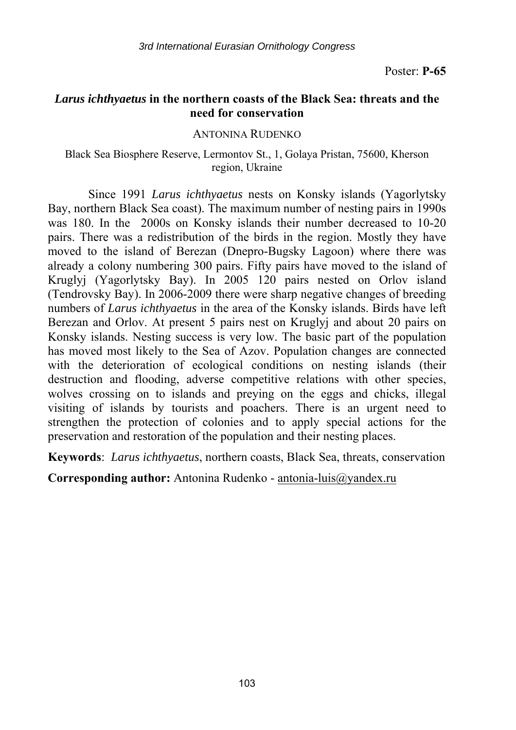#### *Larus ichthyaetus* **in the northern coasts of the Black Sea: threats and the need for conservation**

ANTONINA RUDENKO

#### Black Sea Biosphere Reserve, Lermontov St., 1, Golaya Pristan, 75600, Kherson region, Ukraine

Since 1991 *Larus ichthyaetus* nests on Konsky islands (Yagorlytsky Bay, northern Black Sea coast). The maximum number of nesting pairs in 1990s was 180. In the 2000s on Konsky islands their number decreased to 10-20 pairs. There was a redistribution of the birds in the region. Mostly they have moved to the island of Berezan (Dnepro-Bugsky Lagoon) where there was already a colony numbering 300 pairs. Fifty pairs have moved to the island of Kruglyj (Yagorlytsky Bay). In 2005 120 pairs nested on Orlov island (Tendrovsky Bay). In 2006-2009 there were sharp negative changes of breeding numbers of *Larus ichthyaetus* in the area of the Konsky islands. Birds have left Berezan and Orlov. At present 5 pairs nest on Kruglyj and about 20 pairs on Konsky islands. Nesting success is very low. The basic part of the population has moved most likely to the Sea of Azov. Population changes are connected with the deterioration of ecological conditions on nesting islands (their destruction and flooding, adverse competitive relations with other species, wolves crossing on to islands and preying on the eggs and chicks, illegal visiting of islands by tourists and poachers. There is an urgent need to strengthen the protection of colonies and to apply special actions for the preservation and restoration of the population and their nesting places.

**Keywords**: *Larus ichthyaetus*, northern coasts, Black Sea, threats, conservation

**Corresponding author:** Antonina Rudenko - antonia-luis@yandex.ru